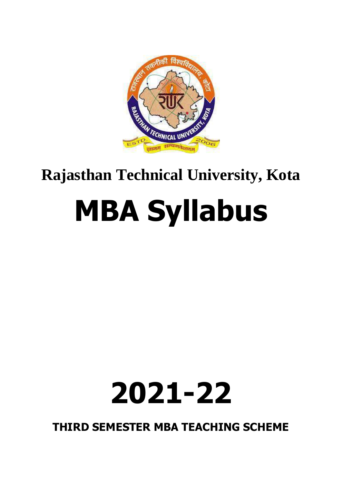

## **Rajasthan Technical University, Kota**

# **MBA Syllabus**

## **2021-22**

**THIRD SEMESTER MBA TEACHING SCHEME**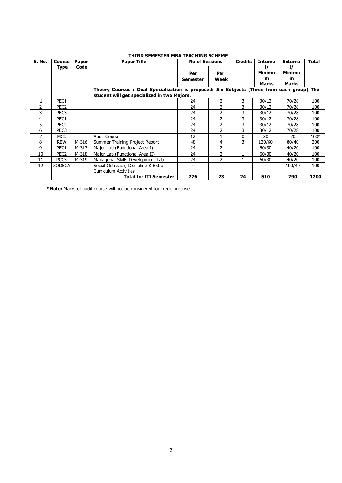|        |                  |       | I NIKU SEMESI EK MDA TEACNING SCHEME                                                       |          |                       | <b>Credits</b> |                |                |        |
|--------|------------------|-------|--------------------------------------------------------------------------------------------|----------|-----------------------|----------------|----------------|----------------|--------|
| S. No. | Course           | Paper | <b>Paper Title</b>                                                                         |          | <b>No of Sessions</b> |                | <b>Interna</b> | <b>Externa</b> | Total  |
|        | Type             | Code  |                                                                                            |          |                       |                |                |                |        |
|        |                  |       |                                                                                            | Per      | Per                   |                | Minimu         | Minimu         |        |
|        |                  |       |                                                                                            | Semester | Week                  |                | m              | m              |        |
|        |                  |       |                                                                                            |          |                       |                | Marks          | <b>Marks</b>   |        |
|        |                  |       | Theory Courses : Dual Specialization is proposed: Six Subjects (Three from each group) The |          |                       |                |                |                |        |
|        |                  |       | student will get specialized in two Majors.                                                |          |                       |                |                |                |        |
|        | PEC1             |       |                                                                                            | 24       | 2                     | 3              | 30/12          | 70/28          | 100    |
| 2      | PEC <sub>2</sub> |       |                                                                                            | 24       | 2                     | 3              | 30/12          | 70/28          | 100    |
| 3      | PEC <sub>3</sub> |       |                                                                                            | 24       | 2                     | 3              | 30/12          | 70/28          | 100    |
| 4      | PEC1             |       |                                                                                            | 24       | 2                     | 3              | 30/12          | 70/28          | 100    |
| 5      | PEC <sub>2</sub> |       |                                                                                            | 24       | 2                     | 3              | 30/12          | 70/28          | 100    |
| 6      | PEC <sub>3</sub> |       |                                                                                            | 24       | $\mathcal{P}$         | 3              | 30/12          | 70/28          | 100    |
|        | <b>MCC</b>       |       | <b>Audit Course</b>                                                                        | 12       |                       | 0              | 30             | 70             | $100*$ |
| 8      | <b>REW</b>       | M-316 | Summer Training Project Report                                                             | 48       | 4                     | 3              | 120/60         | 80/40          | 200    |
| 9      | PEC1             | M-317 | Major Lab (Functional Area I)                                                              | 24       | 2                     |                | 60/30          | 40/20          | 100    |
| 10     | PEC <sub>2</sub> | M-318 | Major Lab (Functional Area II)                                                             | 24       | 2                     |                | 60/30          | 40/20          | 100    |
| 11     | PCC3             | M-319 | Managerial Skills Development Lab                                                          | 24       | 2                     |                | 60/30          | 40/20          | 100    |
| 12     | <b>SODECA</b>    |       | Social Outreach, Discipline & Extra                                                        |          |                       |                |                | 100/40         | 100    |
|        |                  |       | <b>Curriculum Activities</b>                                                               |          |                       |                |                |                |        |
|        |                  |       | <b>Total for III Semester</b>                                                              | 276      | 23                    | 24             | 510            | 790            | 1200   |

**THIRD SEMESTER MBA TEACHING SCHEME**

**\*Note:** Marks of audit course will not be considered for credit purpose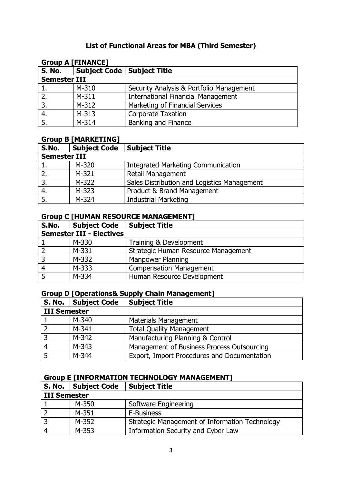#### **List of Functional Areas for MBA (Third Semester)**

| <b>Group A [FINANCE]</b> |                                     |                                           |  |  |  |  |
|--------------------------|-------------------------------------|-------------------------------------------|--|--|--|--|
| <b>S. No.</b>            | <b>Subject Code   Subject Title</b> |                                           |  |  |  |  |
| <b>Semester III</b>      |                                     |                                           |  |  |  |  |
|                          | $M-310$                             | Security Analysis & Portfolio Management  |  |  |  |  |
|                          | $M-311$                             | <b>International Financial Management</b> |  |  |  |  |
| 3.                       | $M-312$                             | Marketing of Financial Services           |  |  |  |  |
| 4.                       | $M-313$                             | <b>Corporate Taxation</b>                 |  |  |  |  |
|                          | $M-314$                             | <b>Banking and Finance</b>                |  |  |  |  |

#### **Group B [MARKETING]**

| S.No.               | <b>Subject Code</b> | <b>Subject Title</b>                        |  |  |  |  |
|---------------------|---------------------|---------------------------------------------|--|--|--|--|
| <b>Semester III</b> |                     |                                             |  |  |  |  |
|                     | M-320               | <b>Integrated Marketing Communication</b>   |  |  |  |  |
|                     | M-321               | <b>Retail Management</b>                    |  |  |  |  |
|                     | M-322               | Sales Distribution and Logistics Management |  |  |  |  |
|                     | M-323               | Product & Brand Management                  |  |  |  |  |
| 5.                  | M-324               | <b>Industrial Marketing</b>                 |  |  |  |  |

#### **Group C [HUMAN RESOURCE MANAGEMENT]**

| S.No.                           | <b>Subject Code</b> | <b>Subject Title</b>                |  |  |  |  |
|---------------------------------|---------------------|-------------------------------------|--|--|--|--|
| <b>Semester III - Electives</b> |                     |                                     |  |  |  |  |
|                                 | M-330               | Training & Development              |  |  |  |  |
|                                 | M-331               | Strategic Human Resource Management |  |  |  |  |
| $\overline{3}$                  | M-332               | Manpower Planning                   |  |  |  |  |
| $\overline{a}$                  | M-333               | <b>Compensation Management</b>      |  |  |  |  |
|                                 | M-334               | Human Resource Development          |  |  |  |  |

#### **Group D [Operations& Supply Chain Management]**

|                     | S. No.   Subject Code | <b>Subject Title</b>                        |  |  |  |  |
|---------------------|-----------------------|---------------------------------------------|--|--|--|--|
| <b>III Semester</b> |                       |                                             |  |  |  |  |
|                     | M-340                 | <b>Materials Management</b>                 |  |  |  |  |
|                     | $M-341$               | <b>Total Quality Management</b>             |  |  |  |  |
|                     | M-342                 | Manufacturing Planning & Control            |  |  |  |  |
| 4                   | $M-343$               | Management of Business Process Outsourcing  |  |  |  |  |
|                     | M-344                 | Export, Import Procedures and Documentation |  |  |  |  |

#### **Group E [INFORMATION TECHNOLOGY MANAGEMENT]**

|                     | S. No.   Subject Code | <b>Subject Title</b>                           |  |  |  |  |
|---------------------|-----------------------|------------------------------------------------|--|--|--|--|
| <b>III Semester</b> |                       |                                                |  |  |  |  |
|                     | M-350                 | Software Engineering                           |  |  |  |  |
|                     | $M-351$               | E-Business                                     |  |  |  |  |
| 3                   | M-352                 | Strategic Management of Information Technology |  |  |  |  |
|                     | M-353                 | Information Security and Cyber Law             |  |  |  |  |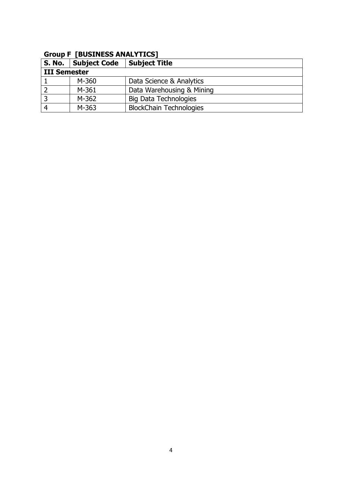#### **Group F [BUSINESS ANALYTICS]**

|              | S. No. Subject Code | <b>Subject Title</b>           |  |  |  |  |
|--------------|---------------------|--------------------------------|--|--|--|--|
| III Semester |                     |                                |  |  |  |  |
|              | M-360               | Data Science & Analytics       |  |  |  |  |
|              | M-361               | Data Warehousing & Mining      |  |  |  |  |
| 3            | M-362               | <b>Big Data Technologies</b>   |  |  |  |  |
|              | M-363               | <b>BlockChain Technologies</b> |  |  |  |  |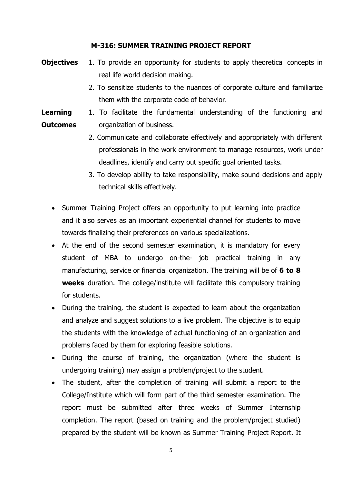#### **M-316: SUMMER TRAINING PROJECT REPORT**

- **Objectives** 1. To provide an opportunity for students to apply theoretical concepts in real life world decision making. 2. To sensitize students to the nuances of corporate culture and familiarize them with the corporate code of behavior.
- **Learning Outcomes** 1. To facilitate the fundamental understanding of the functioning and organization of business.
	- 2. Communicate and collaborate effectively and appropriately with different professionals in the work environment to manage resources, work under deadlines, identify and carry out specific goal oriented tasks.
	- 3. To develop ability to take responsibility, make sound decisions and apply technical skills effectively.
	- Summer Training Project offers an opportunity to put learning into practice and it also serves as an important experiential channel for students to move towards finalizing their preferences on various specializations.
	- At the end of the second semester examination, it is mandatory for every student of MBA to undergo on-the- job practical training in any manufacturing, service or financial organization. The training will be of **6 to 8 weeks** duration. The college/institute will facilitate this compulsory training for students.
	- During the training, the student is expected to learn about the organization and analyze and suggest solutions to a live problem. The objective is to equip the students with the knowledge of actual functioning of an organization and problems faced by them for exploring feasible solutions.
	- During the course of training, the organization (where the student is undergoing training) may assign a problem/project to the student.
	- The student, after the completion of training will submit a report to the College/Institute which will form part of the third semester examination. The report must be submitted after three weeks of Summer Internship completion. The report (based on training and the problem/project studied) prepared by the student will be known as Summer Training Project Report. It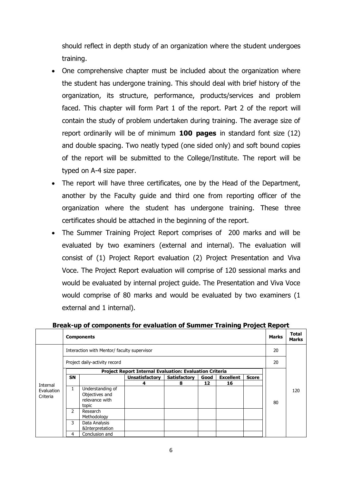should reflect in depth study of an organization where the student undergoes training.

- One comprehensive chapter must be included about the organization where the student has undergone training. This should deal with brief history of the organization, its structure, performance, products/services and problem faced. This chapter will form Part 1 of the report. Part 2 of the report will contain the study of problem undertaken during training. The average size of report ordinarily will be of minimum **100 pages** in standard font size (12) and double spacing. Two neatly typed (one sided only) and soft bound copies of the report will be submitted to the College/Institute. The report will be typed on A-4 size paper.
- The report will have three certificates, one by the Head of the Department, another by the Faculty guide and third one from reporting officer of the organization where the student has undergone training. These three certificates should be attached in the beginning of the report.
- The Summer Training Project Report comprises of 200 marks and will be evaluated by two examiners (external and internal). The evaluation will consist of (1) Project Report evaluation (2) Project Presentation and Viva Voce. The Project Report evaluation will comprise of 120 sessional marks and would be evaluated by internal project guide. The Presentation and Viva Voce would comprise of 80 marks and would be evaluated by two examiners (1 external and 1 internal).

|                        | <b>Components</b>                           | <b>Marks</b>                                                  | Total<br><b>Marks</b> |                     |      |                  |              |    |     |  |  |  |
|------------------------|---------------------------------------------|---------------------------------------------------------------|-----------------------|---------------------|------|------------------|--------------|----|-----|--|--|--|
|                        | Interaction with Mentor/ faculty supervisor |                                                               | 20                    |                     |      |                  |              |    |     |  |  |  |
|                        | Project daily-activity record               |                                                               | 20                    |                     |      |                  |              |    |     |  |  |  |
|                        |                                             | Project Report Internal Evaluation: Evaluation Criteria       |                       |                     |      |                  |              |    |     |  |  |  |
|                        | <b>SN</b>                                   |                                                               | <b>Unsatisfactory</b> | <b>Satisfactory</b> | Good | <b>Excellent</b> | <b>Score</b> |    |     |  |  |  |
| Internal               |                                             |                                                               | 4                     | 8                   | 12   | 16               |              |    |     |  |  |  |
| Evaluation<br>Criteria | 1                                           | Understanding of<br>Objectives and<br>relevance with<br>topic |                       |                     |      |                  |              | 80 | 120 |  |  |  |
|                        | 2                                           | Research<br>Methodology                                       |                       |                     |      |                  |              |    |     |  |  |  |
|                        | 3                                           | Data Analysis<br>&Interpretation                              |                       |                     |      |                  |              |    |     |  |  |  |
|                        | 4                                           | Conclusion and                                                |                       |                     |      |                  |              |    |     |  |  |  |

#### **Break-up of components for evaluation of Summer Training Project Report**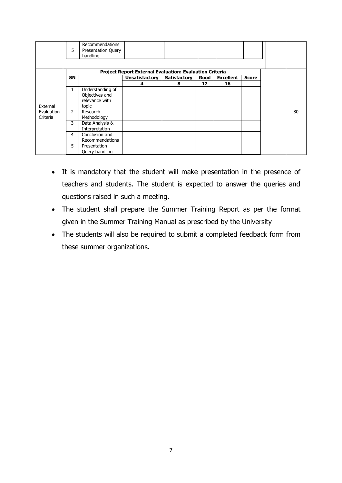|                                    | 5         | Recommendations<br>Presentation Query                         |                                                         |                     |      |                  |              |    |
|------------------------------------|-----------|---------------------------------------------------------------|---------------------------------------------------------|---------------------|------|------------------|--------------|----|
|                                    |           | handling                                                      |                                                         |                     |      |                  |              |    |
|                                    |           |                                                               |                                                         |                     |      |                  |              |    |
|                                    |           |                                                               | Project Report External Evaluation: Evaluation Criteria |                     |      |                  |              |    |
|                                    | <b>SN</b> |                                                               | <b>Unsatisfactory</b>                                   | <b>Satisfactory</b> | Good | <b>Excellent</b> | <b>Score</b> |    |
|                                    |           |                                                               | 4                                                       | 8                   | 12   | 16               |              |    |
| External<br>Evaluation<br>Criteria | 1         | Understanding of<br>Objectives and<br>relevance with<br>topic |                                                         |                     |      |                  |              |    |
|                                    | 2         | Research<br>Methodology                                       |                                                         |                     |      |                  |              | 80 |
|                                    | 3         | Data Analysis &<br>Interpretation                             |                                                         |                     |      |                  |              |    |
|                                    | 4         | Conclusion and<br>Recommendations                             |                                                         |                     |      |                  |              |    |
|                                    | 5         | Presentation<br>Query handling                                |                                                         |                     |      |                  |              |    |

- It is mandatory that the student will make presentation in the presence of teachers and students. The student is expected to answer the queries and questions raised in such a meeting.
- The student shall prepare the Summer Training Report as per the format given in the Summer Training Manual as prescribed by the University
- The students will also be required to submit a completed feedback form from these summer organizations.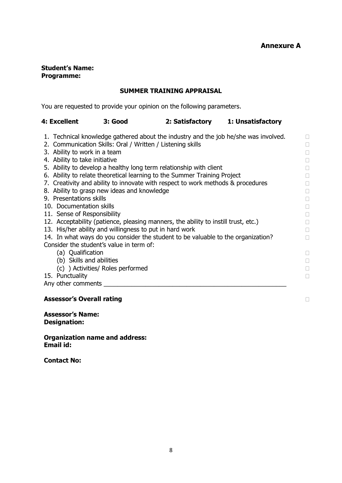#### **Student's Name: Programme:**

#### **SUMMER TRAINING APPRAISAL**

You are requested to provide your opinion on the following parameters.

| 4: Excellent | 3: Good | 2: Satisfactory | 1: Unsatisfactory |
|--------------|---------|-----------------|-------------------|

- 1. Technical knowledge gathered about the industry and the job he/she was involved.
- 2. Communication Skills: Oral / Written / Listening skills
- 3. Ability to work in a team
- 4. Ability to take initiative
- 5. Ability to develop a healthy long term relationship with client
- 6. Ability to relate theoretical learning to the Summer Training Project
- 7. Creativity and ability to innovate with respect to work methods & procedures
- 8. Ability to grasp new ideas and knowledge
- 9. Presentations skills
- 10. Documentation skills
- 11. Sense of Responsibility
- 12. Acceptability (patience, pleasing manners, the ability to instill trust, etc.)
- 13. His/her ability and willingness to put in hard work
- 14. In what ways do you consider the student to be valuable to the organization? Consider the student's value in term of:
	- (a) Qualification
	- (b) Skills and abilities
	- (c) ) Activities/ Roles performed
- 15. Punctuality

Any other comments \_\_\_\_\_\_\_\_\_\_\_\_\_\_\_\_\_\_\_\_\_\_\_\_\_\_\_\_\_\_\_\_\_\_\_\_\_\_\_\_\_\_\_\_\_\_\_\_\_\_\_\_\_

#### **Assessor's Overall rating**

**Assessor's Name: Designation:**

**Organization name and address: Email id:**

**Contact No:**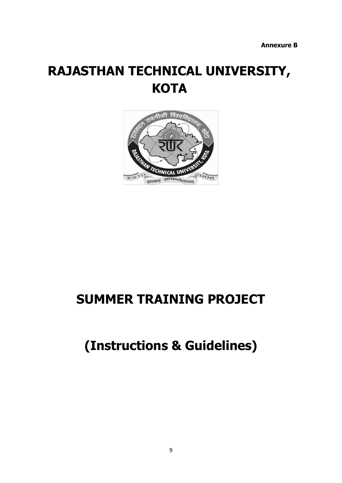## **RAJASTHAN TECHNICAL UNIVERSITY, KOTA**



## **SUMMER TRAINING PROJECT**

## **(Instructions & Guidelines)**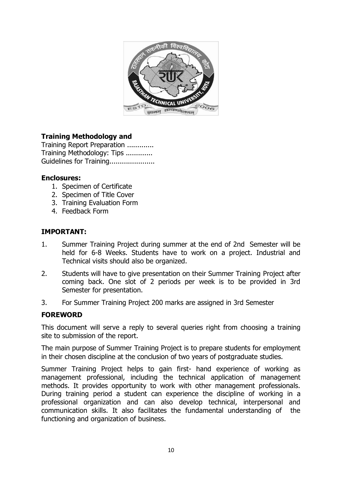

#### **Training Methodology and**

Training Report Preparation ............. Training Methodology: Tips ............. Guidelines for Training.....................

#### **Enclosures:**

- 1. Specimen of Certificate
- 2. Specimen of Title Cover
- 3. Training Evaluation Form
- 4. Feedback Form

#### **IMPORTANT:**

- 1. Summer Training Project during summer at the end of 2nd Semester will be held for 6-8 Weeks. Students have to work on a project. Industrial and Technical visits should also be organized.
- 2. Students will have to give presentation on their Summer Training Project after coming back. One slot of 2 periods per week is to be provided in 3rd Semester for presentation.
- 3. For Summer Training Project 200 marks are assigned in 3rd Semester

#### **FOREWORD**

This document will serve a reply to several queries right from choosing a training site to submission of the report.

The main purpose of Summer Training Project is to prepare students for employment in their chosen discipline at the conclusion of two years of postgraduate studies.

Summer Training Project helps to gain first- hand experience of working as management professional, including the technical application of management methods. It provides opportunity to work with other management professionals. During training period a student can experience the discipline of working in a professional organization and can also develop technical, interpersonal and communication skills. It also facilitates the fundamental understanding of the functioning and organization of business.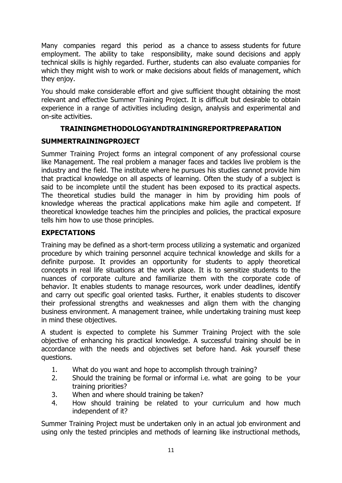Many companies regard this period as a chance to assess students for future employment. The ability to take responsibility, make sound decisions and apply technical skills is highly regarded. Further, students can also evaluate companies for which they might wish to work or make decisions about fields of management, which they enjoy.

You should make considerable effort and give sufficient thought obtaining the most relevant and effective Summer Training Project. It is difficult but desirable to obtain experience in a range of activities including design, analysis and experimental and on-site activities.

#### **TRAININGMETHODOLOGYANDTRAININGREPORTPREPARATION**

#### **SUMMERTRAININGPROJECT**

Summer Training Project forms an integral component of any professional course like Management. The real problem a manager faces and tackles live problem is the industry and the field. The institute where he pursues his studies cannot provide him that practical knowledge on all aspects of learning. Often the study of a subject is said to be incomplete until the student has been exposed to its practical aspects. The theoretical studies build the manager in him by providing him pools of knowledge whereas the practical applications make him agile and competent. If theoretical knowledge teaches him the principles and policies, the practical exposure tells him how to use those principles.

#### **EXPECTATIONS**

Training may be defined as a short-term process utilizing a systematic and organized procedure by which training personnel acquire technical knowledge and skills for a definite purpose. It provides an opportunity for students to apply theoretical concepts in real life situations at the work place. It is to sensitize students to the nuances of corporate culture and familiarize them with the corporate code of behavior. It enables students to manage resources, work under deadlines, identify and carry out specific goal oriented tasks. Further, it enables students to discover their professional strengths and weaknesses and align them with the changing business environment. A management trainee, while undertaking training must keep in mind these objectives.

A student is expected to complete his Summer Training Project with the sole objective of enhancing his practical knowledge. A successful training should be in accordance with the needs and objectives set before hand. Ask yourself these questions.

- 1. What do you want and hope to accomplish through training?
- 2. Should the training be formal or informal i.e. what are going to be your training priorities?
- 3. When and where should training be taken?
- 4. How should training be related to your curriculum and how much independent of it?

Summer Training Project must be undertaken only in an actual job environment and using only the tested principles and methods of learning like instructional methods,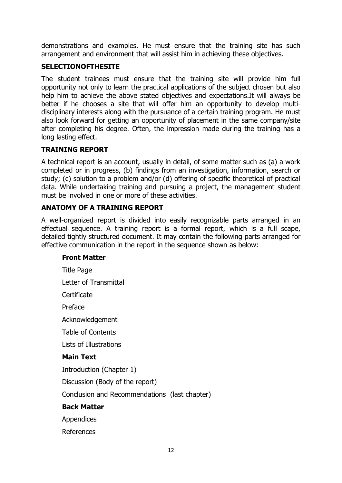demonstrations and examples. He must ensure that the training site has such arrangement and environment that will assist him in achieving these objectives.

#### **SELECTIONOFTHESITE**

The student trainees must ensure that the training site will provide him full opportunity not only to learn the practical applications of the subject chosen but also help him to achieve the above stated objectives and expectations.It will always be better if he chooses a site that will offer him an opportunity to develop multidisciplinary interests along with the pursuance of a certain training program. He must also look forward for getting an opportunity of placement in the same company/site after completing his degree. Often, the impression made during the training has a long lasting effect.

#### **TRAINING REPORT**

A technical report is an account, usually in detail, of some matter such as (a) a work completed or in progress, (b) findings from an investigation, information, search or study; (c) solution to a problem and/or (d) offering of specific theoretical of practical data. While undertaking training and pursuing a project, the management student must be involved in one or more of these activities.

#### **ANATOMY OF A TRAINING REPORT**

A well-organized report is divided into easily recognizable parts arranged in an effectual sequence. A training report is a formal report, which is a full scape, detailed tightly structured document. It may contain the following parts arranged for effective communication in the report in the sequence shown as below:

#### **Front Matter**

Title Page Letter of Transmittal Certificate Preface Acknowledgement Table of Contents Lists of Illustrations **Main Text** Introduction (Chapter 1) Discussion (Body of the report) Conclusion and Recommendations (last chapter) **Back Matter** Appendices References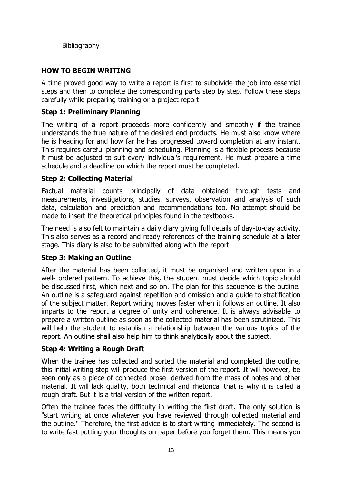Bibliography

#### **HOW TO BEGIN WRITING**

A time proved good way to write a report is first to subdivide the job into essential steps and then to complete the corresponding parts step by step. Follow these steps carefully while preparing training or a project report.

#### **Step 1: Preliminary Planning**

The writing of a report proceeds more confidently and smoothly if the trainee understands the true nature of the desired end products. He must also know where he is heading for and how far he has progressed toward completion at any instant. This requires careful planning and scheduling. Planning is a flexible process because it must be adjusted to suit every individual's requirement. He must prepare a time schedule and a deadline on which the report must be completed.

#### **Step 2: Collecting Material**

Factual material counts principally of data obtained through tests and measurements, investigations, studies, surveys, observation and analysis of such data, calculation and prediction and recommendations too. No attempt should be made to insert the theoretical principles found in the textbooks.

The need is also felt to maintain a daily diary giving full details of day-to-day activity. This also serves as a record and ready references of the training schedule at a later stage. This diary is also to be submitted along with the report.

#### **Step 3: Making an Outline**

After the material has been collected, it must be organised and written upon in a well- ordered pattern. To achieve this, the student must decide which topic should be discussed first, which next and so on. The plan for this sequence is the outline. An outline is a safeguard against repetition and omission and a guide to stratification of the subject matter. Report writing moves faster when it follows an outline. It also imparts to the report a degree of unity and coherence. It is always advisable to prepare a written outline as soon as the collected material has been scrutinized. This will help the student to establish a relationship between the various topics of the report. An outline shall also help him to think analytically about the subject.

#### **Step 4: Writing a Rough Draft**

When the trainee has collected and sorted the material and completed the outline, this initial writing step will produce the first version of the report. It will however, be seen only as a piece of connected prose derived from the mass of notes and other material. It will lack quality, both technical and rhetorical that is why it is called a rough draft. But it is a trial version of the written report.

Often the trainee faces the difficulty in writing the first draft. The only solution is "start writing at once whatever you have reviewed through collected material and the outline." Therefore, the first advice is to start writing immediately. The second is to write fast putting your thoughts on paper before you forget them. This means you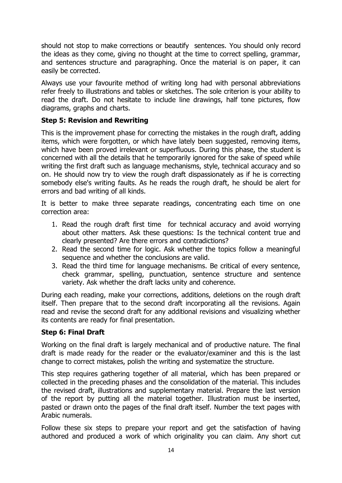should not stop to make corrections or beautify sentences. You should only record the ideas as they come, giving no thought at the time to correct spelling, grammar, and sentences structure and paragraphing. Once the material is on paper, it can easily be corrected.

Always use your favourite method of writing long had with personal abbreviations refer freely to illustrations and tables or sketches. The sole criterion is your ability to read the draft. Do not hesitate to include line drawings, half tone pictures, flow diagrams, graphs and charts.

#### **Step 5: Revision and Rewriting**

This is the improvement phase for correcting the mistakes in the rough draft, adding items, which were forgotten, or which have lately been suggested, removing items, which have been proved irrelevant or superfluous. During this phase, the student is concerned with all the details that he temporarily ignored for the sake of speed while writing the first draft such as language mechanisms, style, technical accuracy and so on. He should now try to view the rough draft dispassionately as if he is correcting somebody else's writing faults. As he reads the rough draft, he should be alert for errors and bad writing of all kinds.

It is better to make three separate readings, concentrating each time on one correction area:

- 1. Read the rough draft first time for technical accuracy and avoid worrying about other matters. Ask these questions: Is the technical content true and clearly presented? Are there errors and contradictions?
- 2. Read the second time for logic. Ask whether the topics follow a meaningful sequence and whether the conclusions are valid.
- 3. Read the third time for language mechanisms. Be critical of every sentence, check grammar, spelling, punctuation, sentence structure and sentence variety. Ask whether the draft lacks unity and coherence.

During each reading, make your corrections, additions, deletions on the rough draft itself. Then prepare that to the second draft incorporating all the revisions. Again read and revise the second draft for any additional revisions and visualizing whether its contents are ready for final presentation.

#### **Step 6: Final Draft**

Working on the final draft is largely mechanical and of productive nature. The final draft is made ready for the reader or the evaluator/examiner and this is the last change to correct mistakes, polish the writing and systematize the structure.

This step requires gathering together of all material, which has been prepared or collected in the preceding phases and the consolidation of the material. This includes the revised draft, illustrations and supplementary material. Prepare the last version of the report by putting all the material together. Illustration must be inserted, pasted or drawn onto the pages of the final draft itself. Number the text pages with Arabic numerals.

Follow these six steps to prepare your report and get the satisfaction of having authored and produced a work of which originality you can claim. Any short cut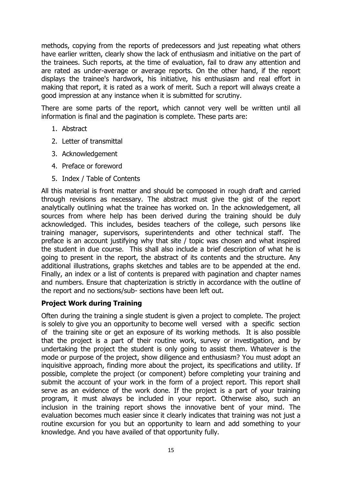methods, copying from the reports of predecessors and just repeating what others have earlier written, clearly show the lack of enthusiasm and initiative on the part of the trainees. Such reports, at the time of evaluation, fail to draw any attention and are rated as under-average or average reports. On the other hand, if the report displays the trainee's hardwork, his initiative, his enthusiasm and real effort in making that report, it is rated as a work of merit. Such a report will always create a good impression at any instance when it is submitted for scrutiny.

There are some parts of the report, which cannot very well be written until all information is final and the pagination is complete. These parts are:

- 1. Abstract
- 2. Letter of transmittal
- 3. Acknowledgement
- 4. Preface or foreword
- 5. Index / Table of Contents

All this material is front matter and should be composed in rough draft and carried through revisions as necessary. The abstract must give the gist of the report analytically outlining what the trainee has worked on. In the acknowledgement, all sources from where help has been derived during the training should be duly acknowledged. This includes, besides teachers of the college, such persons like training manager, supervisors, superintendents and other technical staff. The preface is an account justifying why that site / topic was chosen and what inspired the student in due course. This shall also include a brief description of what he is going to present in the report, the abstract of its contents and the structure. Any additional illustrations, graphs sketches and tables are to be appended at the end. Finally, an index or a list of contents is prepared with pagination and chapter names and numbers. Ensure that chapterization is strictly in accordance with the outline of the report and no sections/sub- sections have been left out.

#### **Project Work during Training**

Often during the training a single student is given a project to complete. The project is solely to give you an opportunity to become well versed with a specific section of the training site or get an exposure of its working methods. It is also possible that the project is a part of their routine work, survey or investigation, and by undertaking the project the student is only going to assist them. Whatever is the mode or purpose of the project, show diligence and enthusiasm? You must adopt an inquisitive approach, finding more about the project, its specifications and utility. If possible, complete the project (or component) before completing your training and submit the account of your work in the form of a project report. This report shall serve as an evidence of the work done. If the project is a part of your training program, it must always be included in your report. Otherwise also, such an inclusion in the training report shows the innovative bent of your mind. The evaluation becomes much easier since it clearly indicates that training was not just a routine excursion for you but an opportunity to learn and add something to your knowledge. And you have availed of that opportunity fully.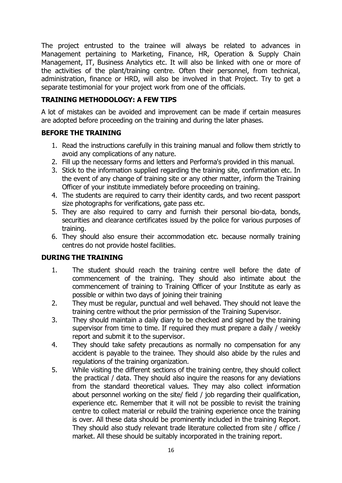The project entrusted to the trainee will always be related to advances in Management pertaining to Marketing, Finance, HR, Operation & Supply Chain Management, IT, Business Analytics etc. It will also be linked with one or more of the activities of the plant/training centre. Often their personnel, from technical, administration, finance or HRD, will also be involved in that Project. Try to get a separate testimonial for your project work from one of the officials.

#### **TRAINING METHODOLOGY: A FEW TIPS**

A lot of mistakes can be avoided and improvement can be made if certain measures are adopted before proceeding on the training and during the later phases.

#### **BEFORE THE TRAINING**

- 1. Read the instructions carefully in this training manual and follow them strictly to avoid any complications of any nature.
- 2. Fill up the necessary forms and letters and Performa's provided in this manual.
- 3. Stick to the information supplied regarding the training site, confirmation etc. In the event of any change of training site or any other matter, inform the Training Officer of your institute immediately before proceeding on training.
- 4. The students are required to carry their identity cards, and two recent passport size photographs for verifications, gate pass etc.
- 5. They are also required to carry and furnish their personal bio-data, bonds, securities and clearance certificates issued by the police for various purposes of training.
- 6. They should also ensure their accommodation etc. because normally training centres do not provide hostel facilities.

#### **DURING THE TRAINING**

- 1. The student should reach the training centre well before the date of commencement of the training. They should also intimate about the commencement of training to Training Officer of your Institute as early as possible or within two days of joining their training
- 2. They must be regular, punctual and well behaved. They should not leave the training centre without the prior permission of the Training Supervisor.
- 3. They should maintain a daily diary to be checked and signed by the training supervisor from time to time. If required they must prepare a daily / weekly report and submit it to the supervisor.
- 4. They should take safety precautions as normally no compensation for any accident is payable to the trainee. They should also abide by the rules and regulations of the training organization.
- 5. While visiting the different sections of the training centre, they should collect the practical / data. They should also inquire the reasons for any deviations from the standard theoretical values. They may also collect information about personnel working on the site/ field / job regarding their qualification, experience etc. Remember that it will not be possible to revisit the training centre to collect material or rebuild the training experience once the training is over. All these data should be prominently included in the training Report. They should also study relevant trade literature collected from site / office / market. All these should be suitably incorporated in the training report.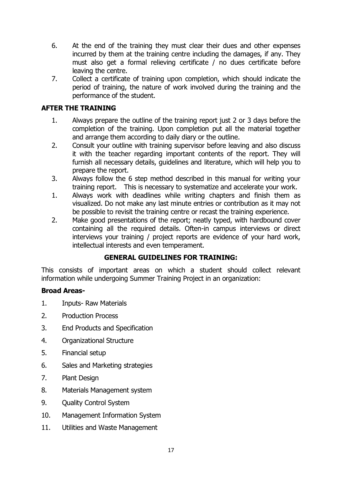- 6. At the end of the training they must clear their dues and other expenses incurred by them at the training centre including the damages, if any. They must also get a formal relieving certificate / no dues certificate before leaving the centre.
- 7. Collect a certificate of training upon completion, which should indicate the period of training, the nature of work involved during the training and the performance of the student.

#### **AFTER THE TRAINING**

- 1. Always prepare the outline of the training report just 2 or 3 days before the completion of the training. Upon completion put all the material together and arrange them according to daily diary or the outline.
- 2. Consult your outline with training supervisor before leaving and also discuss it with the teacher regarding important contents of the report. They will furnish all necessary details, guidelines and literature, which will help you to prepare the report.
- 3. Always follow the 6 step method described in this manual for writing your training report. This is necessary to systematize and accelerate your work.
- 1. Always work with deadlines while writing chapters and finish them as visualized. Do not make any last minute entries or contribution as it may not be possible to revisit the training centre or recast the training experience.
- 2. Make good presentations of the report; neatly typed, with hardbound cover containing all the required details. Often-in campus interviews or direct interviews your training / project reports are evidence of your hard work, intellectual interests and even temperament.

#### **GENERAL GUIDELINES FOR TRAINING:**

This consists of important areas on which a student should collect relevant information while undergoing Summer Training Project in an organization:

#### **Broad Areas-**

- 1. Inputs- Raw Materials
- 2. Production Process
- 3. End Products and Specification
- 4. Organizational Structure
- 5. Financial setup
- 6. Sales and Marketing strategies
- 7. Plant Design
- 8. Materials Management system
- 9. Quality Control System
- 10. Management Information System
- 11. Utilities and Waste Management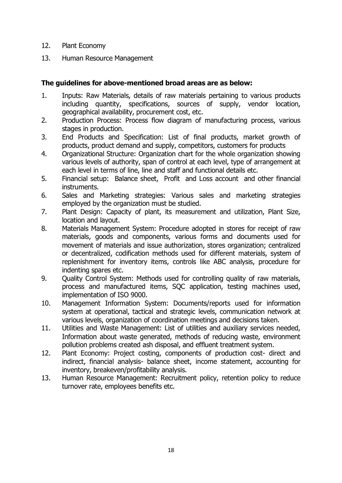- 12. Plant Economy
- 13. Human Resource Management

#### **The guidelines for above-mentioned broad areas are as below:**

- 1. Inputs: Raw Materials, details of raw materials pertaining to various products including quantity, specifications, sources of supply, vendor location, geographical availability, procurement cost, etc.
- 2. Production Process: Process flow diagram of manufacturing process, various stages in production.
- 3. End Products and Specification: List of final products, market growth of products, product demand and supply, competitors, customers for products
- 4. Organizational Structure: Organization chart for the whole organization showing various levels of authority, span of control at each level, type of arrangement at each level in terms of line, line and staff and functional details etc.
- 5. Financial setup: Balance sheet, Profit and Loss account and other financial instruments.
- 6. Sales and Marketing strategies: Various sales and marketing strategies employed by the organization must be studied.
- 7. Plant Design: Capacity of plant, its measurement and utilization, Plant Size, location and layout.
- 8. Materials Management System: Procedure adopted in stores for receipt of raw materials, goods and components, various forms and documents used for movement of materials and issue authorization, stores organization; centralized or decentralized, codification methods used for different materials, system of replenishment for inventory items, controls like ABC analysis, procedure for indenting spares etc.
- 9. Quality Control System: Methods used for controlling quality of raw materials, process and manufactured items, SQC application, testing machines used, implementation of ISO 9000.
- 10. Management Information System: Documents/reports used for information system at operational, tactical and strategic levels, communication network at various levels, organization of coordination meetings and decisions taken.
- 11. Utilities and Waste Management: List of utilities and auxiliary services needed, Information about waste generated, methods of reducing waste, environment pollution problems created ash disposal, and effluent treatment system.
- 12. Plant Economy: Project costing, components of production cost- direct and indirect, financial analysis- balance sheet, income statement, accounting for inventory, breakeven/profitability analysis.
- 13. Human Resource Management: Recruitment policy, retention policy to reduce turnover rate, employees benefits etc.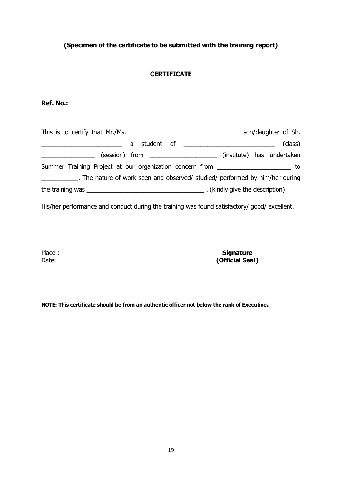#### **(Specimen of the certificate to be submitted with the training report)**

#### **CERTIFICATE**

#### **Ref. No.:**

| This is to certify that Mr./Ms.                          |  |  |                                                 |                               | son/daughter of Sh.        |
|----------------------------------------------------------|--|--|-------------------------------------------------|-------------------------------|----------------------------|
|                                                          |  |  |                                                 |                               | (class)                    |
|                                                          |  |  | $(session)$ from $\_\_\_\_\_\_\_\_\_\_\_\_\_\_$ |                               | (institute) has undertaken |
| Summer Training Project at our organization concern from |  |  |                                                 |                               |                            |
|                                                          |  |  |                                                 |                               |                            |
|                                                          |  |  |                                                 | (kindly give the description) |                            |

His/her performance and conduct during the training was found satisfactory/ good/ excellent.

Place : Date:

**Signature (Official Seal)**

**NOTE: This certificate should be from an authentic officer not below the rank of Executive.**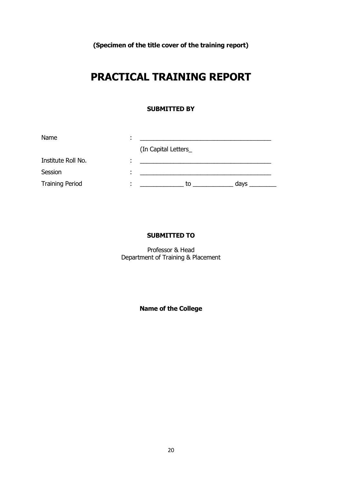**(Specimen of the title cover of the training report)**

### **PRACTICAL TRAINING REPORT**

#### **SUBMITTED BY**

| Name                   |                      |      |
|------------------------|----------------------|------|
|                        | (In Capital Letters_ |      |
| Institute Roll No.     |                      |      |
| Session                |                      |      |
| <b>Training Period</b> | to                   | days |

#### **SUBMITTED TO**

Professor & Head Department of Training & Placement

**Name of the College**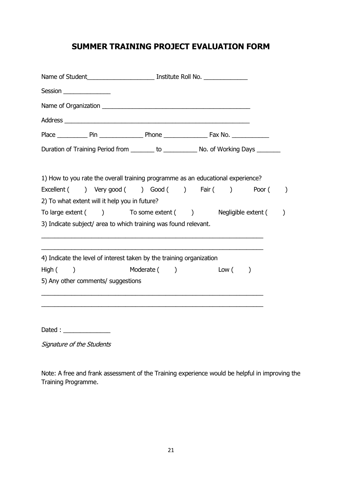#### **SUMMER TRAINING PROJECT EVALUATION FORM**

| Duration of Training Period from ________ to ____________ No. of Working Days _______<br>1) How to you rate the overall training programme as an educational experience?<br>Excellent ( ) Very good ( ) Good ( ) Fair ( )<br>Poor (<br>2) To what extent will it help you in future?<br>To large extent () To some extent () Negligible extent (<br>$\mathcal{C}$<br>3) Indicate subject/ area to which training was found relevant.<br>4) Indicate the level of interest taken by the training organization<br>Moderate ( )<br>Low( )<br>5) Any other comments/ suggestions<br>Signature of the Students |                          |  |  |  |                  |
|-----------------------------------------------------------------------------------------------------------------------------------------------------------------------------------------------------------------------------------------------------------------------------------------------------------------------------------------------------------------------------------------------------------------------------------------------------------------------------------------------------------------------------------------------------------------------------------------------------------|--------------------------|--|--|--|------------------|
|                                                                                                                                                                                                                                                                                                                                                                                                                                                                                                                                                                                                           | Session ________________ |  |  |  |                  |
|                                                                                                                                                                                                                                                                                                                                                                                                                                                                                                                                                                                                           |                          |  |  |  |                  |
|                                                                                                                                                                                                                                                                                                                                                                                                                                                                                                                                                                                                           |                          |  |  |  |                  |
|                                                                                                                                                                                                                                                                                                                                                                                                                                                                                                                                                                                                           |                          |  |  |  |                  |
|                                                                                                                                                                                                                                                                                                                                                                                                                                                                                                                                                                                                           |                          |  |  |  |                  |
|                                                                                                                                                                                                                                                                                                                                                                                                                                                                                                                                                                                                           |                          |  |  |  |                  |
|                                                                                                                                                                                                                                                                                                                                                                                                                                                                                                                                                                                                           |                          |  |  |  | $\left( \right)$ |
|                                                                                                                                                                                                                                                                                                                                                                                                                                                                                                                                                                                                           |                          |  |  |  |                  |
|                                                                                                                                                                                                                                                                                                                                                                                                                                                                                                                                                                                                           |                          |  |  |  |                  |
|                                                                                                                                                                                                                                                                                                                                                                                                                                                                                                                                                                                                           |                          |  |  |  |                  |
|                                                                                                                                                                                                                                                                                                                                                                                                                                                                                                                                                                                                           |                          |  |  |  |                  |
|                                                                                                                                                                                                                                                                                                                                                                                                                                                                                                                                                                                                           | High(                    |  |  |  |                  |
|                                                                                                                                                                                                                                                                                                                                                                                                                                                                                                                                                                                                           |                          |  |  |  |                  |
|                                                                                                                                                                                                                                                                                                                                                                                                                                                                                                                                                                                                           |                          |  |  |  |                  |
|                                                                                                                                                                                                                                                                                                                                                                                                                                                                                                                                                                                                           |                          |  |  |  |                  |
|                                                                                                                                                                                                                                                                                                                                                                                                                                                                                                                                                                                                           |                          |  |  |  |                  |

Note: A free and frank assessment of the Training experience would be helpful in improving the Training Programme.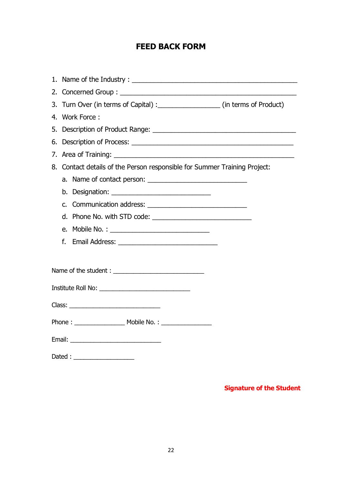#### **FEED BACK FORM**

| 3. Turn Over (in terms of Capital) : __________________ (in terms of Product) |  |
|-------------------------------------------------------------------------------|--|
| 4. Work Force:                                                                |  |
|                                                                               |  |
|                                                                               |  |
|                                                                               |  |
| 8. Contact details of the Person responsible for Summer Training Project:     |  |
|                                                                               |  |
|                                                                               |  |
|                                                                               |  |
|                                                                               |  |
| e. Mobile No. : _________________________________                             |  |
| f.                                                                            |  |
|                                                                               |  |
| Name of the student :                                                         |  |
|                                                                               |  |
|                                                                               |  |
|                                                                               |  |
|                                                                               |  |
|                                                                               |  |
| Dated : _____________________                                                 |  |

#### **Signature of the Student**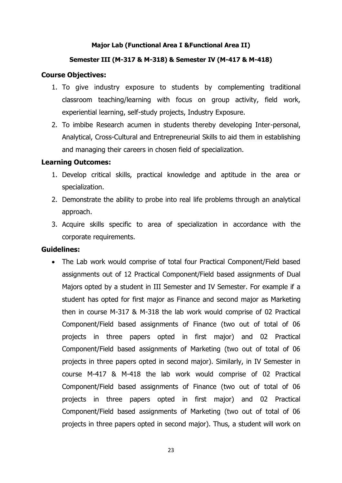#### **Major Lab (Functional Area I &Functional Area II)**

#### **Semester III (M-317 & M-318) & Semester IV (M-417 & M-418)**

#### **Course Objectives:**

- 1. To give industry exposure to students by complementing traditional classroom teaching/learning with focus on group activity, field work, experiential learning, self-study projects, Industry Exposure.
- 2. To imbibe Research acumen in students thereby developing Inter-personal, Analytical, Cross-Cultural and Entrepreneurial Skills to aid them in establishing and managing their careers in chosen field of specialization.

#### **Learning Outcomes:**

- 1. Develop critical skills, practical knowledge and aptitude in the area or specialization.
- 2. Demonstrate the ability to probe into real life problems through an analytical approach.
- 3. Acquire skills specific to area of specialization in accordance with the corporate requirements.

#### **Guidelines:**

 The Lab work would comprise of total four Practical Component/Field based assignments out of 12 Practical Component/Field based assignments of Dual Majors opted by a student in III Semester and IV Semester. For example if a student has opted for first major as Finance and second major as Marketing then in course M-317 & M-318 the lab work would comprise of 02 Practical Component/Field based assignments of Finance (two out of total of 06 projects in three papers opted in first major) and 02 Practical Component/Field based assignments of Marketing (two out of total of 06 projects in three papers opted in second major). Similarly, in IV Semester in course M-417 & M-418 the lab work would comprise of 02 Practical Component/Field based assignments of Finance (two out of total of 06 projects in three papers opted in first major) and 02 Practical Component/Field based assignments of Marketing (two out of total of 06 projects in three papers opted in second major). Thus, a student will work on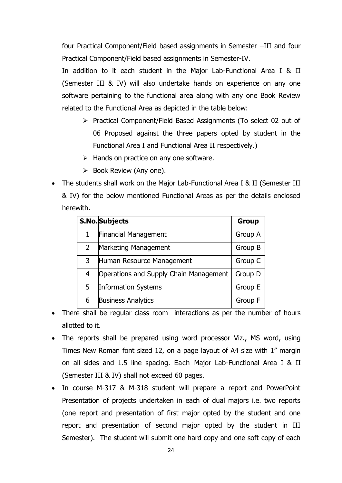four Practical Component/Field based assignments in Semester –III and four Practical Component/Field based assignments in Semester-IV.

In addition to it each student in the Major Lab-Functional Area I & II (Semester III & IV) will also undertake hands on experience on any one software pertaining to the functional area along with any one Book Review related to the Functional Area as depicted in the table below:

- Practical Component/Field Based Assignments (To select 02 out of 06 Proposed against the three papers opted by student in the Functional Area I and Functional Area II respectively.)
- $\triangleright$  Hands on practice on any one software.
- $\triangleright$  Book Review (Any one).
- The students shall work on the Major Lab-Functional Area I & II (Semester III & IV) for the below mentioned Functional Areas as per the details enclosed herewith.

|                | <b>S.No.</b> Subjects                  | <b>Group</b> |
|----------------|----------------------------------------|--------------|
| 1              | <b>Financial Management</b>            | Group A      |
| $\overline{2}$ | Marketing Management                   | Group B      |
| 3              | Human Resource Management              | Group C      |
| 4              | Operations and Supply Chain Management | Group D      |
| 5              | Information Systems                    | Group E      |
| 6              | <b>Business Analytics</b>              | Group F      |

- There shall be regular class room interactions as per the number of hours allotted to it.
- The reports shall be prepared using word processor Viz., MS word, using Times New Roman font sized 12, on a page layout of A4 size with 1" margin on all sides and 1.5 line spacing. Each Major Lab-Functional Area I & II (Semester III & IV) shall not exceed 60 pages.
- In course M-317 & M-318 student will prepare a report and PowerPoint Presentation of projects undertaken in each of dual majors i.e. two reports (one report and presentation of first major opted by the student and one report and presentation of second major opted by the student in III Semester). The student will submit one hard copy and one soft copy of each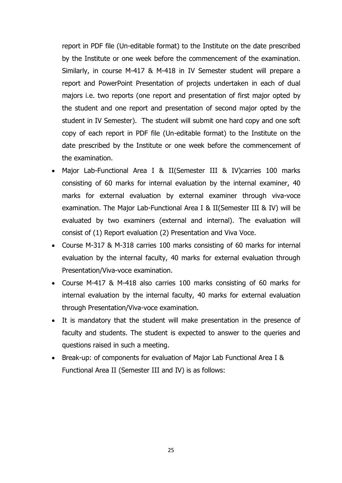report in PDF file (Un-editable format) to the Institute on the date prescribed by the Institute or one week before the commencement of the examination. Similarly, in course M-417 & M-418 in IV Semester student will prepare a report and PowerPoint Presentation of projects undertaken in each of dual majors i.e. two reports (one report and presentation of first major opted by the student and one report and presentation of second major opted by the student in IV Semester). The student will submit one hard copy and one soft copy of each report in PDF file (Un-editable format) to the Institute on the date prescribed by the Institute or one week before the commencement of the examination.

- Major Lab-Functional Area I & II(Semester III & IV)carries 100 marks consisting of 60 marks for internal evaluation by the internal examiner, 40 marks for external evaluation by external examiner through viva-voce examination. The Major Lab-Functional Area I & II(Semester III & IV) will be evaluated by two examiners (external and internal). The evaluation will consist of (1) Report evaluation (2) Presentation and Viva Voce.
- Course M-317 & M-318 carries 100 marks consisting of 60 marks for internal evaluation by the internal faculty, 40 marks for external evaluation through Presentation/Viva-voce examination.
- Course M-417 & M-418 also carries 100 marks consisting of 60 marks for internal evaluation by the internal faculty, 40 marks for external evaluation through Presentation/Viva-voce examination.
- It is mandatory that the student will make presentation in the presence of faculty and students. The student is expected to answer to the queries and questions raised in such a meeting.
- Break-up: of components for evaluation of Major Lab Functional Area I & Functional Area II (Semester III and IV) is as follows: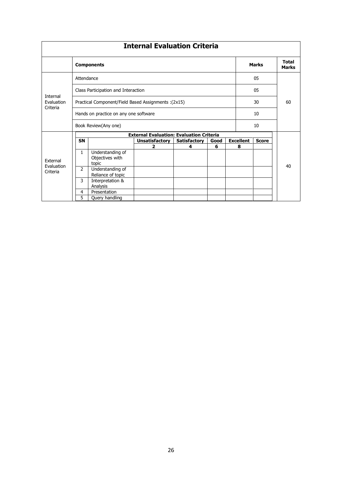|                                    |                                       |                                                      | <b>Internal Evaluation Criteria</b>             |                     |      |              |                              |              |    |
|------------------------------------|---------------------------------------|------------------------------------------------------|-------------------------------------------------|---------------------|------|--------------|------------------------------|--------------|----|
|                                    | <b>Components</b>                     |                                                      |                                                 |                     |      | <b>Marks</b> | <b>Total</b><br><b>Marks</b> |              |    |
| Attendance                         |                                       |                                                      |                                                 |                     | 05   |              |                              |              |    |
|                                    |                                       | Class Participation and Interaction                  |                                                 |                     |      |              |                              | 05           |    |
| Internal<br>Evaluation<br>Criteria |                                       | Practical Component/Field Based Assignments : (2x15) |                                                 |                     |      |              |                              | 30           | 60 |
|                                    | Hands on practice on any one software |                                                      |                                                 |                     |      |              | 10                           |              |    |
| Book Review(Any one)               |                                       |                                                      |                                                 | 10                  |      |              |                              |              |    |
|                                    |                                       |                                                      | <b>External Evaluation: Evaluation Criteria</b> |                     |      |              |                              |              |    |
|                                    | <b>SN</b>                             |                                                      | <b>Unsatisfactory</b>                           | <b>Satisfactory</b> | Good |              | <b>Excellent</b>             | <b>Score</b> |    |
|                                    |                                       |                                                      | 2                                               | 4                   | 6    |              | 8                            |              |    |
|                                    | $\mathbf{1}$                          | Understanding of                                     |                                                 |                     |      |              |                              |              |    |
| <b>Fxternal</b>                    |                                       | Objectives with                                      |                                                 |                     |      |              |                              |              |    |
| Evaluation                         |                                       | topic                                                |                                                 |                     |      |              |                              |              | 40 |
| Criteria                           | $\overline{2}$                        | Understanding of                                     |                                                 |                     |      |              |                              |              |    |
|                                    |                                       | Reliance of topic                                    |                                                 |                     |      |              |                              |              |    |
|                                    | 3                                     | Interpretation &                                     |                                                 |                     |      |              |                              |              |    |
|                                    |                                       | Analysis                                             |                                                 |                     |      |              |                              |              |    |
|                                    | 4                                     | Presentation                                         |                                                 |                     |      |              |                              |              |    |
|                                    | 5                                     | Query handling                                       |                                                 |                     |      |              |                              |              |    |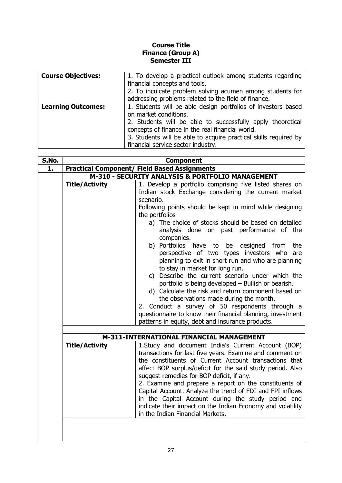#### **Course Title Finance (Group A) Semester III**

| <b>Course Objectives:</b> | 1. To develop a practical outlook among students regarding<br>financial concepts and tools.<br>2. To inculcate problem solving acumen among students for<br>addressing problems related to the field of finance. |
|---------------------------|------------------------------------------------------------------------------------------------------------------------------------------------------------------------------------------------------------------|
|                           |                                                                                                                                                                                                                  |
| <b>Learning Outcomes:</b> | 1. Students will be able design portfolios of investors based<br>on market conditions.                                                                                                                           |
|                           | 2. Students will be able to successfully apply theoretical<br>concepts of finance in the real financial world.                                                                                                   |
|                           | 3. Students will be able to acquire practical skills required by<br>financial service sector industry.                                                                                                           |

| S.No. | <b>Component</b>                                    |                                                                                                                                                                                                                                                                                                                                                                                                                                                                                                                                                                                                                                                                                                                                                                                      |  |  |
|-------|-----------------------------------------------------|--------------------------------------------------------------------------------------------------------------------------------------------------------------------------------------------------------------------------------------------------------------------------------------------------------------------------------------------------------------------------------------------------------------------------------------------------------------------------------------------------------------------------------------------------------------------------------------------------------------------------------------------------------------------------------------------------------------------------------------------------------------------------------------|--|--|
| 1.    | <b>Practical Component/ Field Based Assignments</b> |                                                                                                                                                                                                                                                                                                                                                                                                                                                                                                                                                                                                                                                                                                                                                                                      |  |  |
|       | M-310 - SECURITY ANALYSIS & PORTFOLIO MANAGEMENT    |                                                                                                                                                                                                                                                                                                                                                                                                                                                                                                                                                                                                                                                                                                                                                                                      |  |  |
|       | <b>Title/Activity</b>                               | 1. Develop a portfolio comprising five listed shares on<br>Indian stock Exchange considering the current market<br>scenario.<br>Following points should be kept in mind while designing<br>the portfolios<br>a) The choice of stocks should be based on detailed<br>analysis done on past performance of the<br>companies.<br>b) Portfolios have to be designed from<br>the<br>perspective of two types investors who<br>are<br>planning to exit in short run and who are planning<br>to stay in market for long run.<br>c) Describe the current scenario under which the<br>portfolio is being developed - Bullish or bearish.<br>d) Calculate the risk and return component based on<br>the observations made during the month.<br>2. Conduct a survey of 50 respondents through a |  |  |
|       |                                                     | questionnaire to know their financial planning, investment<br>patterns in equity, debt and insurance products.                                                                                                                                                                                                                                                                                                                                                                                                                                                                                                                                                                                                                                                                       |  |  |
|       |                                                     |                                                                                                                                                                                                                                                                                                                                                                                                                                                                                                                                                                                                                                                                                                                                                                                      |  |  |
|       |                                                     | M-311-INTERNATIONAL FINANCIAL MANAGEMENT                                                                                                                                                                                                                                                                                                                                                                                                                                                                                                                                                                                                                                                                                                                                             |  |  |
|       | <b>Title/Activity</b>                               | 1. Study and document India's Current Account (BOP)<br>transactions for last five years. Examine and comment on<br>the constituents of Current Account transactions that<br>affect BOP surplus/deficit for the said study period. Also<br>suggest remedies for BOP deficit, if any.<br>2. Examine and prepare a report on the constituents of<br>Capital Account. Analyze the trend of FDI and FPI inflows<br>in the Capital Account during the study period and<br>indicate their impact on the Indian Economy and volatility<br>in the Indian Financial Markets.                                                                                                                                                                                                                   |  |  |
|       |                                                     |                                                                                                                                                                                                                                                                                                                                                                                                                                                                                                                                                                                                                                                                                                                                                                                      |  |  |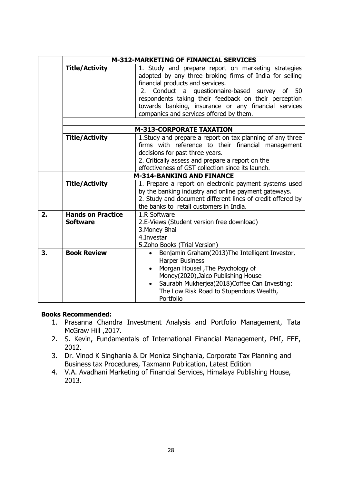|    | <b>M-312-MARKETING OF FINANCIAL SERVICES</b>                                                                                                                                                                                                                                                                                                                                                |                                                                                                                                                                                                                                                                                                    |  |  |
|----|---------------------------------------------------------------------------------------------------------------------------------------------------------------------------------------------------------------------------------------------------------------------------------------------------------------------------------------------------------------------------------------------|----------------------------------------------------------------------------------------------------------------------------------------------------------------------------------------------------------------------------------------------------------------------------------------------------|--|--|
|    | <b>Title/Activity</b><br>1. Study and prepare report on marketing strategies<br>adopted by any three broking firms of India for selling<br>financial products and services.<br>Conduct a questionnaire-based survey of 50<br>2.<br>respondents taking their feedback on their perception<br>towards banking, insurance or any financial services<br>companies and services offered by them. |                                                                                                                                                                                                                                                                                                    |  |  |
|    |                                                                                                                                                                                                                                                                                                                                                                                             | <b>M-313-CORPORATE TAXATION</b>                                                                                                                                                                                                                                                                    |  |  |
|    | <b>Title/Activity</b>                                                                                                                                                                                                                                                                                                                                                                       | 1. Study and prepare a report on tax planning of any three<br>firms with reference to their financial management<br>decisions for past three years.<br>2. Critically assess and prepare a report on the<br>effectiveness of GST collection since its launch.                                       |  |  |
|    | <b>M-314-BANKING AND FINANCE</b>                                                                                                                                                                                                                                                                                                                                                            |                                                                                                                                                                                                                                                                                                    |  |  |
|    | <b>Title/Activity</b>                                                                                                                                                                                                                                                                                                                                                                       | 1. Prepare a report on electronic payment systems used<br>by the banking industry and online payment gateways.<br>2. Study and document different lines of credit offered by<br>the banks to retail customers in India.                                                                            |  |  |
| 2. | <b>Hands on Practice</b><br><b>Software</b>                                                                                                                                                                                                                                                                                                                                                 | 1.R Software<br>2.E-Views (Student version free download)<br>3. Money Bhai<br>4. Investar<br>5. Zoho Books (Trial Version)                                                                                                                                                                         |  |  |
| 3. | <b>Book Review</b>                                                                                                                                                                                                                                                                                                                                                                          | Benjamin Graham(2013)The Intelligent Investor,<br>$\bullet$<br><b>Harper Business</b><br>Morgan Housel, The Psychology of<br>$\bullet$<br>Money(2020), Jaico Publishing House<br>Saurabh Mukherjea(2018)Coffee Can Investing:<br>$\bullet$<br>The Low Risk Road to Stupendous Wealth,<br>Portfolio |  |  |

#### **Books Recommended:**

- 1. Prasanna Chandra Investment Analysis and Portfolio Management, Tata McGraw Hill , 2017.
- 2. S. Kevin, Fundamentals of International Financial Management, PHI, EEE, 2012.
- 3. Dr. Vinod K Singhania & Dr Monica Singhania, Corporate Tax Planning and Business tax Procedures, Taxmann Publication, Latest Edition
- 4. V.A. Avadhani Marketing of Financial Services, Himalaya Publishing House, 2013.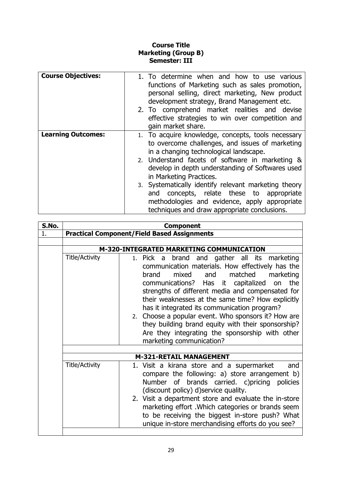#### **Course Title Marketing (Group B) Semester: III**

| <b>Course Objectives:</b> | 1. To determine when and how to use various<br>functions of Marketing such as sales promotion,<br>personal selling, direct marketing, New product<br>development strategy, Brand Management etc.<br>2. To comprehend market realities and devise<br>effective strategies to win over competition and<br>gain market share. |
|---------------------------|----------------------------------------------------------------------------------------------------------------------------------------------------------------------------------------------------------------------------------------------------------------------------------------------------------------------------|
| <b>Learning Outcomes:</b> | 1. To acquire knowledge, concepts, tools necessary<br>to overcome challenges, and issues of marketing<br>in a changing technological landscape.                                                                                                                                                                            |
|                           | 2. Understand facets of software in marketing &<br>develop in depth understanding of Softwares used<br>in Marketing Practices.                                                                                                                                                                                             |
|                           | 3. Systematically identify relevant marketing theory<br>concepts, relate these to appropriate<br>and<br>methodologies and evidence, apply appropriate<br>techniques and draw appropriate conclusions.                                                                                                                      |

| S.No. | <b>Component</b>                                   |                                                                                                                                                                                                                                                                                                                                                                                                                                                                                                                                                                 |  |  |  |  |
|-------|----------------------------------------------------|-----------------------------------------------------------------------------------------------------------------------------------------------------------------------------------------------------------------------------------------------------------------------------------------------------------------------------------------------------------------------------------------------------------------------------------------------------------------------------------------------------------------------------------------------------------------|--|--|--|--|
| 1.    | <b>Practical Component/Field Based Assignments</b> |                                                                                                                                                                                                                                                                                                                                                                                                                                                                                                                                                                 |  |  |  |  |
|       |                                                    |                                                                                                                                                                                                                                                                                                                                                                                                                                                                                                                                                                 |  |  |  |  |
|       |                                                    | M-320-INTEGRATED MARKETING COMMUNICATION                                                                                                                                                                                                                                                                                                                                                                                                                                                                                                                        |  |  |  |  |
|       | <b>Title/Activity</b>                              | and gather all its marketing<br>1. Pick a<br>brand<br>communication materials. How effectively has the<br>matched<br>mixed<br>and<br>marketing<br>brand<br>communications? Has it capitalized<br>the<br>on<br>strengths of different media and compensated for<br>their weaknesses at the same time? How explicitly<br>has it integrated its communication program?<br>2. Choose a popular event. Who sponsors it? How are<br>they building brand equity with their sponsorship?<br>Are they integrating the sponsorship with other<br>marketing communication? |  |  |  |  |
|       | <b>M-321-RETAIL MANAGEMENT</b>                     |                                                                                                                                                                                                                                                                                                                                                                                                                                                                                                                                                                 |  |  |  |  |
|       | <b>Title/Activity</b>                              | 1. Visit a kirana store and a supermarket<br>and<br>compare the following: a) store arrangement b)<br>Number of brands carried. c)pricing policies<br>(discount policy) d)service quality.<br>2. Visit a department store and evaluate the in-store<br>marketing effort . Which categories or brands seem<br>to be receiving the biggest in-store push? What<br>unique in-store merchandising efforts do you see?                                                                                                                                               |  |  |  |  |
|       |                                                    |                                                                                                                                                                                                                                                                                                                                                                                                                                                                                                                                                                 |  |  |  |  |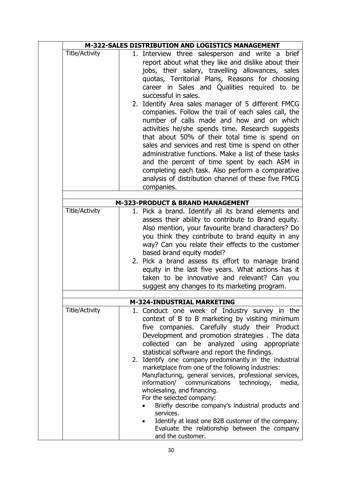|                       | M-322-SALES DISTRIBUTION AND LOGISTICS MANAGEMENT                                                                                                                                                                                                                                                                                                                                                                                                                                                                                                                                                                                                                                                                                                                                                                                             |
|-----------------------|-----------------------------------------------------------------------------------------------------------------------------------------------------------------------------------------------------------------------------------------------------------------------------------------------------------------------------------------------------------------------------------------------------------------------------------------------------------------------------------------------------------------------------------------------------------------------------------------------------------------------------------------------------------------------------------------------------------------------------------------------------------------------------------------------------------------------------------------------|
| <b>Title/Activity</b> | 1. Interview three salesperson and write a brief<br>report about what they like and dislike about their<br>jobs, their salary, travelling allowances, sales<br>quotas, Territorial Plans, Reasons for choosing<br>career in Sales and Qualities required to be<br>successful in sales.<br>2. Identify Area sales manager of 5 different FMCG<br>companies. Follow the trail of each sales call, the<br>number of calls made and how and on which<br>activities he/she spends time. Research suggests<br>that about 50% of their total time is spend on<br>sales and services and rest time is spend on other<br>administrative functions. Make a list of these tasks<br>and the percent of time spent by each ASM in<br>completing each task. Also perform a comparative<br>analysis of distribution channel of these five FMCG<br>companies. |
|                       | M-323-PRODUCT & BRAND MANAGEMENT                                                                                                                                                                                                                                                                                                                                                                                                                                                                                                                                                                                                                                                                                                                                                                                                              |
| <b>Title/Activity</b> | 1. Pick a brand. Identify all its brand elements and<br>assess their ability to contribute to Brand equity.<br>Also mention, your favourite brand characters? Do<br>you think they contribute to brand equity in any<br>way? Can you relate their effects to the customer<br>based brand equity model?<br>2. Pick a brand assess its effort to manage brand<br>equity in the last five years. What actions has it<br>taken to be innovative and relevant? Can you<br>suggest any changes to its marketing program.                                                                                                                                                                                                                                                                                                                            |
|                       | <b>M-324-INDUSTRIAL MARKETING</b>                                                                                                                                                                                                                                                                                                                                                                                                                                                                                                                                                                                                                                                                                                                                                                                                             |
| <b>Title/Activity</b> | 1. Conduct one week of Industry survey in the<br>context of B to B marketing by visiting minimum<br>five companies. Carefully study their Product<br>Development and promotion strategies. The data<br>collected can be analyzed using appropriate<br>statistical software and report the findings.<br>2. Identify one company predominantly in the industrial<br>marketplace from one of the following industries:<br>Manufacturing, general services, professional services,<br>information/<br>technology,<br>communications<br>media,<br>wholesaling, and financing.<br>For the selected company:<br>Briefly describe company's industrial products and<br>services.                                                                                                                                                                      |
|                       | Identify at least one B2B customer of the company.<br>Evaluate the relationship between the company<br>and the customer.                                                                                                                                                                                                                                                                                                                                                                                                                                                                                                                                                                                                                                                                                                                      |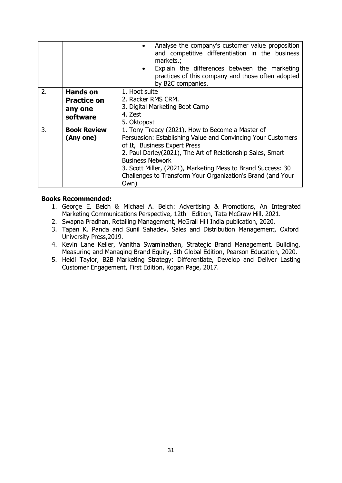|    |                                                              | Analyse the company's customer value proposition<br>and competitive differentiation in the business<br>markets.;<br>Explain the differences between the marketing<br>practices of this company and those often adopted<br>by B2C companies.                                                                                                                                      |
|----|--------------------------------------------------------------|----------------------------------------------------------------------------------------------------------------------------------------------------------------------------------------------------------------------------------------------------------------------------------------------------------------------------------------------------------------------------------|
| 2. | <b>Hands on</b><br><b>Practice on</b><br>any one<br>software | 1. Hoot suite<br>2. Racker RMS CRM.<br>3. Digital Marketing Boot Camp<br>4. Zest<br>5. Oktopost                                                                                                                                                                                                                                                                                  |
| 3. | <b>Book Review</b><br>(Any one)                              | 1. Tony Treacy (2021), How to Become a Master of<br>Persuasion: Establishing Value and Convincing Your Customers<br>of It, Business Expert Press<br>2. Paul Darley(2021), The Art of Relationship Sales, Smart<br><b>Business Network</b><br>3. Scott Miller, (2021), Marketing Mess to Brand Success: 30<br>Challenges to Transform Your Organization's Brand (and Your<br>Own) |

#### **Books Recommended:**

- 1. George E. Belch & Michael A. Belch: Advertising & Promotions, An Integrated Marketing Communications Perspective, 12th Edition, Tata McGraw Hill, 2021.
- 2. Swapna Pradhan, Retailing Management, McGrall Hill India publication, 2020.
- 3. Tapan K. Panda and Sunil Sahadev, Sales and Distribution Management, Oxford University Press,2019.
- 4. Kevin Lane Keller, Vanitha Swaminathan, Strategic Brand Management. Building, Measuring and Managing Brand Equity, 5th Global Edition, Pearson Education, 2020.
- 5. Heidi Taylor, B2B Marketing Strategy: Differentiate, Develop and Deliver Lasting Customer Engagement, First Edition, Kogan Page, 2017.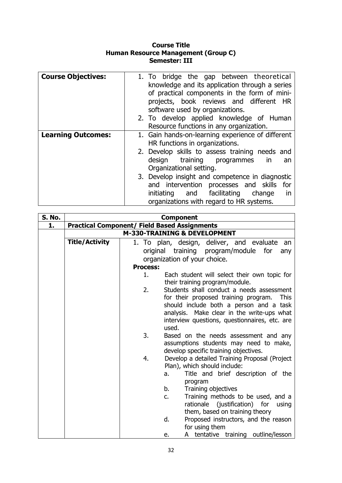#### **Course Title Human Resource Management (Group C) Semester: III**

| <b>Course Objectives:</b> | 1. To bridge the gap between theoretical          |
|---------------------------|---------------------------------------------------|
|                           | knowledge and its application through a series    |
|                           | of practical components in the form of mini-      |
|                           | projects, book reviews and different HR           |
|                           | software used by organizations.                   |
|                           | 2. To develop applied knowledge of Human          |
|                           | Resource functions in any organization.           |
| <b>Learning Outcomes:</b> | 1. Gain hands-on-learning experience of different |
|                           | HR functions in organizations.                    |
|                           | 2. Develop skills to assess training needs and    |
|                           | design training programmes<br><i>in</i><br>an     |
|                           | Organizational setting.                           |
|                           | 3. Develop insight and competence in diagnostic   |
|                           | and intervention processes and skills for         |
|                           | initiating and facilitating<br>change<br>in       |
|                           | organizations with regard to HR systems.          |

| <b>S. No.</b> |                       | <b>Component</b>                                                                |
|---------------|-----------------------|---------------------------------------------------------------------------------|
| 1.            |                       | <b>Practical Component/ Field Based Assignments</b>                             |
|               |                       | <b>M-330-TRAINING &amp; DEVELOPMENT</b>                                         |
|               | <b>Title/Activity</b> | 1. To plan, design, deliver, and evaluate<br>an an                              |
|               |                       | original training program/module for<br>any                                     |
|               |                       | organization of your choice.                                                    |
|               |                       | <b>Process:</b>                                                                 |
|               |                       | Each student will select their own topic for<br>1.                              |
|               |                       | their training program/module.                                                  |
|               |                       | Students shall conduct a needs assessment<br>2.                                 |
|               |                       | for their proposed training program.<br><b>This</b>                             |
|               |                       | should include both a person and a task                                         |
|               |                       | analysis. Make clear in the write-ups what                                      |
|               |                       | interview questions, questionnaires, etc. are                                   |
|               |                       | used.<br>3.                                                                     |
|               |                       | Based on the needs assessment and any<br>assumptions students may need to make, |
|               |                       | develop specific training objectives.                                           |
|               |                       | Develop a detailed Training Proposal (Project<br>4.                             |
|               |                       | Plan), which should include:                                                    |
|               |                       | Title and brief description of the<br>a.                                        |
|               |                       | program                                                                         |
|               |                       | b.<br>Training objectives                                                       |
|               |                       | Training methods to be used, and a<br>$C_{1}$                                   |
|               |                       | rationale (justification) for<br>using                                          |
|               |                       | them, based on training theory                                                  |
|               |                       | d.<br>Proposed instructors, and the reason                                      |
|               |                       | for using them                                                                  |
|               |                       | A tentative training outline/lesson<br>e.                                       |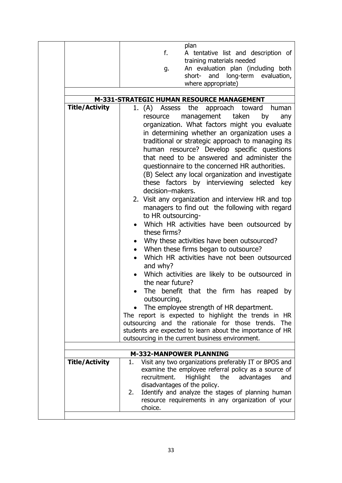|                       | plan<br>f.<br>A tentative list and description of<br>training materials needed<br>An evaluation plan (including both<br>g.<br>and<br>long-term evaluation,<br>short-<br>where appropriate)                                                                                                                                                                                                                                                                                                                                                                                                                                                                                                                                                                                                                                                                                                                                                                                                                                                                                                                                                                                                                                               |
|-----------------------|------------------------------------------------------------------------------------------------------------------------------------------------------------------------------------------------------------------------------------------------------------------------------------------------------------------------------------------------------------------------------------------------------------------------------------------------------------------------------------------------------------------------------------------------------------------------------------------------------------------------------------------------------------------------------------------------------------------------------------------------------------------------------------------------------------------------------------------------------------------------------------------------------------------------------------------------------------------------------------------------------------------------------------------------------------------------------------------------------------------------------------------------------------------------------------------------------------------------------------------|
|                       | M-331-STRATEGIC HUMAN RESOURCE MANAGEMENT                                                                                                                                                                                                                                                                                                                                                                                                                                                                                                                                                                                                                                                                                                                                                                                                                                                                                                                                                                                                                                                                                                                                                                                                |
| <b>Title/Activity</b> | 1. (A)<br>Assess<br>the<br>approach toward<br>human<br>taken<br>management<br>by<br>resource<br>any<br>organization. What factors might you evaluate<br>in determining whether an organization uses a<br>traditional or strategic approach to managing its<br>human resource? Develop specific questions<br>that need to be answered and administer the<br>questionnaire to the concerned HR authorities.<br>(B) Select any local organization and investigate<br>these factors by interviewing selected key<br>decision-makers.<br>2. Visit any organization and interview HR and top<br>managers to find out the following with regard<br>to HR outsourcing-<br>Which HR activities have been outsourced by<br>these firms?<br>Why these activities have been outsourced?<br>When these firms began to outsource?<br>Which HR activities have not been outsourced<br>and why?<br>Which activities are likely to be outsourced in<br>the near future?<br>The benefit that the firm has reaped by<br>outsourcing,<br>The employee strength of HR department.<br>The report is expected to highlight the trends in HR<br>outsourcing and the rationale for those trends. The<br>students are expected to learn about the importance of HR |
|                       | outsourcing in the current business environment.                                                                                                                                                                                                                                                                                                                                                                                                                                                                                                                                                                                                                                                                                                                                                                                                                                                                                                                                                                                                                                                                                                                                                                                         |
|                       | <b>M-332-MANPOWER PLANNING</b>                                                                                                                                                                                                                                                                                                                                                                                                                                                                                                                                                                                                                                                                                                                                                                                                                                                                                                                                                                                                                                                                                                                                                                                                           |
| <b>Title/Activity</b> | Visit any two organizations preferably IT or BPOS and<br>1.<br>examine the employee referral policy as a source of<br>recruitment.<br><b>Highlight</b><br>the<br>advantages<br>and<br>disadvantages of the policy.<br>Identify and analyze the stages of planning human<br>2.<br>resource requirements in any organization of your                                                                                                                                                                                                                                                                                                                                                                                                                                                                                                                                                                                                                                                                                                                                                                                                                                                                                                       |
|                       | choice.                                                                                                                                                                                                                                                                                                                                                                                                                                                                                                                                                                                                                                                                                                                                                                                                                                                                                                                                                                                                                                                                                                                                                                                                                                  |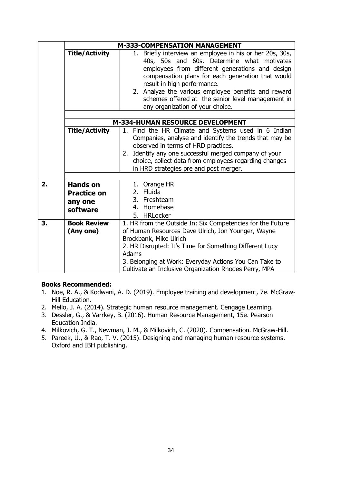|    |                                                              | <b>M-333-COMPENSATION MANAGEMENT</b>                                                                                                                                                                                                                                                                                                                                                          |  |  |  |  |
|----|--------------------------------------------------------------|-----------------------------------------------------------------------------------------------------------------------------------------------------------------------------------------------------------------------------------------------------------------------------------------------------------------------------------------------------------------------------------------------|--|--|--|--|
|    | <b>Title/Activity</b>                                        | 1. Briefly interview an employee in his or her 20s, 30s,<br>40s, 50s and 60s. Determine what motivates<br>employees from different generations and design<br>compensation plans for each generation that would<br>result in high performance.<br>2. Analyze the various employee benefits and reward<br>schemes offered at the senior level management in<br>any organization of your choice. |  |  |  |  |
|    |                                                              |                                                                                                                                                                                                                                                                                                                                                                                               |  |  |  |  |
|    | <b>M-334-HUMAN RESOURCE DEVELOPMENT</b>                      |                                                                                                                                                                                                                                                                                                                                                                                               |  |  |  |  |
|    | <b>Title/Activity</b>                                        | 1. Find the HR Climate and Systems used in 6 Indian<br>Companies, analyse and identify the trends that may be<br>observed in terms of HRD practices.<br>2. Identify any one successful merged company of your<br>choice, collect data from employees regarding changes<br>in HRD strategies pre and post merger.                                                                              |  |  |  |  |
|    |                                                              |                                                                                                                                                                                                                                                                                                                                                                                               |  |  |  |  |
| 2. | <b>Hands on</b><br><b>Practice on</b><br>any one<br>software | 1. Orange HR<br>2. Fluida<br>3. Freshteam<br>4. Homebase<br>5. HRLocker                                                                                                                                                                                                                                                                                                                       |  |  |  |  |
| 3. | <b>Book Review</b><br>(Any one)                              | 1. HR from the Outside In: Six Competencies for the Future<br>of Human Resources Dave Ulrich, Jon Younger, Wayne<br>Brockbank, Mike Ulrich<br>2. HR Disrupted: It's Time for Something Different Lucy<br><b>Adams</b><br>3. Belonging at Work: Everyday Actions You Can Take to<br>Cultivate an Inclusive Organization Rhodes Perry, MPA                                                      |  |  |  |  |

#### **Books Recommended:**

- 1. Noe, R. A., & Kodwani, A. D. (2019). Employee training and development, 7e. McGraw-Hill Education.
- 2. Mello, J. A. (2014). Strategic human resource management. Cengage Learning.
- 3. Dessler, G., & Varrkey, B. (2016). Human Resource Management, 15e. Pearson Education India.
- 4. Milkovich, G. T., Newman, J. M., & Milkovich, C. (2020). Compensation. McGraw-Hill.
- 5. Pareek, U., & Rao, T. V. (2015). Designing and managing human resource systems. Oxford and IBH publishing.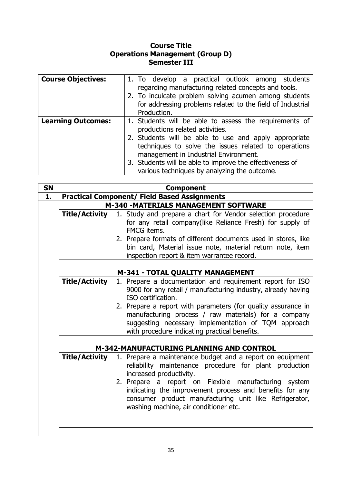#### **Course Title Operations Management (Group D) Semester III**

| <b>Course Objectives:</b> | 1. To develop a practical outlook among students<br>regarding manufacturing related concepts and tools.<br>2. To inculcate problem solving acumen among students<br>for addressing problems related to the field of Industrial<br>Production. |
|---------------------------|-----------------------------------------------------------------------------------------------------------------------------------------------------------------------------------------------------------------------------------------------|
| <b>Learning Outcomes:</b> | 1. Students will be able to assess the requirements of                                                                                                                                                                                        |
|                           | productions related activities.                                                                                                                                                                                                               |
|                           | 2. Students will be able to use and apply appropriate                                                                                                                                                                                         |
|                           | techniques to solve the issues related to operations                                                                                                                                                                                          |
|                           | management in Industrial Environment.                                                                                                                                                                                                         |
|                           | 3. Students will be able to improve the effectiveness of                                                                                                                                                                                      |
|                           | various techniques by analyzing the outcome.                                                                                                                                                                                                  |

| <b>SN</b> |                                                     | <b>Component</b>                                                                                                                                                                                                                                                                                                     |  |  |
|-----------|-----------------------------------------------------|----------------------------------------------------------------------------------------------------------------------------------------------------------------------------------------------------------------------------------------------------------------------------------------------------------------------|--|--|
| 1.        | <b>Practical Component/ Field Based Assignments</b> |                                                                                                                                                                                                                                                                                                                      |  |  |
|           | M-340 -MATERIALS MANAGEMENT SOFTWARE                |                                                                                                                                                                                                                                                                                                                      |  |  |
|           | <b>Title/Activity</b>                               | 1. Study and prepare a chart for Vendor selection procedure<br>for any retail company(like Reliance Fresh) for supply of<br>FMCG items.<br>2. Prepare formats of different documents used in stores, like<br>bin card, Material issue note, material return note, item<br>inspection report & item warrantee record. |  |  |
|           |                                                     |                                                                                                                                                                                                                                                                                                                      |  |  |
|           | M-341 - TOTAL QUALITY MANAGEMENT                    |                                                                                                                                                                                                                                                                                                                      |  |  |
|           | <b>Title/Activity</b>                               | 1. Prepare a documentation and requirement report for ISO<br>9000 for any retail / manufacturing industry, already having<br>ISO certification.                                                                                                                                                                      |  |  |
|           |                                                     | 2. Prepare a report with parameters (for quality assurance in<br>manufacturing process / raw materials) for a company<br>suggesting necessary implementation of TQM approach<br>with procedure indicating practical benefits.                                                                                        |  |  |
|           |                                                     |                                                                                                                                                                                                                                                                                                                      |  |  |
|           |                                                     | M-342-MANUFACTURING PLANNING AND CONTROL                                                                                                                                                                                                                                                                             |  |  |
|           | Title/Activity                                      | 1. Prepare a maintenance budget and a report on equipment<br>reliability maintenance procedure for plant production<br>increased productivity.                                                                                                                                                                       |  |  |
|           |                                                     | 2. Prepare a report on Flexible manufacturing system<br>indicating the improvement process and benefits for any<br>consumer product manufacturing unit like Refrigerator,<br>washing machine, air conditioner etc.                                                                                                   |  |  |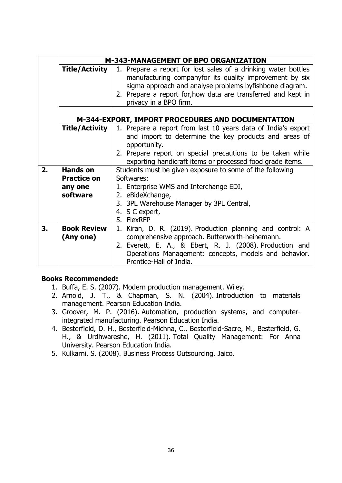|                                                                                                                                                                                                                                                                                                          | <b>M-343-MANAGEMENT OF BPO ORGANIZATION</b>       |                                                                                                                                        |  |  |  |
|----------------------------------------------------------------------------------------------------------------------------------------------------------------------------------------------------------------------------------------------------------------------------------------------------------|---------------------------------------------------|----------------------------------------------------------------------------------------------------------------------------------------|--|--|--|
| 1. Prepare a report for lost sales of a drinking water bottles<br><b>Title/Activity</b><br>manufacturing companyfor its quality improvement by six<br>sigma approach and analyse problems byfishbone diagram.<br>2. Prepare a report for, how data are transferred and kept in<br>privacy in a BPO firm. |                                                   |                                                                                                                                        |  |  |  |
|                                                                                                                                                                                                                                                                                                          | M-344-EXPORT, IMPORT PROCEDURES AND DOCUMENTATION |                                                                                                                                        |  |  |  |
|                                                                                                                                                                                                                                                                                                          |                                                   |                                                                                                                                        |  |  |  |
|                                                                                                                                                                                                                                                                                                          | <b>Title/Activity</b>                             | 1. Prepare a report from last 10 years data of India's export<br>and import to determine the key products and areas of<br>opportunity. |  |  |  |
|                                                                                                                                                                                                                                                                                                          |                                                   | 2. Prepare report on special precautions to be taken while<br>exporting handicraft items or processed food grade items.                |  |  |  |
| 2.                                                                                                                                                                                                                                                                                                       | <b>Hands on</b>                                   | Students must be given exposure to some of the following                                                                               |  |  |  |
|                                                                                                                                                                                                                                                                                                          | <b>Practice on</b>                                | Softwares:                                                                                                                             |  |  |  |
|                                                                                                                                                                                                                                                                                                          | any one                                           | 1. Enterprise WMS and Interchange EDI,                                                                                                 |  |  |  |
|                                                                                                                                                                                                                                                                                                          | software                                          | 2. eBideXchange,                                                                                                                       |  |  |  |
|                                                                                                                                                                                                                                                                                                          |                                                   | 3. 3PL Warehouse Manager by 3PL Central,                                                                                               |  |  |  |
|                                                                                                                                                                                                                                                                                                          |                                                   | 4. S C expert,                                                                                                                         |  |  |  |
|                                                                                                                                                                                                                                                                                                          |                                                   | 5. FlexRFP                                                                                                                             |  |  |  |
| 3.                                                                                                                                                                                                                                                                                                       | <b>Book Review</b>                                | 1. Kiran, D. R. (2019). Production planning and control: A                                                                             |  |  |  |
|                                                                                                                                                                                                                                                                                                          | (Any one)                                         | comprehensive approach. Butterworth-heinemann.                                                                                         |  |  |  |
|                                                                                                                                                                                                                                                                                                          |                                                   | 2. Everett, E. A., & Ebert, R. J. (2008). Production and                                                                               |  |  |  |
|                                                                                                                                                                                                                                                                                                          |                                                   | Operations Management: concepts, models and behavior.<br>Prentice-Hall of India.                                                       |  |  |  |

#### **Books Recommended:**

- 1. Buffa, E. S. (2007). Modern production management. Wiley.
- 2. Arnold, J. T., & Chapman, S. N. (2004). Introduction to materials management. Pearson Education India.
- 3. Groover, M. P. (2016). Automation, production systems, and computerintegrated manufacturing. Pearson Education India.
- 4. Besterfield, D. H., Besterfield-Michna, C., Besterfield-Sacre, M., Besterfield, G. H., & Urdhwareshe, H. (2011). Total Quality Management: For Anna University. Pearson Education India.
- 5. Kulkarni, S. (2008). Business Process Outsourcing. Jaico.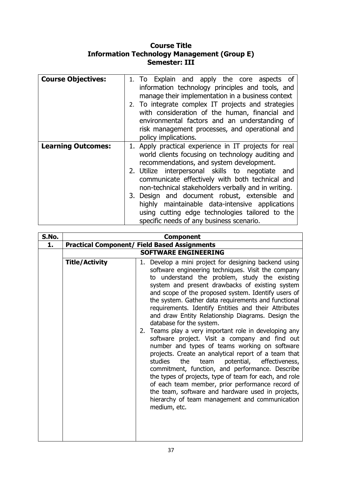### **Course Title Information Technology Management (Group E) Semester: III**

| <b>Course Objectives:</b> | 1. To Explain and apply the core aspects of<br>information technology principles and tools, and<br>manage their implementation in a business context<br>2. To integrate complex IT projects and strategies<br>with consideration of the human, financial and<br>environmental factors and an understanding of<br>risk management processes, and operational and |
|---------------------------|-----------------------------------------------------------------------------------------------------------------------------------------------------------------------------------------------------------------------------------------------------------------------------------------------------------------------------------------------------------------|
|                           | policy implications.                                                                                                                                                                                                                                                                                                                                            |
| <b>Learning Outcomes:</b> | 1. Apply practical experience in IT projects for real<br>world clients focusing on technology auditing and<br>recommendations, and system development.                                                                                                                                                                                                          |
|                           | 2. Utilize interpersonal skills to negotiate<br>and<br>communicate effectively with both technical and<br>non-technical stakeholders verbally and in writing.                                                                                                                                                                                                   |
|                           | 3. Design and document robust, extensible and<br>highly maintainable data-intensive applications<br>using cutting edge technologies tailored to the<br>specific needs of any business scenario.                                                                                                                                                                 |

| S.No. | <b>Component</b>                                    |                                                                                                                                                                                                                                                                                                                                                                                                                                                                                                                                                                                                                                                                                                                                                                                                                                                                                                                                                                                                                                        |  |  |  |  |  |  |
|-------|-----------------------------------------------------|----------------------------------------------------------------------------------------------------------------------------------------------------------------------------------------------------------------------------------------------------------------------------------------------------------------------------------------------------------------------------------------------------------------------------------------------------------------------------------------------------------------------------------------------------------------------------------------------------------------------------------------------------------------------------------------------------------------------------------------------------------------------------------------------------------------------------------------------------------------------------------------------------------------------------------------------------------------------------------------------------------------------------------------|--|--|--|--|--|--|
| 1.    | <b>Practical Component/ Field Based Assignments</b> |                                                                                                                                                                                                                                                                                                                                                                                                                                                                                                                                                                                                                                                                                                                                                                                                                                                                                                                                                                                                                                        |  |  |  |  |  |  |
|       | <b>SOFTWARE ENGINEERING</b>                         |                                                                                                                                                                                                                                                                                                                                                                                                                                                                                                                                                                                                                                                                                                                                                                                                                                                                                                                                                                                                                                        |  |  |  |  |  |  |
|       | <b>Title/Activity</b>                               | 1. Develop a mini project for designing backend using<br>software engineering techniques. Visit the company<br>to understand the problem, study the existing<br>system and present drawbacks of existing system<br>and scope of the proposed system. Identify users of<br>the system. Gather data requirements and functional<br>requirements. Identify Entities and their Attributes<br>and draw Entity Relationship Diagrams. Design the<br>database for the system.<br>2. Teams play a very important role in developing any<br>software project. Visit a company and find out<br>number and types of teams working on software<br>projects. Create an analytical report of a team that<br>team potential, effectiveness,<br>studies<br>the<br>commitment, function, and performance. Describe<br>the types of projects, type of team for each, and role<br>of each team member, prior performance record of<br>the team, software and hardware used in projects,<br>hierarchy of team management and communication<br>medium, etc. |  |  |  |  |  |  |
|       |                                                     |                                                                                                                                                                                                                                                                                                                                                                                                                                                                                                                                                                                                                                                                                                                                                                                                                                                                                                                                                                                                                                        |  |  |  |  |  |  |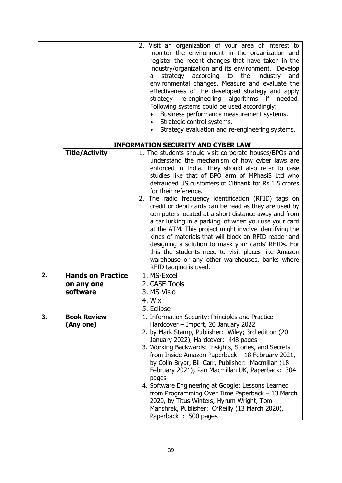|    |                                 | 2. Visit an organization of your area of interest to<br>monitor the environment in the organization and<br>register the recent changes that have taken in the<br>industry/organization and its environment. Develop<br>according to<br>the<br>industry<br>and<br>strategy<br>a<br>environmental changes. Measure and evaluate the<br>effectiveness of the developed strategy and apply<br>strategy re-engineering algorithms if needed.<br>Following systems could be used accordingly:                                                                                                                                                                 |  |  |  |  |  |  |  |
|----|---------------------------------|---------------------------------------------------------------------------------------------------------------------------------------------------------------------------------------------------------------------------------------------------------------------------------------------------------------------------------------------------------------------------------------------------------------------------------------------------------------------------------------------------------------------------------------------------------------------------------------------------------------------------------------------------------|--|--|--|--|--|--|--|
|    |                                 | Business performance measurement systems.<br>Strategic control systems.<br>$\bullet$<br>Strategy evaluation and re-engineering systems.<br>$\bullet$                                                                                                                                                                                                                                                                                                                                                                                                                                                                                                    |  |  |  |  |  |  |  |
|    |                                 |                                                                                                                                                                                                                                                                                                                                                                                                                                                                                                                                                                                                                                                         |  |  |  |  |  |  |  |
|    |                                 | <b>INFORMATION SECURITY AND CYBER LAW</b>                                                                                                                                                                                                                                                                                                                                                                                                                                                                                                                                                                                                               |  |  |  |  |  |  |  |
|    | <b>Title/Activity</b>           | 1. The students should visit corporate houses/BPOs and<br>understand the mechanism of how cyber laws are<br>enforced in India. They should also refer to case<br>studies like that of BPO arm of MPhasiS Ltd who<br>defrauded US customers of Citibank for Rs 1.5 crores                                                                                                                                                                                                                                                                                                                                                                                |  |  |  |  |  |  |  |
|    |                                 | for their reference.<br>2. The radio frequency identification (RFID) tags on<br>credit or debit cards can be read as they are used by<br>computers located at a short distance away and from<br>a car lurking in a parking lot when you use your card<br>at the ATM. This project might involve identifying the<br>kinds of materials that will block an RFID reader and<br>designing a solution to mask your cards' RFIDs. For<br>this the students need to visit places like Amazon<br>warehouse or any other warehouses, banks where<br>RFID tagging is used.                                                                                        |  |  |  |  |  |  |  |
| 2. | <b>Hands on Practice</b>        | 1. MS-Excel                                                                                                                                                                                                                                                                                                                                                                                                                                                                                                                                                                                                                                             |  |  |  |  |  |  |  |
|    | on any one                      | 2. CASE Tools                                                                                                                                                                                                                                                                                                                                                                                                                                                                                                                                                                                                                                           |  |  |  |  |  |  |  |
|    | software                        | 3. MS-Visio                                                                                                                                                                                                                                                                                                                                                                                                                                                                                                                                                                                                                                             |  |  |  |  |  |  |  |
|    |                                 | 4. Wix<br>5. Eclipse                                                                                                                                                                                                                                                                                                                                                                                                                                                                                                                                                                                                                                    |  |  |  |  |  |  |  |
| 3. | <b>Book Review</b><br>(Any one) | 1. Information Security: Principles and Practice<br>Hardcover - Import, 20 January 2022<br>2. by Mark Stamp, Publisher: Wiley; 3rd edition (20<br>January 2022), Hardcover: 448 pages<br>3. Working Backwards: Insights, Stories, and Secrets<br>from Inside Amazon Paperback - 18 February 2021,<br>by Colin Bryar, Bill Carr, Publisher: Macmillan (18<br>February 2021); Pan Macmillan UK, Paperback: 304<br>pages<br>4. Software Engineering at Google: Lessons Learned<br>from Programming Over Time Paperback $-13$ March<br>2020, by Titus Winters, Hyrum Wright, Tom<br>Manshrek, Publisher: O'Reilly (13 March 2020),<br>Paperback : 500 pages |  |  |  |  |  |  |  |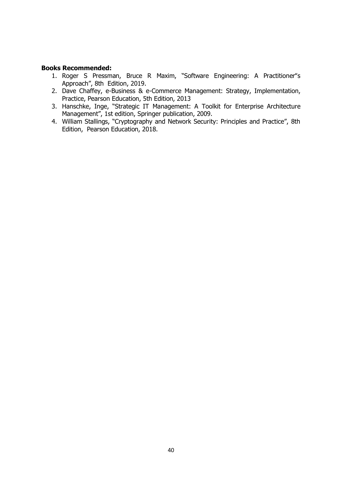#### **Books Recommended:**

- 1. Roger S Pressman, Bruce R Maxim, "Software Engineering: A Practitioner"s Approach", 8th Edition, 2019.
- 2. Dave Chaffey, e-Business & e-Commerce Management: Strategy, Implementation, Practice, Pearson Education, 5th Edition, 2013
- 3. Hanschke, Inge, "Strategic IT Management: A Toolkit for Enterprise Architecture Management", 1st edition, Springer publication, 2009.
- 4. William Stallings, "Cryptography and Network Security: Principles and Practice", 8th Edition, Pearson Education, 2018.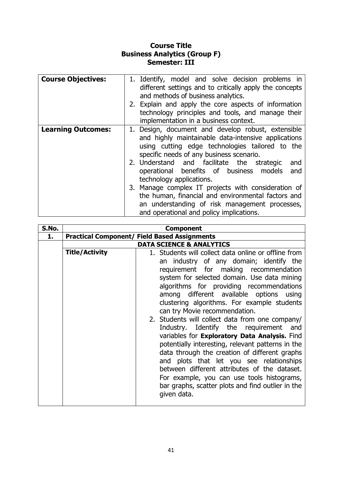### **Course Title Business Analytics (Group F) Semester: III**

| <b>Course Objectives:</b> | 1. Identify, model and solve decision problems in<br>different settings and to critically apply the concepts<br>and methods of business analytics.<br>2. Explain and apply the core aspects of information<br>technology principles and tools, and manage their<br>implementation in a business context.                                                                                                                                                                                                                                               |
|---------------------------|--------------------------------------------------------------------------------------------------------------------------------------------------------------------------------------------------------------------------------------------------------------------------------------------------------------------------------------------------------------------------------------------------------------------------------------------------------------------------------------------------------------------------------------------------------|
| <b>Learning Outcomes:</b> | 1. Design, document and develop robust, extensible<br>and highly maintainable data-intensive applications<br>using cutting edge technologies tailored to the<br>specific needs of any business scenario.<br>2. Understand and facilitate the strategic<br>and<br>operational benefits of business models<br>and<br>technology applications.<br>3. Manage complex IT projects with consideration of<br>the human, financial and environmental factors and<br>an understanding of risk management processes,<br>and operational and policy implications. |

| S.No. | <b>Component</b>                    |                                                                                                                                                                                                                                                                                                                                                                                                                                                                                                                                                                                                                                                                                                                                                                                                                                  |  |  |  |  |  |  |  |
|-------|-------------------------------------|----------------------------------------------------------------------------------------------------------------------------------------------------------------------------------------------------------------------------------------------------------------------------------------------------------------------------------------------------------------------------------------------------------------------------------------------------------------------------------------------------------------------------------------------------------------------------------------------------------------------------------------------------------------------------------------------------------------------------------------------------------------------------------------------------------------------------------|--|--|--|--|--|--|--|
| 1.    |                                     | <b>Practical Component/ Field Based Assignments</b>                                                                                                                                                                                                                                                                                                                                                                                                                                                                                                                                                                                                                                                                                                                                                                              |  |  |  |  |  |  |  |
|       | <b>DATA SCIENCE &amp; ANALYTICS</b> |                                                                                                                                                                                                                                                                                                                                                                                                                                                                                                                                                                                                                                                                                                                                                                                                                                  |  |  |  |  |  |  |  |
|       | <b>Title/Activity</b>               | 1. Students will collect data online or offline from<br>an industry of any domain; identify the<br>requirement for making recommendation<br>system for selected domain. Use data mining<br>algorithms for providing recommendations<br>among different available options using<br>clustering algorithms. For example students<br>can try Movie recommendation.<br>2. Students will collect data from one company/<br>Industry. Identify the requirement and<br>variables for Exploratory Data Analysis. Find<br>potentially interesting, relevant patterns in the<br>data through the creation of different graphs<br>and plots that let you see relationships<br>between different attributes of the dataset.<br>For example, you can use tools histograms,<br>bar graphs, scatter plots and find outlier in the<br>given data. |  |  |  |  |  |  |  |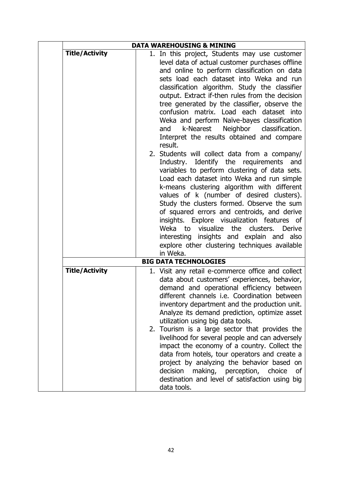|                       | <b>DATA WAREHOUSING &amp; MINING</b>                                                                                                                                                                                                                                                                                                                                                                                                                                                                                                                                                                                                                                                                                                                                                                                                                                                                                                                                                                                                                                                                                                       |  |  |  |  |  |
|-----------------------|--------------------------------------------------------------------------------------------------------------------------------------------------------------------------------------------------------------------------------------------------------------------------------------------------------------------------------------------------------------------------------------------------------------------------------------------------------------------------------------------------------------------------------------------------------------------------------------------------------------------------------------------------------------------------------------------------------------------------------------------------------------------------------------------------------------------------------------------------------------------------------------------------------------------------------------------------------------------------------------------------------------------------------------------------------------------------------------------------------------------------------------------|--|--|--|--|--|
| <b>Title/Activity</b> | 1. In this project, Students may use customer<br>level data of actual customer purchases offline<br>and online to perform classification on data<br>sets load each dataset into Weka and run<br>classification algorithm. Study the classifier<br>output. Extract if-then rules from the decision<br>tree generated by the classifier, observe the<br>confusion matrix. Load each dataset into<br>Weka and perform Naïve-bayes classification<br>k-Nearest Neighbor classification.<br>and<br>Interpret the results obtained and compare<br>result.<br>2. Students will collect data from a company/<br>Industry. Identify the requirements<br>and<br>variables to perform clustering of data sets.<br>Load each dataset into Weka and run simple<br>k-means clustering algorithm with different<br>values of k (number of desired clusters).<br>Study the clusters formed. Observe the sum<br>of squared errors and centroids, and derive<br>insights. Explore visualization features of<br>Weka to<br>visualize<br>the clusters.<br>Derive<br>interesting insights and explain and also<br>explore other clustering techniques available |  |  |  |  |  |
|                       | in Weka.<br><b>BIG DATA TECHNOLOGIES</b>                                                                                                                                                                                                                                                                                                                                                                                                                                                                                                                                                                                                                                                                                                                                                                                                                                                                                                                                                                                                                                                                                                   |  |  |  |  |  |
| <b>Title/Activity</b> | 1. Visit any retail e-commerce office and collect<br>data about customers' experiences, behavior,<br>demand and operational efficiency between<br>different channels i.e. Coordination between<br>inventory department and the production unit.<br>Analyze its demand prediction, optimize asset<br>utilization using big data tools.<br>2. Tourism is a large sector that provides the<br>livelihood for several people and can adversely<br>impact the economy of a country. Collect the<br>data from hotels, tour operators and create a<br>project by analyzing the behavior based on<br>decision<br>making, perception, choice<br>οf<br>destination and level of satisfaction using big<br>data tools.                                                                                                                                                                                                                                                                                                                                                                                                                                |  |  |  |  |  |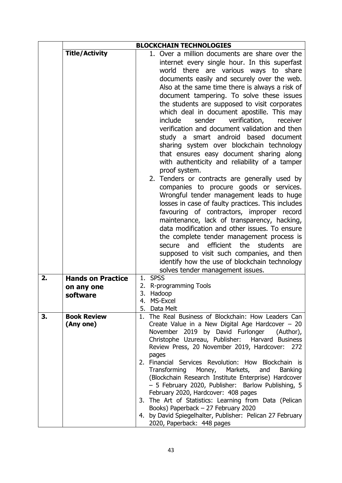|    | <b>BLOCKCHAIN TECHNOLOGIES</b>                     |                                                                                                                                                                                                                                                                                                                                                                                                                                                                                                                                                                                                                                                                                                                                                                                                                                                                                                                                                                                                                                                                                                                                                                                                                                                                                   |  |  |  |  |  |
|----|----------------------------------------------------|-----------------------------------------------------------------------------------------------------------------------------------------------------------------------------------------------------------------------------------------------------------------------------------------------------------------------------------------------------------------------------------------------------------------------------------------------------------------------------------------------------------------------------------------------------------------------------------------------------------------------------------------------------------------------------------------------------------------------------------------------------------------------------------------------------------------------------------------------------------------------------------------------------------------------------------------------------------------------------------------------------------------------------------------------------------------------------------------------------------------------------------------------------------------------------------------------------------------------------------------------------------------------------------|--|--|--|--|--|
|    | <b>Title/Activity</b>                              | 1. Over a million documents are share over the<br>internet every single hour. In this superfast<br>there are various ways to share<br>world<br>documents easily and securely over the web.<br>Also at the same time there is always a risk of<br>document tampering. To solve these issues<br>the students are supposed to visit corporates<br>which deal in document apostille. This may<br>include<br>sender<br>verification,<br>receiver<br>verification and document validation and then<br>study a smart android based document<br>sharing system over blockchain technology<br>that ensures easy document sharing along<br>with authenticity and reliability of a tamper<br>proof system.<br>2. Tenders or contracts are generally used by<br>companies to procure goods or services.<br>Wrongful tender management leads to huge<br>losses in case of faulty practices. This includes<br>favouring of contractors, improper record<br>maintenance, lack of transparency, hacking,<br>data modification and other issues. To ensure<br>the complete tender management process is<br>efficient<br>the<br>and<br>students<br>secure<br>are<br>supposed to visit such companies, and then<br>identify how the use of blockchain technology<br>solves tender management issues. |  |  |  |  |  |
| 2. | <b>Hands on Practice</b><br>on any one<br>software | 1. SPSS<br>2. R-programming Tools<br>3.<br>Hadoop<br>MS-Excel<br>4.<br>5. Data Melt                                                                                                                                                                                                                                                                                                                                                                                                                                                                                                                                                                                                                                                                                                                                                                                                                                                                                                                                                                                                                                                                                                                                                                                               |  |  |  |  |  |
| 3. | <b>Book Review</b><br>(Any one)                    | 1. The Real Business of Blockchain: How Leaders Can<br>Create Value in a New Digital Age Hardcover $-20$<br>November 2019 by David Furlonger (Author),<br>Christophe Uzureau, Publisher: Harvard Business<br>Review Press, 20 November 2019, Hardcover:<br>272<br>pages<br>2. Financial Services Revolution: How Blockchain is<br>Transforming<br>Money, Markets,<br><b>Banking</b><br>and<br>(Blockchain Research Institute Enterprise) Hardcover<br>- 5 February 2020, Publisher: Barlow Publishing, 5<br>February 2020, Hardcover: 408 pages<br>3. The Art of Statistics: Learning from Data (Pelican<br>Books) Paperback - 27 February 2020<br>4. by David Spiegelhalter, Publisher: Pelican 27 February<br>2020, Paperback: 448 pages                                                                                                                                                                                                                                                                                                                                                                                                                                                                                                                                        |  |  |  |  |  |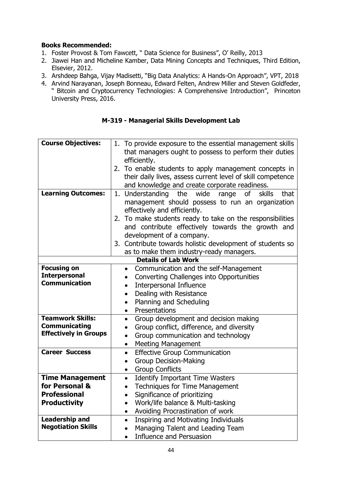#### **Books Recommended:**

- 1. Foster Provost & Tom Fawcett, " Data Science for Business", O' Reilly, 2013
- 2. Jiawei Han and Micheline Kamber, Data Mining Concepts and Techniques, Third Edition, Elsevier, 2012.
- 3. Arshdeep Bahga, Vijay Madisetti, "Big Data Analytics: A Hands-On Approach", VPT, 2018
- 4. Arvind Narayanan, Joseph Bonneau, Edward Felten, Andrew Miller and Steven Goldfeder, " Bitcoin and Cryptocurrency Technologies: A Comprehensive Introduction", Princeton University Press, 2016.

#### **M-319 - Managerial Skills Development Lab**

| <b>Course Objectives:</b>    | 1. To provide exposure to the essential management skills        |  |  |  |  |  |  |  |  |
|------------------------------|------------------------------------------------------------------|--|--|--|--|--|--|--|--|
|                              | that managers ought to possess to perform their duties           |  |  |  |  |  |  |  |  |
|                              | efficiently.                                                     |  |  |  |  |  |  |  |  |
|                              |                                                                  |  |  |  |  |  |  |  |  |
|                              | 2. To enable students to apply management concepts in            |  |  |  |  |  |  |  |  |
|                              | their daily lives, assess current level of skill competence      |  |  |  |  |  |  |  |  |
|                              | and knowledge and create corporate readiness.                    |  |  |  |  |  |  |  |  |
| <b>Learning Outcomes:</b>    | 1. Understanding<br>the<br>wide<br>range<br>οf<br>skills<br>that |  |  |  |  |  |  |  |  |
|                              | management should possess to run an organization                 |  |  |  |  |  |  |  |  |
|                              | effectively and efficiently.                                     |  |  |  |  |  |  |  |  |
|                              | To make students ready to take on the responsibilities<br>2.     |  |  |  |  |  |  |  |  |
|                              | and contribute effectively towards the growth and                |  |  |  |  |  |  |  |  |
|                              | development of a company.                                        |  |  |  |  |  |  |  |  |
|                              | 3. Contribute towards holistic development of students so        |  |  |  |  |  |  |  |  |
|                              | as to make them industry-ready managers.                         |  |  |  |  |  |  |  |  |
|                              | <b>Details of Lab Work</b>                                       |  |  |  |  |  |  |  |  |
| <b>Focusing on</b>           | Communication and the self-Management<br>$\bullet$               |  |  |  |  |  |  |  |  |
| <b>Interpersonal</b>         | Converting Challenges into Opportunities                         |  |  |  |  |  |  |  |  |
| <b>Communication</b>         | Interpersonal Influence                                          |  |  |  |  |  |  |  |  |
|                              | Dealing with Resistance                                          |  |  |  |  |  |  |  |  |
|                              | Planning and Scheduling<br>$\bullet$                             |  |  |  |  |  |  |  |  |
|                              | Presentations                                                    |  |  |  |  |  |  |  |  |
| <b>Teamwork Skills:</b>      | Group development and decision making<br>$\bullet$               |  |  |  |  |  |  |  |  |
| Communicating                | Group conflict, difference, and diversity                        |  |  |  |  |  |  |  |  |
| <b>Effectively in Groups</b> | Group communication and technology                               |  |  |  |  |  |  |  |  |
|                              | <b>Meeting Management</b><br>$\bullet$                           |  |  |  |  |  |  |  |  |
| <b>Career Success</b>        | <b>Effective Group Communication</b><br>$\bullet$                |  |  |  |  |  |  |  |  |
|                              | Group Decision-Making                                            |  |  |  |  |  |  |  |  |
|                              | <b>Group Conflicts</b><br>$\bullet$                              |  |  |  |  |  |  |  |  |
| <b>Time Management</b>       | <b>Identify Important Time Wasters</b><br>$\bullet$              |  |  |  |  |  |  |  |  |
| for Personal &               | <b>Techniques for Time Management</b>                            |  |  |  |  |  |  |  |  |
| <b>Professional</b>          | Significance of prioritizing                                     |  |  |  |  |  |  |  |  |
| <b>Productivity</b>          | Work/life balance & Multi-tasking                                |  |  |  |  |  |  |  |  |
|                              | Avoiding Procrastination of work<br>$\bullet$                    |  |  |  |  |  |  |  |  |
| <b>Leadership and</b>        | Inspiring and Motivating Individuals<br>$\bullet$                |  |  |  |  |  |  |  |  |
| <b>Negotiation Skills</b>    | Managing Talent and Leading Team                                 |  |  |  |  |  |  |  |  |
|                              | Influence and Persuasion                                         |  |  |  |  |  |  |  |  |
|                              |                                                                  |  |  |  |  |  |  |  |  |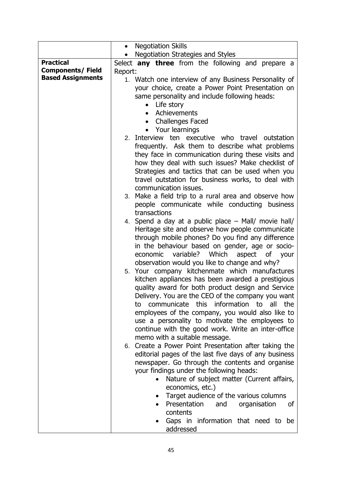|                          | <b>Negotiation Skills</b><br>$\bullet$                         |  |  |  |  |  |  |  |  |  |  |
|--------------------------|----------------------------------------------------------------|--|--|--|--|--|--|--|--|--|--|
|                          | Negotiation Strategies and Styles                              |  |  |  |  |  |  |  |  |  |  |
| <b>Practical</b>         | Select any three from the following and prepare a              |  |  |  |  |  |  |  |  |  |  |
| <b>Components/Field</b>  | Report:                                                        |  |  |  |  |  |  |  |  |  |  |
| <b>Based Assignments</b> | 1. Watch one interview of any Business Personality of          |  |  |  |  |  |  |  |  |  |  |
|                          | your choice, create a Power Point Presentation on              |  |  |  |  |  |  |  |  |  |  |
|                          | same personality and include following heads:                  |  |  |  |  |  |  |  |  |  |  |
|                          | Life story<br>$\bullet$                                        |  |  |  |  |  |  |  |  |  |  |
|                          | Achievements                                                   |  |  |  |  |  |  |  |  |  |  |
|                          | <b>Challenges Faced</b><br>$\bullet$                           |  |  |  |  |  |  |  |  |  |  |
|                          | Your learnings                                                 |  |  |  |  |  |  |  |  |  |  |
|                          | 2. Interview ten executive who travel outstation               |  |  |  |  |  |  |  |  |  |  |
|                          | frequently. Ask them to describe what problems                 |  |  |  |  |  |  |  |  |  |  |
|                          | they face in communication during these visits and             |  |  |  |  |  |  |  |  |  |  |
|                          | how they deal with such issues? Make checklist of              |  |  |  |  |  |  |  |  |  |  |
|                          | Strategies and tactics that can be used when you               |  |  |  |  |  |  |  |  |  |  |
|                          | travel outstation for business works, to deal with             |  |  |  |  |  |  |  |  |  |  |
|                          | communication issues.                                          |  |  |  |  |  |  |  |  |  |  |
|                          | 3. Make a field trip to a rural area and observe how           |  |  |  |  |  |  |  |  |  |  |
|                          | people communicate while conducting business                   |  |  |  |  |  |  |  |  |  |  |
|                          | transactions                                                   |  |  |  |  |  |  |  |  |  |  |
|                          | 4. Spend a day at a public place - Mall/ movie hall/           |  |  |  |  |  |  |  |  |  |  |
|                          | Heritage site and observe how people communicate               |  |  |  |  |  |  |  |  |  |  |
|                          | through mobile phones? Do you find any difference              |  |  |  |  |  |  |  |  |  |  |
|                          | in the behaviour based on gender, age or socio-                |  |  |  |  |  |  |  |  |  |  |
|                          | Which<br>variable?<br>economic<br>aspect<br>of your            |  |  |  |  |  |  |  |  |  |  |
|                          | observation would you like to change and why?                  |  |  |  |  |  |  |  |  |  |  |
|                          | 5. Your company kitchenmate which manufactures                 |  |  |  |  |  |  |  |  |  |  |
|                          | kitchen appliances has been awarded a prestigious              |  |  |  |  |  |  |  |  |  |  |
|                          | quality award for both product design and Service              |  |  |  |  |  |  |  |  |  |  |
|                          | Delivery. You are the CEO of the company you want              |  |  |  |  |  |  |  |  |  |  |
|                          | communicate this information to<br>all<br>the<br>to            |  |  |  |  |  |  |  |  |  |  |
|                          | employees of the company, you would also like to               |  |  |  |  |  |  |  |  |  |  |
|                          | use a personality to motivate the employees to                 |  |  |  |  |  |  |  |  |  |  |
|                          | continue with the good work. Write an inter-office             |  |  |  |  |  |  |  |  |  |  |
|                          | memo with a suitable message.                                  |  |  |  |  |  |  |  |  |  |  |
|                          | 6. Create a Power Point Presentation after taking the          |  |  |  |  |  |  |  |  |  |  |
|                          | editorial pages of the last five days of any business          |  |  |  |  |  |  |  |  |  |  |
|                          | newspaper. Go through the contents and organise                |  |  |  |  |  |  |  |  |  |  |
|                          | your findings under the following heads:                       |  |  |  |  |  |  |  |  |  |  |
|                          | Nature of subject matter (Current affairs,<br>economics, etc.) |  |  |  |  |  |  |  |  |  |  |
|                          | Target audience of the various columns                         |  |  |  |  |  |  |  |  |  |  |
|                          | Presentation<br>organisation<br>and<br>οf                      |  |  |  |  |  |  |  |  |  |  |
|                          | contents                                                       |  |  |  |  |  |  |  |  |  |  |
|                          | Gaps in information that need to be                            |  |  |  |  |  |  |  |  |  |  |
|                          | addressed                                                      |  |  |  |  |  |  |  |  |  |  |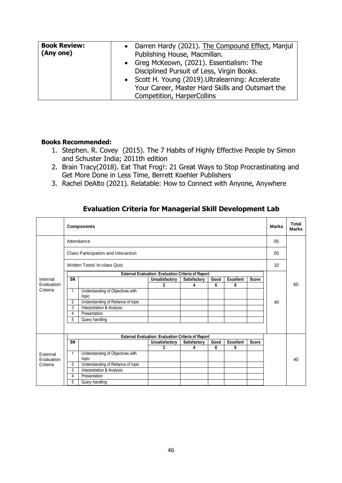| <b>Book Review:</b><br>(Any one) | • Darren Hardy (2021). The Compound Effect, Manjul<br>Publishing House, Macmillan.<br>• Greg McKeown, (2021). Essentialism: The<br>Disciplined Pursuit of Less, Virgin Books.<br>• Scott H. Young (2019). Ultralearning: Accelerate<br>Your Career, Master Hard Skills and Outsmart the |
|----------------------------------|-----------------------------------------------------------------------------------------------------------------------------------------------------------------------------------------------------------------------------------------------------------------------------------------|
|                                  | Competition, HarperCollins                                                                                                                                                                                                                                                              |

#### **Books Recommended:**

- 1. Stephen. R. Covey (2015). The 7 Habits of Highly Effective People by Simon and Schuster India; 2011th edition
- 2. Brain Tracy(2018). Eat That Frog!: 21 Great Ways to Stop Procrastinating and Get More Done in Less Time, Berrett Koehler Publishers
- 3. Rachel DeAlto (2021). Relatable: How to Connect with Anyone, Anywhere

#### **Evaluation Criteria for Managerial Skill Development Lab**

|            | <b>Components</b>            |                     |                                           |                                                           |              |      | <b>Marks</b>     | Total<br><b>Marks</b> |    |    |
|------------|------------------------------|---------------------|-------------------------------------------|-----------------------------------------------------------|--------------|------|------------------|-----------------------|----|----|
|            | Attendance                   |                     |                                           |                                                           |              |      |                  |                       | 05 |    |
|            |                              |                     | Class Participation and Interaction       |                                                           |              |      |                  |                       | 05 |    |
|            | Written Tests/ In-class Quiz |                     |                                           |                                                           |              |      |                  |                       | 10 |    |
|            |                              |                     |                                           | <b>External Evaluation: Evaluation Criteria of Report</b> |              |      |                  |                       |    |    |
| Internal   | SN                           |                     |                                           | Unsatisfactory                                            | Satisfactory | Good | <b>Excellent</b> | <b>Score</b>          |    |    |
| Evaluation |                              |                     |                                           | 2                                                         | 4            | 6    | 8                |                       |    | 60 |
| Criteria   | 1                            |                     | Understanding of Objectives with<br>topic |                                                           |              |      |                  |                       |    |    |
|            | $\overline{2}$               |                     | Understanding of Reliance of topic        |                                                           |              |      |                  |                       | 40 |    |
|            | 3                            |                     | Interpretation & Analysis                 |                                                           |              |      |                  |                       |    |    |
|            | 4                            |                     | Presentation                              |                                                           |              |      |                  |                       |    |    |
|            | 5                            |                     | Query handling                            |                                                           |              |      |                  |                       |    |    |
|            |                              |                     |                                           | External Evaluation: Evaluation Criteria of Report        |              |      |                  |                       |    |    |
|            | SN                           |                     |                                           | Unsatisfactory                                            | Satisfactory | Good | <b>Excellent</b> | <b>Score</b>          |    |    |
|            |                              |                     |                                           | $\overline{2}$                                            | 4            | 6    | 8                |                       |    |    |
| External   | 1                            |                     | Understanding of Objectives with          |                                                           |              |      |                  |                       |    |    |
| Evaluation |                              |                     | topic                                     |                                                           |              |      |                  |                       |    | 40 |
| Criteria   | $\overline{2}$               |                     | Understanding of Reliance of topic        |                                                           |              |      |                  |                       |    |    |
|            | 3                            |                     | Interpretation & Analysis                 |                                                           |              |      |                  |                       |    |    |
|            | 4                            |                     | Presentation                              |                                                           |              |      |                  |                       |    |    |
|            |                              | 5<br>Query handling |                                           |                                                           |              |      |                  |                       |    |    |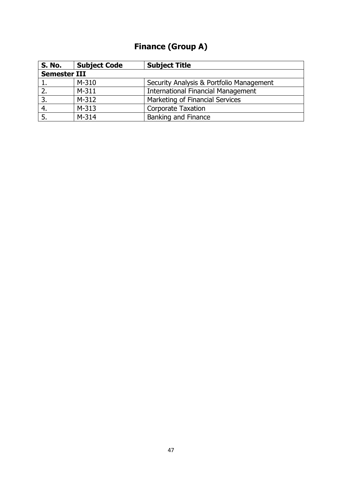# **Finance (Group A)**

| <b>S. No.</b>       | <b>Subject Code</b> | <b>Subject Title</b>                      |  |
|---------------------|---------------------|-------------------------------------------|--|
| <b>Semester III</b> |                     |                                           |  |
|                     | M-310               | Security Analysis & Portfolio Management  |  |
|                     | $M-311$             | <b>International Financial Management</b> |  |
| 3.                  | $M-312$             | Marketing of Financial Services           |  |
| 4.                  | $M-313$             | <b>Corporate Taxation</b>                 |  |
|                     | $M-314$             | <b>Banking and Finance</b>                |  |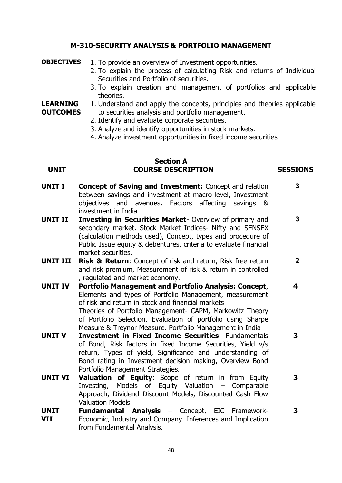#### **M-310-SECURITY ANALYSIS & PORTFOLIO MANAGEMENT**

- **OBJECTIVES** 1. To provide an overview of Investment opportunities.
	- 2. To explain the process of calculating Risk and returns of Individual Securities and Portfolio of securities.
	- 3. To explain creation and management of portfolios and applicable theories.

**LEARNING OUTCOMES** 1. Understand and apply the concepts, principles and theories applicable to securities analysis and portfolio management.

- 2. Identify and evaluate corporate securities.
- 3. Analyze and identify opportunities in stock markets.
- 4. Analyze investment opportunities in fixed income securities

#### **Section A UNIT COURSE DESCRIPTION SESSIONS**

**3**

- **UNIT I Concept of Saving and Investment:** Concept and relation between savings and investment at macro level, Investment objectives and avenues, Factors affecting savings & investment in India. **3**
- **UNIT II Investing in Securities Market** Overview of primary and secondary market. Stock Market Indices- Nifty and SENSEX (calculation methods used), Concept, types and procedure of Public Issue equity & debentures, criteria to evaluate financial market securities. **3 2**
- **UNIT III Risk & Return**: Concept of risk and return, Risk free return and risk premium, Measurement of risk & return in controlled , regulated and market economy.
- **UNIT IV Portfolio Management and Portfolio Analysis: Concept**, Elements and types of Portfolio Management, measurement of risk and return in stock and financial markets Theories of Portfolio Management- CAPM, Markowitz Theory of Portfolio Selection, Evaluation of portfolio using Sharpe Measure & Treynor Measure. Portfolio Management in India **4**
- **UNIT V Investment in Fixed Income Securities** –Fundamentals of Bond, Risk factors in fixed Income Securities, Yield v/s return, Types of yield, Significance and understanding of Bond rating in Investment decision making, Overview Bond Portfolio Management Strategies. **3**
- **UNIT VI Valuation of Equity**: Scope of return in from Equity Investing, Models of Equity Valuation – Comparable Approach, Dividend Discount Models, Discounted Cash Flow Valuation Models **3**
- **UNIT VII Fundamental Analysis** – Concept, EIC Framework-Economic, Industry and Company. Inferences and Implication from Fundamental Analysis.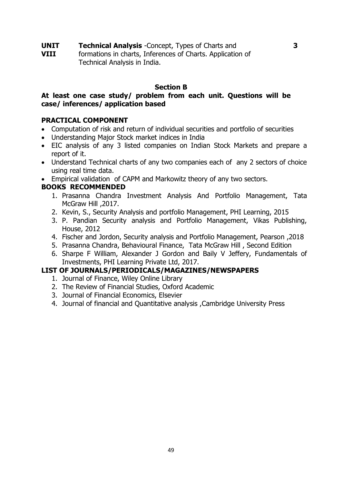**UNIT VIII Technical Analysis** -Concept, Types of Charts and formations in charts, Inferences of Charts. Application of Technical Analysis in India.

#### **Section B**

#### **At least one case study/ problem from each unit. Questions will be case/ inferences/ application based**

#### **PRACTICAL COMPONENT**

- Computation of risk and return of individual securities and portfolio of securities
- Understanding Major Stock market indices in India
- EIC analysis of any 3 listed companies on Indian Stock Markets and prepare a report of it.
- Understand Technical charts of any two companies each of any 2 sectors of choice using real time data.
- Empirical validation of CAPM and Markowitz theory of any two sectors.

#### **BOOKS RECOMMENDED**

- 1. Prasanna Chandra Investment Analysis And Portfolio Management, Tata McGraw Hill , 2017.
- 2. Kevin, S., Security Analysis and portfolio Management, PHI Learning, 2015
- 3. P. Pandian Security analysis and Portfolio Management, Vikas Publishing, House, 2012
- 4. Fischer and Jordon, Security analysis and Portfolio Management, Pearson ,2018
- 5. Prasanna Chandra, Behavioural Finance, Tata McGraw Hill , Second Edition
- 6. Sharpe F William, Alexander J Gordon and Baily V Jeffery, Fundamentals of Investments, PHI Learning Private Ltd, 2017.

- 1. Journal of Finance, Wiley Online Library
- 2. The Review of Financial Studies, Oxford Academic
- 3. Journal of Financial Economics, Elsevier
- 4. Journal of financial and Quantitative analysis ,Cambridge University Press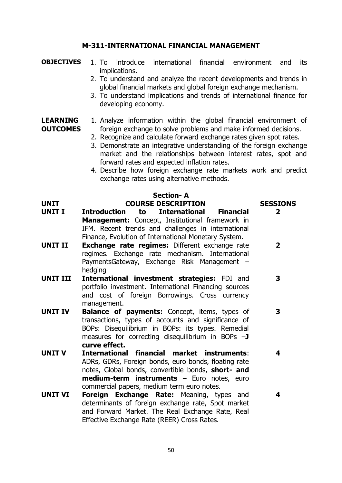#### **M-311-INTERNATIONAL FINANCIAL MANAGEMENT**

#### **OBJECTIVES** 1. To introduce international financial environment and its implications.

- 2. To understand and analyze the recent developments and trends in global financial markets and global foreign exchange mechanism.
- 3. To understand implications and trends of international finance for developing economy.

#### **LEARNING OUTCOMES** 1. Analyze information within the global financial environment of foreign exchange to solve problems and make informed decisions.

- 2. Recognize and calculate forward exchange rates given spot rates.
- 3. Demonstrate an integrative understanding of the foreign exchange market and the relationships between interest rates, spot and forward rates and expected inflation rates.
- 4. Describe how foreign exchange rate markets work and predict exchange rates using alternative methods.

#### **Section- A UNIT COURSE DESCRIPTION SESSIONS UNIT I Introduction to International Financial Management:** Concept, Institutional framework in IFM. Recent trends and challenges in international Finance, Evolution of International Monetary System. **2 UNIT II Exchange rate regimes:** Different exchange rate regimes. Exchange rate mechanism. International PaymentsGateway, Exchange Risk Management – hedging **2 UNIT III International investment strategies:** FDI and portfolio investment. International Financing sources and cost of foreign Borrowings. Cross currency management. **3 UNIT IV Balance of payments:** Concept, items, types of transactions, types of accounts and significance of BOPs: Disequilibrium in BOPs: its types. Remedial measures for correcting disequilibrium in BOPs –**J curve effect. 3 UNIT V International financial market instruments**: ADRs, GDRs, Foreign bonds, euro bonds, floating rate notes, Global bonds, convertible bonds, **short- and medium-term instruments** – Euro notes, euro commercial papers, medium term euro notes. **4 UNIT VI Foreign Exchange Rate:** Meaning, types and determinants of foreign exchange rate, Spot market and Forward Market. The Real Exchange Rate, Real **4**

Effective Exchange Rate (REER) Cross Rates.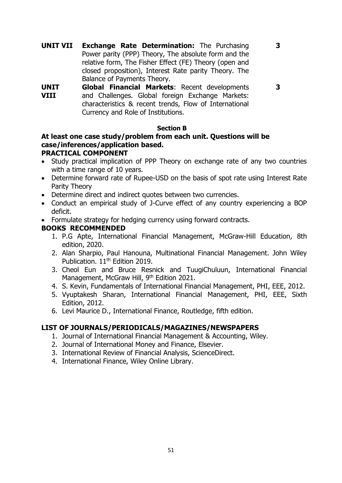**3**

**UNIT VII Exchange Rate Determination:** The Purchasing Power parity (PPP) Theory, The absolute form and the relative form, The Fisher Effect (FE) Theory (open and closed proposition), Interest Rate parity Theory. The Balance of Payments Theory.

**3**

**UNIT VIII Global Financial Markets**: Recent developments and Challenges. Global foreign Exchange Markets: characteristics & recent trends, Flow of International Currency and Role of Institutions.

#### **Section B**

# **At least one case study/problem from each unit. Questions will be case/inferences/application based.**

## **PRACTICAL COMPONENT**

- Study practical implication of PPP Theory on exchange rate of any two countries with a time range of 10 years.
- Determine forward rate of Rupee-USD on the basis of spot rate using Interest Rate Parity Theory
- Determine direct and indirect quotes between two currencies.
- Conduct an empirical study of J-Curve effect of any country experiencing a BOP deficit.
- Formulate strategy for hedging currency using forward contracts.

### **BOOKS RECOMMENDED**

- 1. P.G Apte, International Financial Management, McGraw-Hill Education, 8th edition, 2020.
- 2. Alan Sharpio, Paul Hanouna, Multinational Financial Management. John Wiley Publication. 11<sup>th</sup> Edition 2019.
- 3. Cheol Eun and Bruce Resnick and TuugiChuluun, International Financial Management, McGraw Hill, 9<sup>th</sup> Edition 2021.
- 4. S. Kevin, Fundamentals of International Financial Management, PHI, EEE, 2012.
- 5. Vyuptakesh Sharan, International Financial Management, PHI, EEE, Sixth Edition, 2012.
- 6. Levi Maurice D., International Finance, Routledge, fifth edition.

- 1. Journal of International Financial Management & Accounting, Wiley.
- 2. Journal of International Money and Finance, Elsevier.
- 3. International Review of Financial Analysis, ScienceDirect.
- 4. International Finance, Wiley Online Library.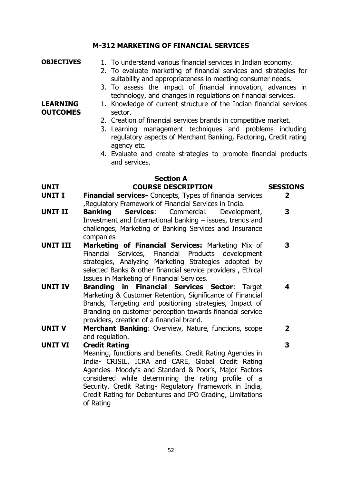## **M-312 MARKETING OF FINANCIAL SERVICES**

| <b>OBJECTIVES</b>                  | 1. To understand various financial services in Indian economy.<br>2. To evaluate marketing of financial services and strategies for                                                                                                                                                           |                 |
|------------------------------------|-----------------------------------------------------------------------------------------------------------------------------------------------------------------------------------------------------------------------------------------------------------------------------------------------|-----------------|
|                                    | suitability and appropriateness in meeting consumer needs.<br>3. To assess the impact of financial innovation, advances in<br>technology, and changes in regulations on financial services.                                                                                                   |                 |
| <b>LEARNING</b><br><b>OUTCOMES</b> | 1. Knowledge of current structure of the Indian financial services<br>sector.                                                                                                                                                                                                                 |                 |
|                                    | 2. Creation of financial services brands in competitive market.<br>3. Learning management techniques and problems including<br>regulatory aspects of Merchant Banking, Factoring, Credit rating                                                                                               |                 |
|                                    | agency etc.<br>4. Evaluate and create strategies to promote financial products<br>and services.                                                                                                                                                                                               |                 |
|                                    | <b>Section A</b>                                                                                                                                                                                                                                                                              |                 |
| <b>UNIT</b>                        | <b>COURSE DESCRIPTION</b>                                                                                                                                                                                                                                                                     | <b>SESSIONS</b> |
| <b>UNIT I</b>                      | Financial services- Concepts, Types of financial services                                                                                                                                                                                                                                     | $\mathbf{2}$    |
| <b>UNIT II</b>                     | , Regulatory Framework of Financial Services in India.<br><b>Banking</b><br><b>Services:</b><br>Commercial.<br>Development,                                                                                                                                                                   | 3               |
|                                    | Investment and International banking - issues, trends and<br>challenges, Marketing of Banking Services and Insurance<br>companies                                                                                                                                                             |                 |
| <b>UNIT III</b>                    | Marketing of Financial Services: Marketing Mix of<br>Financial Services, Financial Products development<br>strategies, Analyzing Marketing Strategies adopted by<br>selected Banks & other financial service providers, Ethical<br>Issues in Marketing of Financial Services.                 | 3               |
| <b>UNIT IV</b>                     | <b>Branding in Financial Services Sector:</b><br>Target<br>Marketing & Customer Retention, Significance of Financial<br>Brands, Targeting and positioning strategies, Impact of<br>Branding on customer perception towards financial service<br>providers, creation of a financial brand.     | 4               |
| <b>UNIT V</b>                      | Merchant Banking: Overview, Nature, functions, scope                                                                                                                                                                                                                                          | $\mathbf{2}$    |
|                                    | and regulation.                                                                                                                                                                                                                                                                               |                 |
| <b>UNIT VI</b>                     | <b>Credit Rating</b>                                                                                                                                                                                                                                                                          | 3               |
|                                    | Meaning, functions and benefits. Credit Rating Agencies in<br>India- CRISIL, ICRA and CARE, Global Credit Rating<br>Agencies- Moody's and Standard & Poor's, Major Factors<br>considered while determining the rating profile of a<br>Security. Credit Rating- Regulatory Framework in India, |                 |

Credit Rating for Debentures and IPO Grading, Limitations

of Rating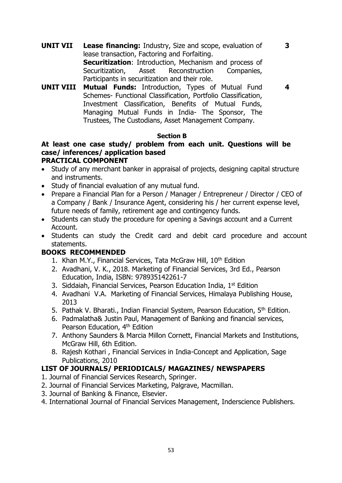**UNIT VII Lease financing:** Industry, Size and scope, evaluation of lease transaction, Factoring and Forfaiting. **Securitization**: Introduction, Mechanism and process of Securitization, Asset Reconstruction Companies, Participants in securitization and their role.

**4**

**3**

**UNIT VIII Mutual Funds:** Introduction, Types of Mutual Fund Schemes- Functional Classification, Portfolio Classification, Investment Classification, Benefits of Mutual Funds, Managing Mutual Funds in India- The Sponsor, The Trustees, The Custodians, Asset Management Company.

#### **Section B**

#### **At least one case study/ problem from each unit. Questions will be case/ inferences/ application based PRACTICAL COMPONENT**

- Study of any merchant banker in appraisal of projects, designing capital structure and instruments.
- Study of financial evaluation of any mutual fund.
- Prepare a Financial Plan for a Person / Manager / Entrepreneur / Director / CEO of a Company / Bank / Insurance Agent, considering his / her current expense level, future needs of family, retirement age and contingency funds.
- Students can study the procedure for opening a Savings account and a Current Account.
- Students can study the Credit card and debit card procedure and account statements.

#### **BOOKS RECOMMENDED**

- 1. Khan M.Y., Financial Services, Tata McGraw Hill, 10<sup>th</sup> Edition
- 2. Avadhani, V. K., 2018. Marketing of Financial Services, 3rd Ed., Pearson Education, India, ISBN: 978935142261-7
- 3. [Siddaiah,](https://www.amazon.in/s/ref=dp_byline_sr_book_1?ie=UTF8&field-author=Siddaiah&search-alias=stripbooks) Financial Services, Pearson Education India, 1st Edition
- 4. Avadhani V.A. Marketing of Financial Services, Himalaya Publishing House, 2013
- 5. Pathak V. Bharati., Indian Financial System, Pearson Education, 5<sup>th</sup> Edition.
- 6. Padmalatha& Justin Paul, Management of Banking and financial services, Pearson Education, 4<sup>th</sup> Edition
- 7. Anthony Saunders & Marcia Millon Cornett, Financial Markets and Institutions, McGraw Hill, 6th Edition.
- 8. Rajesh Kothari , Financial Services in India-Concept and Application, Sage Publications, 2010

- 1. Journal of Financial Services Research, Springer.
- 2. Journal of Financial Services Marketing, Palgrave, Macmillan.
- 3. Journal of Banking & Finance, Elsevier.
- 4. International Journal of Financial Services Management, Inderscience Publishers.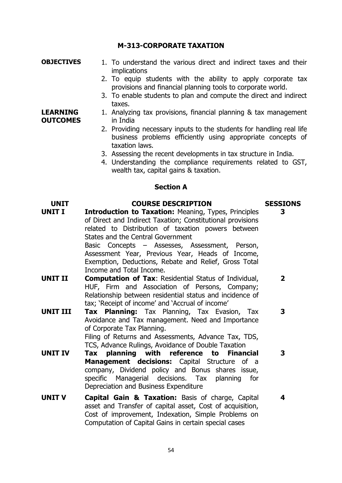#### **M-313-CORPORATE TAXATION**

#### **OBJECTIVES** 1. To understand the various direct and indirect taxes and their implications

- 2. To equip students with the ability to apply corporate tax provisions and financial planning tools to corporate world.
- 3. To enable students to plan and compute the direct and indirect taxes.

#### **LEARNING OUTCOMES** 1. Analyzing tax provisions, financial planning & tax management in India

- 2. Providing necessary inputs to the students for handling real life business problems efficiently using appropriate concepts of taxation laws.
- 3. Assessing the recent developments in tax structure in India.
- 4. Understanding the compliance requirements related to GST, wealth tax, capital gains & taxation.

#### **Section A**

#### **UNIT COURSE DESCRIPTION SESSIONS**

**UNIT I Introduction to Taxation:** Meaning, Types, Principles of Direct and Indirect Taxation; Constitutional provisions related to Distribution of taxation powers between States and the Central Government Basic Concepts – Assesses, Assessment, Person, Assessment Year, Previous Year, Heads of Income, Exemption, Deductions, Rebate and Relief, Gross Total Income and Total Income. **3 UNIT II Computation of Tax**: Residential Status of Individual, HUF, Firm and Association of Persons, Company; Relationship between residential status and incidence of tax; 'Receipt of income' and 'Accrual of income' **2 UNIT III Tax Planning:** Tax Planning, Tax Evasion, Tax **3**

Avoidance and Tax management. Need and Importance of Corporate Tax Planning. Filing of Returns and Assessments, Advance Tax, TDS, TCS, Advance Rulings, Avoidance of Double Taxation

- **UNIT IV Tax planning with reference to Financial Management decisions:** Capital Structure of a company, Dividend policy and Bonus shares issue, specific Managerial decisions. Tax planning for Depreciation and Business Expenditure **3**
- **UNIT V Capital Gain & Taxation:** Basis of charge, Capital asset and Transfer of capital asset, Cost of acquisition, Cost of improvement, Indexation, Simple Problems on Computation of Capital Gains in certain special cases **4**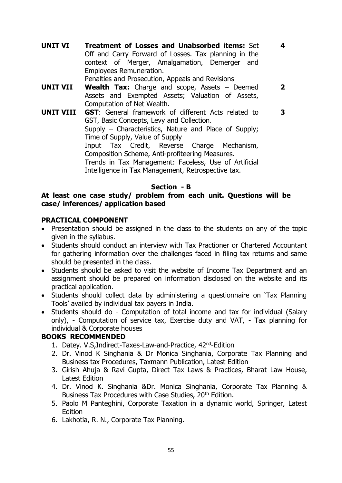**UNIT VI Treatment of Losses and Unabsorbed items:** Set Off and Carry Forward of Losses. Tax planning in the context of Merger, Amalgamation, Demerger and Employees Remuneration.

**4**

**2**

Penalties and Prosecution, Appeals and Revisions

- **UNIT VII Wealth Tax:** Charge and scope, Assets Deemed Assets and Exempted Assets; Valuation of Assets, Computation of Net Wealth.
- **UNIT VIII GST**: General framework of different Acts related to GST, Basic Concepts, Levy and Collection. Supply – Characteristics, Nature and Place of Supply; Time of Supply, Value of Supply Input Tax Credit, Reverse Charge Mechanism, Composition Scheme, Anti-profiteering Measures. Trends in Tax Management: Faceless, Use of Artificial Intelligence in Tax Management, Retrospective tax. **3**

#### **Section - B**

#### **At least one case study/ problem from each unit. Questions will be case/ inferences/ application based**

#### **PRACTICAL COMPONENT**

- Presentation should be assigned in the class to the students on any of the topic given in the syllabus.
- Students should conduct an interview with Tax Practioner or Chartered Accountant for gathering information over the challenges faced in filing tax returns and same should be presented in the class.
- Students should be asked to visit the website of Income Tax Department and an assignment should be prepared on information disclosed on the website and its practical application.
- Students should collect data by administering a questionnaire on 'Tax Planning Tools' availed by individual tax payers in India.
- Students should do Computation of total income and tax for individual (Salary only), - Computation of service tax, Exercise duty and VAT, - Tax planning for individual & Corporate houses

#### **BOOKS RECOMMENDED**

- 1. Datey. V.S,Indirect-Taxes-Law-and-Practice, 42nd-Edition
- 2. Dr. Vinod K Singhania & Dr Monica Singhania, Corporate Tax Planning and Business tax Procedures, Taxmann Publication, Latest Edition
- 3. Girish Ahuja & Ravi Gupta, Direct Tax Laws & Practices, Bharat Law House, Latest Edition
- 4. Dr. Vinod K. Singhania &Dr. Monica Singhania, Corporate Tax Planning & Business Tax Procedures with Case Studies, 20<sup>th</sup> Edition.
- 5. Paolo M Panteghini, Corporate Taxation in a dynamic world, Springer, Latest **Edition**
- 6. Lakhotia, R. N., Corporate Tax Planning.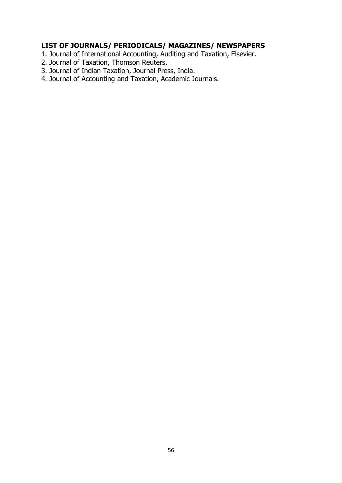- 1. Journal of International Accounting, Auditing and Taxation, Elsevier.
- 2. Journal of Taxation, Thomson Reuters.
- 3. Journal of Indian Taxation, Journal Press, India.
- 4. Journal of Accounting and Taxation, Academic Journals.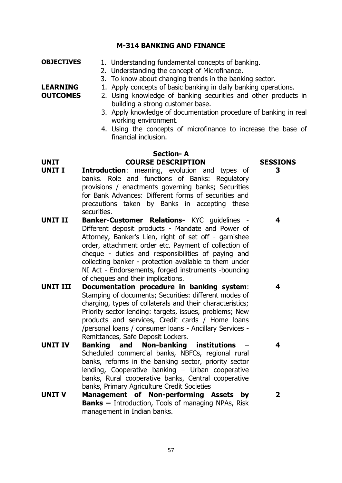#### **M-314 BANKING AND FINANCE**

- **OBJECTIVES** 1. Understanding fundamental concepts of banking.
	- 2. Understanding the concept of Microfinance.
	- 3. To know about changing trends in the banking sector.

**LEARNING OUTCOMES**

2. Using knowledge of banking securities and other products in building a strong customer base.

1. Apply concepts of basic banking in daily banking operations.

- 3. Apply knowledge of documentation procedure of banking in real working environment.
- 4. Using the concepts of microfinance to increase the base of financial inclusion.

#### **Section- A UNIT COURSE DESCRIPTION SESSIONS**

**3** 

**4**

**4**

**4**

**2**

- **UNIT I Introduction**: meaning, evolution and types of banks. Role and functions of Banks: Regulatory provisions / enactments governing banks; Securities for Bank Advances: Different forms of securities and precautions taken by Banks in accepting these securities.
- **UNIT II Banker-Customer Relations-** KYC guidelines Different deposit products - Mandate and Power of Attorney, Banker's Lien, right of set off - garnishee order, attachment order etc. Payment of collection of cheque - duties and responsibilities of paying and collecting banker - protection available to them under NI Act - Endorsements, forged instruments -bouncing of cheques and their implications.
- **UNIT III Documentation procedure in banking system**: Stamping of documents; Securities: different modes of charging, types of collaterals and their characteristics; Priority sector lending: targets, issues, problems; New products and services, Credit cards / Home loans /personal loans / consumer loans - Ancillary Services - Remittances, Safe Deposit Lockers.
- **UNIT IV Banking and Non-banking institutions**  Scheduled commercial banks, NBFCs, regional rural banks, reforms in the banking sector, priority sector lending, Cooperative banking – Urban cooperative banks, Rural cooperative banks, Central cooperative banks, Primary Agriculture Credit Societies
- **UNIT V Management of Non-performing Assets by Banks –** Introduction, Tools of managing NPAs, Risk management in Indian banks.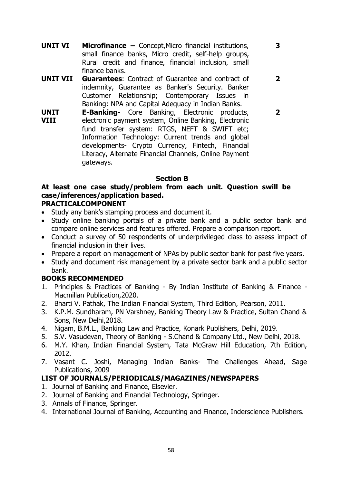**UNIT VI Microfinance –** Concept,Micro financial institutions, small finance banks, Micro credit, self-help groups, Rural credit and finance, financial inclusion, small finance banks.

**3**

**2**

**2**

- **UNIT VII Guarantees**: Contract of Guarantee and contract of indemnity, Guarantee as Banker's Security. Banker Customer Relationship; Contemporary Issues in Banking: NPA and Capital Adequacy in Indian Banks.
- **UNIT VIII E-Banking-** Core Banking, Electronic products, electronic payment system, Online Banking, Electronic fund transfer system: RTGS, NEFT & SWIFT etc; Information Technology: Current trends and global developments- Crypto Currency, Fintech, Financial Literacy, Alternate Financial Channels, Online Payment gateways.

#### **Section B**

# **At least one case study/problem from each unit. Question swill be case/inferences/application based.**

#### **PRACTICALCOMPONENT**

- Study any bank's stamping process and document it.
- Study online banking portals of a private bank and a public sector bank and compare online services and features offered. Prepare a comparison report.
- Conduct a survey of 50 respondents of underprivileged class to assess impact of financial inclusion in their lives.
- Prepare a report on management of NPAs by public sector bank for past five years.
- Study and document risk management by a private sector bank and a public sector bank.

#### **BOOKS RECOMMENDED**

- 1. Principles & Practices of Banking By Indian Institute of Banking & Finance Macmillan Publication,2020.
- 2. Bharti V. Pathak, The Indian Financial System, Third Edition, Pearson, 2011.
- 3. K.P.M. Sundharam, PN Varshney, Banking Theory Law & Practice, Sultan Chand & Sons, New Delhi,2018.
- 4. Nigam, B.M.L., Banking Law and Practice, Konark Publishers, Delhi, 2019.
- 5. S.V. Vasudevan, Theory of Banking S.Chand & Company Ltd., New Delhi, 2018.
- 6. M.Y. Khan, Indian Financial System, Tata McGraw Hill Education, 7th Edition, 2012.
- 7. Vasant C. Joshi, Managing Indian Banks- The Challenges Ahead, Sage Publications, 2009

- 1. Journal of Banking and Finance, Elsevier.
- 2. Journal of Banking and Financial Technology, Springer.
- 3. Annals of Finance, Springer.
- 4. International Journal of Banking, Accounting and Finance, Inderscience Publishers.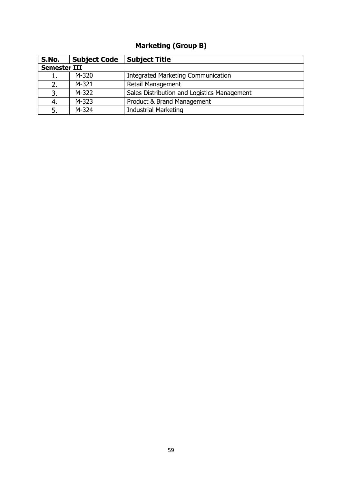# **Marketing (Group B)**

| S.No.               | <b>Subject Code</b> | <b>Subject Title</b>                        |
|---------------------|---------------------|---------------------------------------------|
| <b>Semester III</b> |                     |                                             |
| ı.                  | M-320               | <b>Integrated Marketing Communication</b>   |
| 2.                  | M-321               | <b>Retail Management</b>                    |
| 3.                  | M-322               | Sales Distribution and Logistics Management |
| 4.                  | M-323               | Product & Brand Management                  |
| 5.                  | M-324               | <b>Industrial Marketing</b>                 |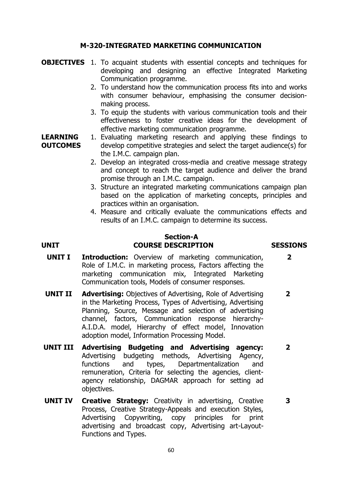#### **M-320-INTEGRATED MARKETING COMMUNICATION**

- **OBJECTIVES** 1. To acquaint students with essential concepts and techniques for developing and designing an effective Integrated Marketing Communication programme.
	- 2. To understand how the communication process fits into and works with consumer behaviour, emphasising the consumer decisionmaking process.
	- 3. To equip the students with various communication tools and their effectiveness to foster creative ideas for the development of effective marketing communication programme.
- **LEARNING OUTCOMES** 1. Evaluating marketing research and applying these findings to develop competitive strategies and select the target audience(s) for the I.M.C. campaign plan.
	- 2. Develop an integrated cross-media and creative message strategy and concept to reach the target audience and deliver the brand promise through an I.M.C. campaign.
	- 3. Structure an integrated marketing communications campaign plan based on the application of marketing concepts, principles and practices within an organisation.
	- 4. Measure and critically evaluate the communications effects and results of an I.M.C. campaign to determine its success.

#### **Section-A UNIT COURSE DESCRIPTION SESSIONS**

**2**

- **UNIT I Introduction:** Overview of marketing communication, Role of I.M.C. in marketing process, Factors affecting the marketing communication mix, Integrated Marketing Communication tools, Models of consumer responses.
- **UNIT II Advertising:** Objectives of Advertising, Role of Advertising in the Marketing Process, Types of Advertising, Advertising Planning, Source, Message and selection of advertising channel, factors, Communication response hierarchy-A.I.D.A. model, Hierarchy of effect model, Innovation adoption model, Information Processing Model. **2**
- **UNIT III Advertising Budgeting and Advertising agency:** Advertising budgeting methods, Advertising Agency, functions and types, Departmentalization and remuneration, Criteria for selecting the agencies, clientagency relationship, DAGMAR approach for setting ad objectives. **2**
- **UNIT IV Creative Strategy:** Creativity in advertising, Creative Process, Creative Strategy-Appeals and execution Styles, Advertising Copywriting, copy principles for print advertising and broadcast copy, Advertising art-Layout-Functions and Types. **3**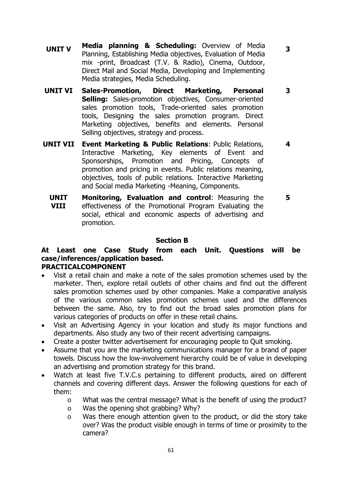**UNIT V Media planning & Scheduling:** Overview of Media Planning, Establishing Media objectives, Evaluation of Media mix -print, Broadcast (T.V. & Radio), Cinema, Outdoor, Direct Mail and Social Media, Developing and Implementing Media strategies, Media Scheduling.

**3**

- **UNIT VI Sales-Promotion, Direct Marketing, Personal Selling:** Sales-promotion objectives, Consumer-oriented sales promotion tools, Trade-oriented sales promotion tools, Designing the sales promotion program. Direct Marketing objectives, benefits and elements. Personal Selling objectives, strategy and process. **3**
- **UNIT VII Event Marketing & Public Relations**: Public Relations, Interactive Marketing, Key elements of Event and Sponsorships, Promotion and Pricing, Concepts of promotion and pricing in events. Public relations meaning, objectives, tools of public relations. Interactive Marketing and Social media Marketing -Meaning, Components. **4**
	- **UNIT VIII Monitoring, Evaluation and control**: Measuring the effectiveness of the Promotional Program Evaluating the social, ethical and economic aspects of advertising and promotion. **5**

#### **Section B**

#### **At Least one Case Study from each Unit. Questions will be case/inferences/application based. PRACTICALCOMPONENT**

- Visit a retail chain and make a note of the sales promotion schemes used by the marketer. Then, explore retail outlets of other chains and find out the different sales promotion schemes used by other companies. Make a comparative analysis of the various common sales promotion schemes used and the differences between the same. Also, try to find out the broad sales promotion plans for various categories of products on offer in these retail chains.
- Visit an Advertising Agency in your location and study its major functions and departments. Also study any two of their recent advertising campaigns.
- Create a poster twitter advertisement for encouraging people to Quit smoking.
- Assume that you are the marketing communications manager for a brand of paper towels. Discuss how the low-involvement hierarchy could be of value in developing an advertising and promotion strategy for this brand.
- Watch at least five T.V.C.s pertaining to different products, aired on different channels and covering different days. Answer the following questions for each of them:
	- o What was the central message? What is the benefit of using the product?
	- o Was the opening shot grabbing? Why?
	- o Was there enough attention given to the product, or did the story take over? Was the product visible enough in terms of time or proximity to the camera?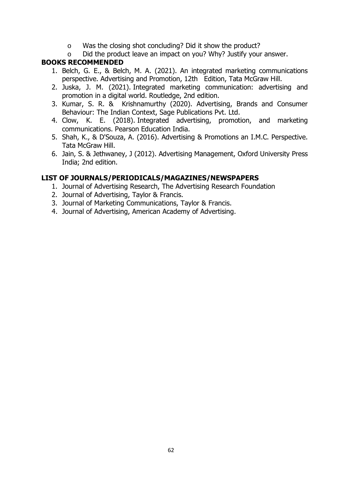- o Was the closing shot concluding? Did it show the product?
- o Did the product leave an impact on you? Why? Justify your answer.

#### **BOOKS RECOMMENDED**

- 1. Belch, G. E., & Belch, M. A. (2021). An integrated marketing communications perspective. Advertising and Promotion, 12th Edition, Tata McGraw Hill.
- 2. Juska, J. M. (2021). Integrated marketing communication: advertising and promotion in a digital world. Routledge, 2nd edition.
- 3. Kumar, S. R. & Krishnamurthy (2020). Advertising, Brands and Consumer Behaviour: The Indian Context, Sage Publications Pvt. Ltd.
- 4. Clow, K. E. (2018). Integrated advertising, promotion, and marketing communications. Pearson Education India.
- 5. Shah, K., & D'Souza, A. (2016). Advertising & Promotions an I.M.C. Perspective. Tata McGraw Hill.
- 6. Jain, S. & Jethwaney, J (2012). Advertising Management, Oxford University Press India; 2nd edition.

- 1. Journal of Advertising Research, The Advertising Research Foundation
- 2. Journal of Advertising, Taylor & Francis.
- 3. Journal of Marketing Communications, Taylor & Francis.
- 4. Journal of Advertising, American Academy of Advertising.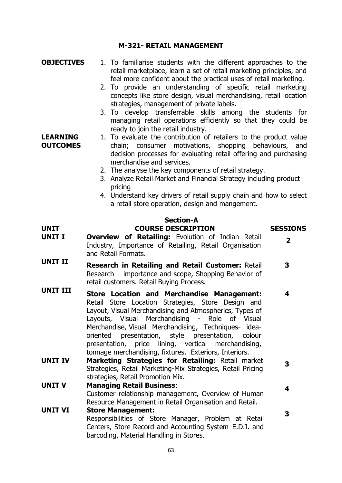#### **M-321- RETAIL MANAGEMENT**

- **OBJECTIVES** 1. To familiarise students with the different approaches to the retail marketplace, learn a set of retail marketing principles, and feel more confident about the practical uses of retail marketing.
	- 2. To provide an understanding of specific retail marketing concepts like store design, visual merchandising, retail location strategies, management of private labels.
	- 3. To develop transferrable skills among the students for managing retail operations efficiently so that they could be ready to join the retail industry.
- **LEARNING OUTCOMES** 1. To evaluate the contribution of retailers to the product value chain; consumer motivations, shopping behaviours, and decision processes for evaluating retail offering and purchasing merchandise and services.
	- 2. The analyse the key components of retail strategy.
	- 3. Analyze Retail Market and Financial Strategy including product pricing
	- 4. Understand key drivers of retail supply chain and how to select a retail store operation, design and mangement.

#### **Section-A UNIT COURSE DESCRIPTION SESSIONS**

**UNIT I Overview of Retailing:** Evolution of Indian Retail Industry, Importance of Retailing, Retail Organisation and Retail Formats. **2 UNIT II Research in Retailing and Retail Customer:** Retail Research – importance and scope, Shopping Behavior of retail customers. Retail Buying Process. **3 UNIT III Store Location and Merchandise Management:**  Retail Store Location Strategies, Store Design and Layout, Visual Merchandising and Atmospherics, Types of Layouts, Visual Merchandising - Role of Visual Merchandise, Visual Merchandising, Techniques- ideaoriented presentation, style presentation, colour presentation, price lining, vertical merchandising, tonnage merchandising, fixtures. Exteriors, Interiors. **4 UNIT IV Marketing Strategies for Retailing:** Retail market Strategies, Retail Marketing-Mix Strategies, Retail Pricing strategies, Retail Promotion Mix. **3 UNIT V Managing Retail Business**: Customer relationship management, Overview of Human Resource Management in Retail Organisation and Retail. **4 UNIT VI Store Management:** Responsibilities of Store Manager, Problem at Retail Centers, Store Record and Accounting System–E.D.I. and barcoding, Material Handling in Stores. **3**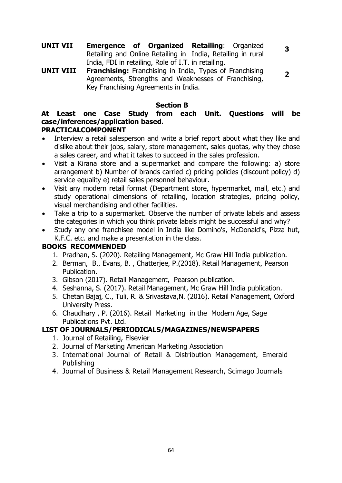**UNIT VII Emergence of Organized Retailing**: Organized Retailing and Online Retailing in India, Retailing in rural India, FDI in retailing, Role of I.T. in retailing.

**UNIT VIII Franchising:** Franchising in India, Types of Franchising Agreements, Strengths and Weaknesses of Franchising, Key Franchising Agreements in India. **2**

**Section B**

**3**

#### **At Least one Case Study from each Unit. Questions will be case/inferences/application based. PRACTICALCOMPONENT**

- Interview a retail salesperson and write a brief report about what they like and dislike about their jobs, salary, store management, sales quotas, why they chose a sales career, and what it takes to succeed in the sales profession.
- Visit a Kirana store and a supermarket and compare the following: a) store arrangement b) Number of brands carried c) pricing policies (discount policy) d) service equality e) retail sales personnel behaviour.
- Visit any modern retail format (Department store, hypermarket, mall, etc.) and study operational dimensions of retailing, location strategies, pricing policy, visual merchandising and other facilities.
- Take a trip to a supermarket. Observe the number of private labels and assess the categories in which you think private labels might be successful and why?
- Study any one franchisee model in India like Domino's, McDonald's, Pizza hut, K.F.C. etc. and make a presentation in the class.

## **BOOKS RECOMMENDED**

- 1. Pradhan, S. (2020). Retailing Management, Mc Graw Hill India publication.
- 2. Berman, B., Evans, B. , Chatterjee, P.(2018). Retail Management, Pearson Publication.
- 3. Gibson (2017). Retail Management, Pearson publication.
- 4. Seshanna, S. (2017). Retail Management, Mc Graw Hill India publication.
- 5. Chetan Bajaj, C., Tuli, R. & Srivastava,N. (2016). Retail Management, Oxford University Press.
- 6. Chaudhary , P. (2016). Retail Marketing in the Modern Age, Sage Publications Pvt. Ltd.

- 1. Journal of Retailing, Elsevier
- 2. Journal of Marketing American Marketing Association
- 3. International Journal of Retail & Distribution Management, Emerald Publishing
- 4. Journal of Business & Retail Management Research, Scimago Journals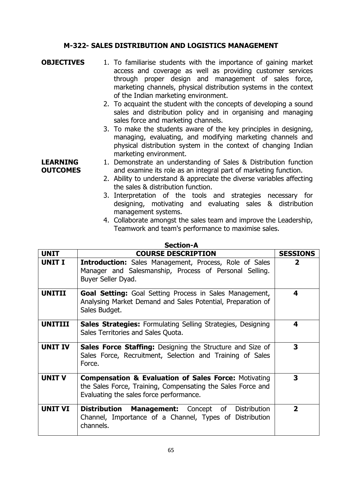#### **M-322- SALES DISTRIBUTION AND LOGISTICS MANAGEMENT**

- **OBJECTIVES** 1. To familiarise students with the importance of gaining market access and coverage as well as providing customer services through proper design and management of sales force, marketing channels, physical distribution systems in the context of the Indian marketing environment.
	- 2. To acquaint the student with the concepts of developing a sound sales and distribution policy and in organising and managing sales force and marketing channels.
	- 3. To make the students aware of the key principles in designing, managing, evaluating, and modifying marketing channels and physical distribution system in the context of changing Indian marketing environment.

#### **LEARNING OUTCOMES** 1. Demonstrate an understanding of Sales & Distribution function and examine its role as an integral part of marketing function.

- 2. Ability to understand & appreciate the diverse variables affecting the sales & distribution function.
- 3. Interpretation of the tools and strategies necessary for designing, motivating and evaluating sales & distribution management systems.
- 4. Collaborate amongst the sales team and improve the Leadership, Teamwork and team's performance to maximise sales.

| SELLIUII-A     |                                                                                                                                                                           |                         |
|----------------|---------------------------------------------------------------------------------------------------------------------------------------------------------------------------|-------------------------|
| <b>UNIT</b>    | <b>COURSE DESCRIPTION</b>                                                                                                                                                 | <b>SESSIONS</b>         |
| <b>UNIT I</b>  | <b>Introduction:</b> Sales Management, Process, Role of Sales<br>Manager and Salesmanship, Process of Personal Selling.<br>Buyer Seller Dyad.                             | $\overline{\mathbf{2}}$ |
| <b>UNITII</b>  | <b>Goal Setting:</b> Goal Setting Process in Sales Management,<br>Analysing Market Demand and Sales Potential, Preparation of<br>Sales Budget.                            | 4                       |
| <b>UNITIII</b> | <b>Sales Strategies:</b> Formulating Selling Strategies, Designing<br>Sales Territories and Sales Quota.                                                                  | 4                       |
| <b>UNIT IV</b> | <b>Sales Force Staffing:</b> Designing the Structure and Size of<br>Sales Force, Recruitment, Selection and Training of Sales<br>Force.                                   | 3                       |
| <b>UNIT V</b>  | <b>Compensation &amp; Evaluation of Sales Force: Motivating</b><br>the Sales Force, Training, Compensating the Sales Force and<br>Evaluating the sales force performance. | 3                       |
| <b>UNIT VI</b> | Distribution<br><b>Management:</b> Concept of Distribution<br>Channel, Importance of a Channel, Types of Distribution<br>channels.                                        | $\overline{2}$          |

#### **Section-A**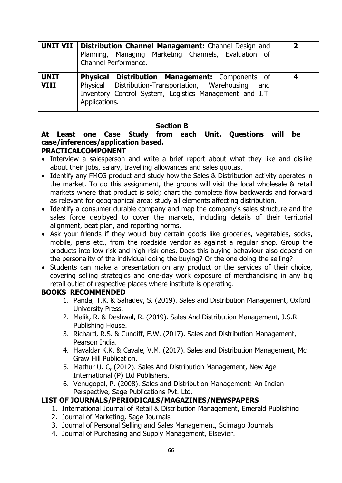|                            | <b>UNIT VII   Distribution Channel Management:</b> Channel Design and<br>Planning, Managing Marketing Channels, Evaluation of<br>Channel Performance.                                                    | 2 |
|----------------------------|----------------------------------------------------------------------------------------------------------------------------------------------------------------------------------------------------------|---|
| <b>UNIT</b><br><b>VIII</b> | <b>Physical</b><br><b>Distribution Management:</b> Components of<br>Physical Distribution-Transportation, Warehousing<br>and<br>Inventory Control System, Logistics Management and I.T.<br>Applications. | 4 |

#### **Section B**

# **At Least one Case Study from each Unit. Questions will be case/inferences/application based.**

### **PRACTICALCOMPONENT**

- Interview a salesperson and write a brief report about what they like and dislike about their jobs, salary, travelling allowances and sales quotas.
- Identify any FMCG product and study how the Sales & Distribution activity operates in the market. To do this assignment, the groups will visit the local wholesale & retail markets where that product is sold; chart the complete flow backwards and forward as relevant for geographical area; study all elements affecting distribution.
- Identify a consumer durable company and map the company's sales structure and the sales force deployed to cover the markets, including details of their territorial alignment, beat plan, and reporting norms.
- Ask your friends if they would buy certain goods like groceries, vegetables, socks, mobile, pens etc., from the roadside vendor as against a regular shop. Group the products into low risk and high-risk ones. Does this buying behaviour also depend on the personality of the individual doing the buying? Or the one doing the selling?
- Students can make a presentation on any product or the services of their choice, covering selling strategies and one-day work exposure of merchandising in any big retail outlet of respective places where institute is operating.

#### **BOOKS RECOMMENDED**

- 1. Panda, T.K. & Sahadev, S. (2019). Sales and Distribution Management, Oxford University Press.
- 2. Malik, R. & Deshwal, R. (2019). Sales And Distribution Management, J.S.R. Publishing House.
- 3. Richard, R.S. & Cundiff, E.W. (2017). Sales and Distribution Management, Pearson India.
- 4. Havaldar K.K. & Cavale, V.M. (2017). Sales and Distribution Management, Mc Graw Hill Publication.
- 5. Mathur U. C, (2012). Sales And Distribution Management, New Age International (P) Ltd Publishers.
- 6. Venugopal, P. (2008). Sales and Distribution Management: An Indian Perspective, Sage Publications Pvt. Ltd.

- 1. International Journal of Retail & Distribution Management, Emerald Publishing
- 2. Journal of Marketing, Sage Journals
- 3. Journal of Personal Selling and Sales Management, Scimago Journals
- 4. Journal of Purchasing and Supply Management, Elsevier.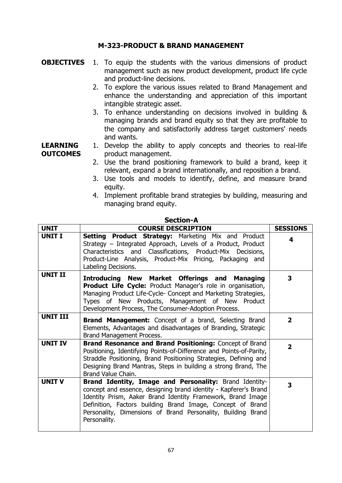#### **M-323-PRODUCT & BRAND MANAGEMENT**

- **OBJECTIVES** 1. To equip the students with the various dimensions of product management such as new product development, product life cycle and product-line decisions.
	- 2. To explore the various issues related to Brand Management and enhance the understanding and appreciation of this important intangible strategic asset.
	- 3. To enhance understanding on decisions involved in building & managing brands and brand equity so that they are profitable to the company and satisfactorily address target customers' needs and wants.

**LEARNING OUTCOMES** 1. Develop the ability to apply concepts and theories to real-life product management.

- 2. Use the brand positioning framework to build a brand, keep it relevant, expand a brand internationally, and reposition a brand.
- 3. Use tools and models to identify, define, and measure brand equity.
- 4. Implement profitable brand strategies by building, measuring and managing brand equity.

| <b>UNIT</b>     | <b>COURSE DESCRIPTION</b>                                                                                                                                                                                                                                                                                                               | <b>SESSIONS</b> |
|-----------------|-----------------------------------------------------------------------------------------------------------------------------------------------------------------------------------------------------------------------------------------------------------------------------------------------------------------------------------------|-----------------|
| <b>UNIT I</b>   | <b>Setting Product Strategy: Marketing Mix and Product</b><br>Strategy - Integrated Approach, Levels of a Product, Product<br>Characteristics and Classifications, Product-Mix Decisions,<br>Product-Line Analysis, Product-Mix Pricing, Packaging and<br>Labeling Decisions.                                                           | 4               |
| <b>UNIT II</b>  | <b>Introducing New Market Offerings and Managing</b><br><b>Product Life Cycle:</b> Product Manager's role in organisation,<br>Managing Product Life-Cycle- Concept and Marketing Strategies,<br>Types of New Products, Management of New Product<br>Development Process, The Consumer-Adoption Process.                                 | 3               |
| <b>UNIT III</b> | <b>Brand Management:</b> Concept of a brand, Selecting Brand<br>Elements, Advantages and disadvantages of Branding, Strategic<br>Brand Management Process.                                                                                                                                                                              | $\overline{2}$  |
| <b>UNIT IV</b>  | <b>Brand Resonance and Brand Positioning: Concept of Brand</b><br>Positioning, Identifying Points-of-Difference and Points-of-Parity,<br>Straddle Positioning, Brand Positioning Strategies, Defining and<br>Designing Brand Mantras, Steps in building a strong Brand, The<br>Brand Value Chain.                                       | $\overline{2}$  |
| <b>UNIT V</b>   | Brand Identity, Image and Personality: Brand Identity-<br>concept and essence, designing brand identity - Kapferer's Brand<br>Identity Prism, Aaker Brand Identity Framework, Brand Image<br>Definition, Factors building Brand Image, Concept of Brand<br>Personality, Dimensions of Brand Personality, Building Brand<br>Personality. | 3               |

#### **Section-A**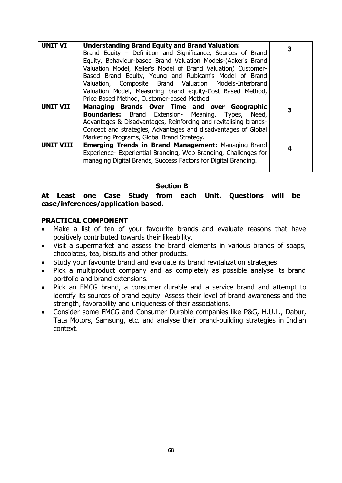| <b>UNIT VI</b>  | <b>Understanding Brand Equity and Brand Valuation:</b>           | 3 |
|-----------------|------------------------------------------------------------------|---|
|                 | Brand Equity - Definition and Significance, Sources of Brand     |   |
|                 | Equity, Behaviour-based Brand Valuation Models-(Aaker's Brand    |   |
|                 | Valuation Model, Keller's Model of Brand Valuation) Customer-    |   |
|                 | Based Brand Equity, Young and Rubicam's Model of Brand           |   |
|                 | Valuation, Composite Brand Valuation Models-Interbrand           |   |
|                 | Valuation Model, Measuring brand equity-Cost Based Method,       |   |
|                 | Price Based Method, Customer-based Method.                       |   |
| <b>UNIT VII</b> | Managing Brands Over Time and over Geographic                    | 3 |
|                 | <b>Boundaries:</b> Brand Extension- Meaning, Types, Need,        |   |
|                 | Advantages & Disadvantages, Reinforcing and revitalising brands- |   |
|                 | Concept and strategies, Advantages and disadvantages of Global   |   |
|                 | Marketing Programs, Global Brand Strategy.                       |   |
| UNIT VIII       | <b>Emerging Trends in Brand Management: Managing Brand</b>       |   |
|                 | Experience- Experiential Branding, Web Branding, Challenges for  | 4 |
|                 | managing Digital Brands, Success Factors for Digital Branding.   |   |
|                 |                                                                  |   |

#### **Section B**

#### **At Least one Case Study from each Unit. Questions will be case/inferences/application based.**

#### **PRACTICAL COMPONENT**

- Make a list of ten of your favourite brands and evaluate reasons that have positively contributed towards their likeability.
- Visit a supermarket and assess the brand elements in various brands of soaps, chocolates, tea, biscuits and other products.
- Study your favourite brand and evaluate its brand revitalization strategies.
- Pick a multiproduct company and as completely as possible analyse its brand portfolio and brand extensions.
- Pick an FMCG brand, a consumer durable and a service brand and attempt to identify its sources of brand equity. Assess their level of brand awareness and the strength, favorability and uniqueness of their associations.
- Consider some FMCG and Consumer Durable companies like P&G, H.U.L., Dabur, Tata Motors, Samsung, etc. and analyse their brand-building strategies in Indian context.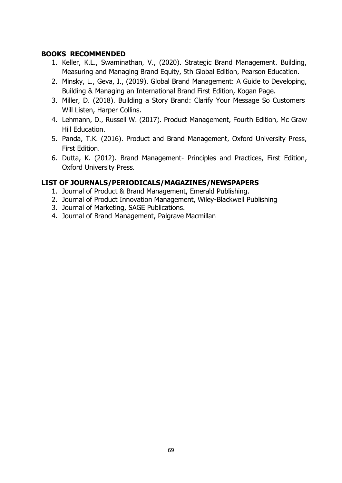### **BOOKS RECOMMENDED**

- 1. Keller, K.L., Swaminathan, V., (2020). Strategic Brand Management. Building, Measuring and Managing Brand Equity, 5th Global Edition, Pearson Education.
- 2. Minsky, L., Geva, I., (2019). Global Brand Management: A Guide to Developing, Building & Managing an International Brand First Edition, Kogan Page.
- 3. Miller, D. (2018). Building a Story Brand: Clarify Your Message So Customers Will Listen, Harper Collins.
- 4. Lehmann, D., Russell W. (2017). Product Management, Fourth Edition, Mc Graw Hill Education.
- 5. Panda, T.K. (2016). Product and Brand Management, Oxford University Press, First Edition.
- 6. Dutta, K. (2012). Brand Management- Principles and Practices, First Edition, Oxford University Press.

- 1. Journal of Product & Brand Management, Emerald Publishing.
- 2. Journal of Product Innovation Management, Wiley-Blackwell Publishing
- 3. Journal of Marketing, SAGE Publications.
- 4. Journal of Brand Management, Palgrave Macmillan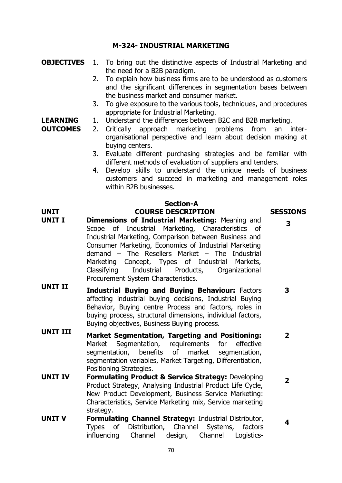#### **M-324- INDUSTRIAL MARKETING**

- **OBJECTIVES** 1. To bring out the distinctive aspects of Industrial Marketing and the need for a B2B paradigm.
	- 2. To explain how business firms are to be understood as customers and the significant differences in segmentation bases between the business market and consumer market.
	- 3. To give exposure to the various tools, techniques, and procedures appropriate for Industrial Marketing.

#### **LEARNING**  1. Understand the differences between B2C and B2B marketing.

**OUTCOMES**

- 2. Critically approach marketing problems from an interorganisational perspective and learn about decision making at buying centers.
	- 3. Evaluate different purchasing strategies and be familiar with different methods of evaluation of suppliers and tenders.
	- 4. Develop skills to understand the unique needs of business customers and succeed in marketing and management roles within B2B businesses.

**3**

**4**

#### **Section-A**

#### **UNIT COURSE DESCRIPTION SESSIONS**

- **UNIT I Dimensions of Industrial Marketing:** Meaning and Scope of Industrial Marketing, Characteristics of Industrial Marketing, Comparison between Business and Consumer Marketing, Economics of Industrial Marketing demand – The Resellers Market – The Industrial Marketing Concept, Types of Industrial Markets, Classifying Industrial Products, Organizational Procurement System Characteristics.
- **UNIT II Industrial Buying and Buying Behaviour:** Factors affecting industrial buying decisions, Industrial Buying Behavior, Buying centre Process and factors, roles in buying process, structural dimensions, individual factors, Buying objectives, Business Buying process. **3**
- **UNIT III Market Segmentation, Targeting and Positioning:**  Market Segmentation, requirements for effective segmentation, benefits of market segmentation, segmentation variables, Market Targeting, Differentiation, Positioning Strategies. **2**
- **UNIT IV Formulating Product & Service Strategy:** Developing Product Strategy, Analysing Industrial Product Life Cycle, New Product Development, Business Service Marketing: Characteristics, Service Marketing mix, Service marketing strategy. **2**
- **UNIT V Formulating Channel Strategy:** Industrial Distributor, Types of Distribution, Channel Systems, factors influencing Channel design, Channel Logistics-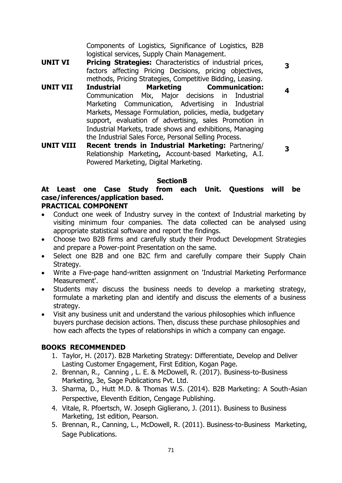Components of Logistics, Significance of Logistics, B2B logistical services, Supply Chain Management.

**3**

**4**

- **UNIT VI Pricing Strategies:** Characteristics of industrial prices, factors affecting Pricing Decisions, pricing objectives, methods, Pricing Strategies, Competitive Bidding, Leasing.
- **UNIT VII Industrial Marketing Communication:**  Communication Mix, Major decisions in Industrial Marketing Communication, Advertising in Industrial Markets, Message Formulation, policies, media, budgetary support, evaluation of advertising, sales Promotion in Industrial Markets, trade shows and exhibitions, Managing the Industrial Sales Force, Personal Selling Process.
- **UNIT VIII Recent trends in Industrial Marketing:** Partnering/ Relationship Marketing**,** Account-based Marketing, A.I. Powered Marketing, Digital Marketing. **3**

#### **SectionB**

# **At Least one Case Study from each Unit. Questions will be case/inferences/application based.**

#### **PRACTICAL COMPONENT**

- Conduct one week of Industry survey in the context of Industrial marketing by visiting minimum four companies. The data collected can be analysed using appropriate statistical software and report the findings.
- Choose two B2B firms and carefully study their Product Development Strategies and prepare a Power-point Presentation on the same.
- Select one B2B and one B2C firm and carefully compare their Supply Chain Strategy.
- Write a Five-page hand-written assignment on 'Industrial Marketing Performance Measurement'.
- Students may discuss the business needs to develop a marketing strategy, formulate a marketing plan and identify and discuss the elements of a business strategy.
- Visit any business unit and understand the various philosophies which influence buyers purchase decision actions. Then, discuss these purchase philosophies and how each affects the types of relationships in which a company can engage.

#### **BOOKS RECOMMENDED**

- 1. Taylor, H. (2017). B2B Marketing Strategy: Differentiate, Develop and Deliver Lasting Customer Engagement, First Edition, Kogan Page.
- 2. Brennan, R., Canning , L. E. & McDowell, R. (2017). Business-to-Business Marketing, 3e, Sage Publications Pvt. Ltd.
- 3. Sharma, D., Hutt M.D. & Thomas W.S. (2014). B2B Marketing: A South-Asian Perspective, Eleventh Edition, Cengage Publishing.
- 4. Vitale, R. Pfoertsch, W. Joseph Giglierano, J. (2011). Business to Business Marketing, 1st edition, Pearson.
- 5. Brennan, R., Canning, L., McDowell, R. (2011). Business-to-Business Marketing, Sage Publications.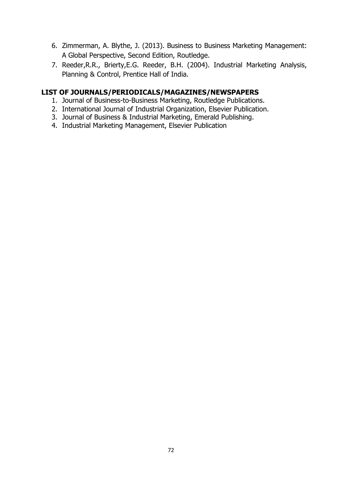- 6. Zimmerman, A. Blythe, J. (2013). Business to Business Marketing Management: A Global Perspective, Second Edition, Routledge.
- 7. Reeder,R.R., Brierty,E.G. Reeder, B.H. (2004). Industrial Marketing Analysis, Planning & Control, Prentice Hall of India.

- 1. Journal of Business-to-Business Marketing, Routledge Publications.
- 2. International Journal of Industrial Organization, Elsevier Publication.
- 3. Journal of Business & Industrial Marketing, Emerald Publishing.
- 4. Industrial Marketing Management, Elsevier Publication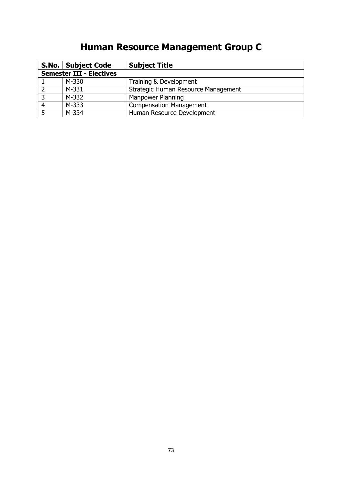# **Human Resource Management Group C**

|                                 | S.No.   Subject Code | <b>Subject Title</b>                |
|---------------------------------|----------------------|-------------------------------------|
| <b>Semester III - Electives</b> |                      |                                     |
|                                 | M-330                | Training & Development              |
|                                 | M-331                | Strategic Human Resource Management |
|                                 | M-332                | Manpower Planning                   |
|                                 | M-333                | <b>Compensation Management</b>      |
|                                 | M-334                | Human Resource Development          |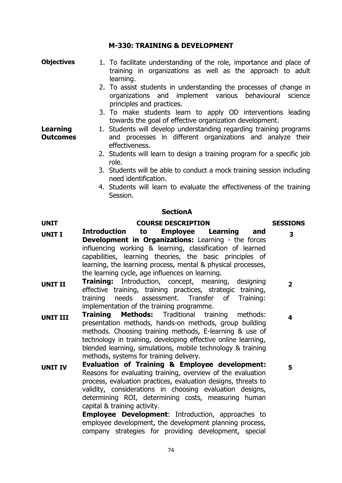## **M-330: TRAINING & DEVELOPMENT**

- **Objectives** 1. To facilitate understanding of the role, importance and place of training in organizations as well as the approach to adult learning.
	- 2. To assist students in understanding the processes of change in organizations and implement various behavioural science principles and practices.
	- 3. To make students learn to apply OD interventions leading towards the goal of effective organization development.
- **Outcomes** 1. Students will develop understanding regarding training programs and processes in different organizations and analyze their effectiveness.
	- 2. Students will learn to design a training program for a specific job role.
	- 3. Students will be able to conduct a mock training session including need identification.
	- 4. Students will learn to evaluate the effectiveness of the training Session.

### **SectionA**

## **UNIT COURSE DESCRIPTION SESSIONS**

**Learning** 

- **UNIT I Introduction to Employee Learning and Development in Organizations:** Learning - the forces influencing working & learning, classification of learned capabilities, learning theories, the basic principles of learning, the learning process, mental & physical processes, the learning cycle, age influences on learning.
- **UNIT II Training:** Introduction, concept, meaning, designing effective training, training practices, strategic training, training needs assessment. Transfer of Training: implementation of the training programme. **2**
- **UNIT III Training Methods:** Traditional training methods: presentation methods, hands-on methods, group building methods. Choosing training methods, E-learning & use of technology in training, developing effective online learning, blended learning, simulations, mobile technology & training methods, systems for training delivery.
- **UNIT IV Evaluation of Training & Employee development:** Reasons for evaluating training, overview of the evaluation process, evaluation practices, evaluation designs, threats to validity, considerations in choosing evaluation designs, determining ROI, determining costs, measuring human capital & training activity.

**Employee Development**: Introduction, approaches to employee development, the development planning process, company strategies for providing development, special

**3**

**5**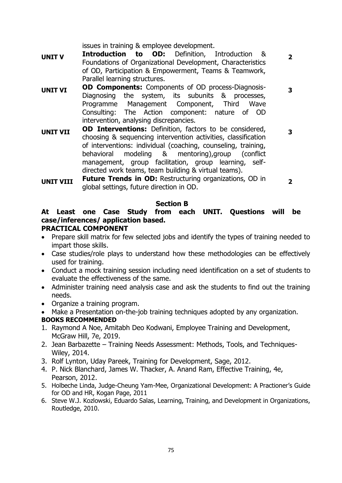issues in training & employee development.

**UNIT V Introduction to OD:** Definition, Introduction & Foundations of Organizational Development, Characteristics of OD, Participation & Empowerment, Teams & Teamwork, Parallel learning structures.

**2**

**3**

**3**

- **UNIT VI OD Components:** Components of OD process-Diagnosis-Diagnosing the system, its subunits & processes, Programme Management Component, Third Wave Consulting: The Action component: nature of OD intervention, analysing discrepancies.
- **UNIT VII OD Interventions:** Definition, factors to be considered, choosing & sequencing intervention activities, classification of interventions: individual (coaching, counseling, training, behavioral modeling & mentoring),group (conflict management, group facilitation, group learning, selfdirected work teams, team building & virtual teams).
- **UNIT VIII Future Trends in OD:** Restructuring organizations, OD in global settings, future direction in OD. **2**

## **Section B**

## **At Least one Case Study from each UNIT. Questions will be case/inferences/ application based.**

## **PRACTICAL COMPONENT**

- Prepare skill matrix for few selected jobs and identify the types of training needed to impart those skills.
- Case studies/role plays to understand how these methodologies can be effectively used for training.
- Conduct a mock training session including need identification on a set of students to evaluate the effectiveness of the same.
- Administer training need analysis case and ask the students to find out the training needs.
- Organize a training program.
- Make a Presentation on-the-job training techniques adopted by any organization.

## **BOOKS RECOMMENDED**

- 1. Raymond A Noe, Amitabh Deo Kodwani, Employee Training and Development, McGraw Hill, 7e, 2019.
- 2. Jean Barbazette Training Needs Assessment: Methods, Tools, and Techniques-Wiley, 2014.
- 3. Rolf Lynton, Uday Pareek, Training for Development, Sage, 2012.
- 4. P. Nick Blanchard, James W. Thacker, A. Anand Ram, Effective Training, 4e, Pearson, 2012.
- 5. Holbeche Linda, Judge-Cheung Yam-Mee, Organizational Development: A Practioner's Guide for OD and HR, Kogan Page, 2011
- 6. Steve W.J. Kozlowski, Eduardo Salas, Learning, Training, and Development in Organizations, Routledge, 2010.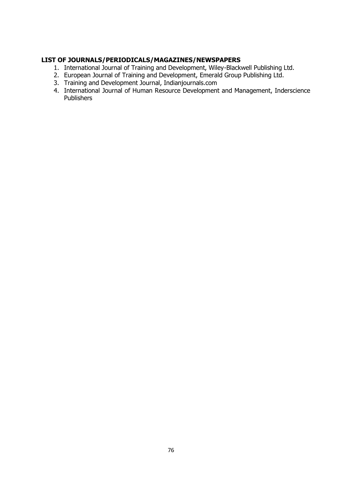- 1. International Journal of Training and Development, Wiley-Blackwell Publishing Ltd.
- 2. European Journal of Training and Development, Emerald Group Publishing Ltd.
- 3. Training and Development Journal, Indianjournals.com
- 4. International Journal of Human Resource Development and Management, Inderscience Publishers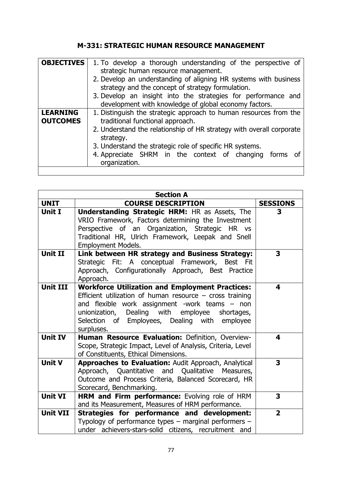## **M-331: STRATEGIC HUMAN RESOURCE MANAGEMENT**

| <b>OBJECTIVES</b>                  | 1. To develop a thorough understanding of the perspective of<br>strategic human resource management.<br>2. Develop an understanding of aligning HR systems with business<br>strategy and the concept of strategy formulation.<br>3. Develop an insight into the strategies for performance and                                    |  |
|------------------------------------|-----------------------------------------------------------------------------------------------------------------------------------------------------------------------------------------------------------------------------------------------------------------------------------------------------------------------------------|--|
|                                    | development with knowledge of global economy factors.                                                                                                                                                                                                                                                                             |  |
| <b>LEARNING</b><br><b>OUTCOMES</b> | 1. Distinguish the strategic approach to human resources from the<br>traditional functional approach.<br>2. Understand the relationship of HR strategy with overall corporate<br>strategy.<br>3. Understand the strategic role of specific HR systems.<br>4. Appreciate SHRM in the context of changing forms of<br>organization. |  |

| <b>Section A</b> |                                                                                                                                                                                                                                                                                            |                 |
|------------------|--------------------------------------------------------------------------------------------------------------------------------------------------------------------------------------------------------------------------------------------------------------------------------------------|-----------------|
| <b>UNIT</b>      | <b>COURSE DESCRIPTION</b>                                                                                                                                                                                                                                                                  | <b>SESSIONS</b> |
| <b>Unit I</b>    | <b>Understanding Strategic HRM: HR as Assets, The</b><br>VRIO Framework, Factors determining the Investment<br>Perspective of an Organization, Strategic HR vs<br>Traditional HR, Ulrich Framework, Leepak and Snell<br><b>Employment Models.</b>                                          | 3               |
| Unit II          | Link between HR strategy and Business Strategy:<br>Strategic Fit: A conceptual Framework, Best Fit<br>Approach, Configurationally Approach, Best Practice<br>Approach.                                                                                                                     | 3               |
| <b>Unit III</b>  | <b>Workforce Utilization and Employment Practices:</b><br>Efficient utilization of human resource $-$ cross training<br>and flexible work assignment -work teams - non<br>unionization, Dealing with employee<br>shortages,<br>Selection of Employees, Dealing with employee<br>surpluses. | 4               |
| <b>Unit IV</b>   | Human Resource Evaluation: Definition, Overview-<br>Scope, Strategic Impact, Level of Analysis, Criteria, Level<br>of Constituents, Ethical Dimensions.                                                                                                                                    | 4               |
| <b>Unit V</b>    | Approaches to Evaluation: Audit Approach, Analytical<br>Approach, Quantitative and Qualitative Measures,<br>Outcome and Process Criteria, Balanced Scorecard, HR<br>Scorecard, Benchmarking.                                                                                               | 3               |
| <b>Unit VI</b>   | HRM and Firm performance: Evolving role of HRM<br>and its Measurement, Measures of HRM performance.                                                                                                                                                                                        | 3               |
| <b>Unit VII</b>  | Strategies for performance and development:<br>Typology of performance types $-$ marginal performers $-$<br>under achievers-stars-solid citizens, recruitment and                                                                                                                          | $\overline{2}$  |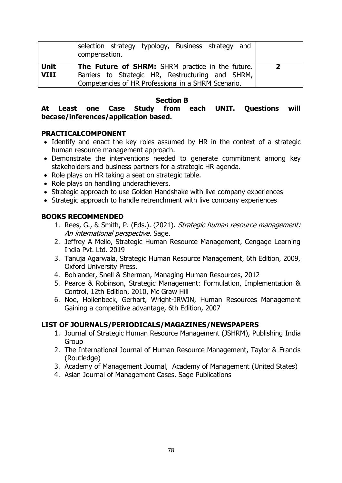|             | selection strategy typology, Business strategy and<br>compensation.                                      |                |
|-------------|----------------------------------------------------------------------------------------------------------|----------------|
| <b>Unit</b> | The Future of SHRM: SHRM practice in the future.                                                         | $\overline{2}$ |
| <b>VIII</b> | Barriers to Strategic HR, Restructuring and SHRM,<br>Competencies of HR Professional in a SHRM Scenario. |                |
|             |                                                                                                          |                |

**Section B**

## **At Least one Case Study from each UNIT. Questions will becase/inferences/application based.**

## **PRACTICALCOMPONENT**

- Identify and enact the key roles assumed by HR in the context of a strategic human resource management approach.
- Demonstrate the interventions needed to generate commitment among key stakeholders and business partners for a strategic HR agenda.
- Role plays on HR taking a seat on strategic table.
- Role plays on handling underachievers.
- Strategic approach to use Golden Handshake with live company experiences
- Strategic approach to handle retrenchment with live company experiences

## **BOOKS RECOMMENDED**

- 1. Rees, G., & Smith, P. (Eds.). (2021). Strategic human resource management: An international perspective. Sage.
- 2. Jeffrey A Mello, Strategic Human Resource Management, Cengage Learning India Pvt. Ltd. 2019
- 3. Tanuja Agarwala, Strategic Human Resource Management, 6th Edition, 2009, Oxford University Press.
- 4. Bohlander, Snell & Sherman, Managing Human Resources, 2012
- 5. Pearce & Robinson, Strategic Management: Formulation, Implementation & Control, 12th Edition, 2010, Mc Graw Hill
- 6. Noe, Hollenbeck, Gerhart, Wright-IRWIN, Human Resources Management Gaining a competitive advantage, 6th Edition, 2007

- 1. Journal of Strategic Human Resource Management (JSHRM), Publishing India Group
- 2. The International Journal of Human Resource Management, Taylor & Francis (Routledge)
- 3. Academy of Management Journal, [Academy of Management](https://www.google.com/search?sxsrf=ALeKk00aLrNuJONLqtpCP4Cpz_4efnOyrw:1628731295903&q=Academy+of+Management&stick=H4sIAAAAAAAAAONgVuLSz9U3MM5NMsgzWMQq6picmJKaW6mQn6bgm5iXmJ6am5pXAgCpKtwZJgAAAA&sa=X&ved=2ahUKEwjai87yqKryAhVZyDgGHVhgDSsQmxMoATAdegQIPxAD) (United States)
- 4. Asian Journal of Management Cases, Sage Publications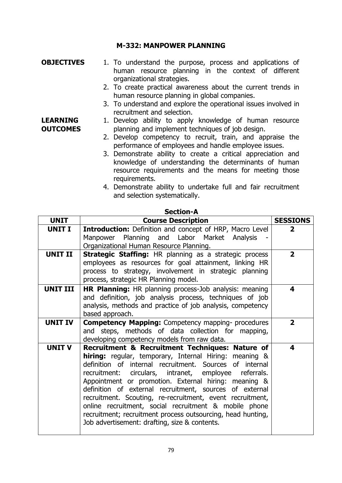## **M-332: MANPOWER PLANNING**

**OBJECTIVES** 1. To understand the purpose, process and applications of human resource planning in the context of different organizational strategies.

**LEARNING OUTCOMES**

- 2. To create practical awareness about the current trends in human resource planning in global companies.
- 3. To understand and explore the operational issues involved in recruitment and selection.

## 1. Develop ability to apply knowledge of human resource planning and implement techniques of job design.

- 2. Develop competency to recruit, train, and appraise the performance of employees and handle employee issues.
- 3. Demonstrate ability to create a critical appreciation and knowledge of understanding the determinants of human resource requirements and the means for meeting those requirements.
- 4. Demonstrate ability to undertake full and fair recruitment and selection systematically.

|                 | JCLIVII A                                                                                                                                                                                                                                                                                                                                                                                                                                                                                                                                                                              |                 |
|-----------------|----------------------------------------------------------------------------------------------------------------------------------------------------------------------------------------------------------------------------------------------------------------------------------------------------------------------------------------------------------------------------------------------------------------------------------------------------------------------------------------------------------------------------------------------------------------------------------------|-----------------|
| <b>UNIT</b>     | <b>Course Description</b>                                                                                                                                                                                                                                                                                                                                                                                                                                                                                                                                                              | <b>SESSIONS</b> |
| <b>UNIT I</b>   | <b>Introduction:</b> Definition and concept of HRP, Macro Level<br>Manpower Planning and Labor Market Analysis<br>Organizational Human Resource Planning.                                                                                                                                                                                                                                                                                                                                                                                                                              | $\mathbf{2}$    |
| <b>UNIT II</b>  | Strategic Staffing: HR planning as a strategic process<br>employees as resources for goal attainment, linking HR<br>process to strategy, involvement in strategic planning<br>process, strategic HR Planning model.                                                                                                                                                                                                                                                                                                                                                                    | $\overline{2}$  |
| <b>UNIT III</b> | <b>HR Planning:</b> HR planning process-Job analysis: meaning<br>and definition, job analysis process, techniques of job<br>analysis, methods and practice of job analysis, competency<br>based approach.                                                                                                                                                                                                                                                                                                                                                                              | 4               |
| <b>UNIT IV</b>  | <b>Competency Mapping:</b> Competency mapping- procedures<br>and steps, methods of data collection for mapping,<br>developing competency models from raw data.                                                                                                                                                                                                                                                                                                                                                                                                                         | $\overline{2}$  |
| <b>UNIT V</b>   | Recruitment & Recruitment Techniques: Nature of<br>hiring: regular, temporary, Internal Hiring: meaning &<br>definition of internal recruitment. Sources of internal<br>recruitment: circulars, intranet, employee referrals.<br>Appointment or promotion. External hiring: meaning &<br>definition of external recruitment, sources of external<br>recruitment. Scouting, re-recruitment, event recruitment,<br>online recruitment, social recruitment & mobile phone<br>recruitment; recruitment process outsourcing, head hunting,<br>Job advertisement: drafting, size & contents. | 4               |

### **Section-A**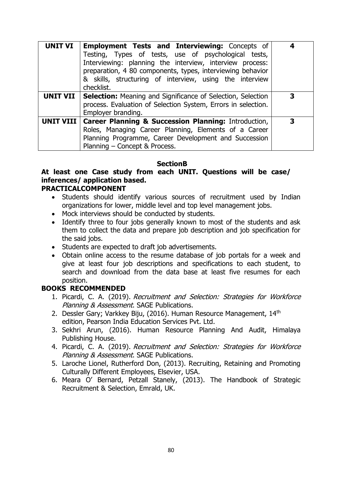| <b>UNIT VI</b>   | <b>Employment Tests and Interviewing: Concepts of</b><br>Testing, Types of tests, use of psychological tests,<br>Interviewing: planning the interview, interview process:<br>preparation, 4 80 components, types, interviewing behavior<br>& skills, structuring of interview, using the interview<br>checklist. |   |
|------------------|------------------------------------------------------------------------------------------------------------------------------------------------------------------------------------------------------------------------------------------------------------------------------------------------------------------|---|
| UNIT VII         | <b>Selection:</b> Meaning and Significance of Selection, Selection<br>process. Evaluation of Selection System, Errors in selection.<br>Employer branding.                                                                                                                                                        | З |
| <b>UNIT VIII</b> | <b>Career Planning &amp; Succession Planning: Introduction,</b><br>Roles, Managing Career Planning, Elements of a Career<br>Planning Programme, Career Development and Succession<br>Planning - Concept & Process.                                                                                               | 3 |

## **SectionB**

## **At least one Case study from each UNIT. Questions will be case/ inferences/ application based.**

## **PRACTICALCOMPONENT**

- Students should identify various sources of recruitment used by Indian organizations for lower, middle level and top level management jobs.
- Mock interviews should be conducted by students.
- Identify three to four jobs generally known to most of the students and ask them to collect the data and prepare job description and job specification for the said jobs.
- Students are expected to draft job advertisements.
- Obtain online access to the resume database of job portals for a week and give at least four job descriptions and specifications to each student, to search and download from the data base at least five resumes for each position.

## **BOOKS RECOMMENDED**

- 1. Picardi, C. A. (2019). Recruitment and Selection: Strategies for Workforce Planning & Assessment. SAGE Publications.
- 2. Dessler Gary; Varkkey Biju, (2016). Human Resource Management, 14th edition, Pearson India Education Services Pvt. Ltd.
- 3. Sekhri Arun, (2016). Human Resource Planning And Audit, Himalaya Publishing House.
- 4. Picardi, C. A. (2019). Recruitment and Selection: Strategies for Workforce Planning & Assessment. SAGE Publications.
- 5. Laroche Lionel, Rutherford Don, (2013). Recruiting, Retaining and Promoting Culturally Different Employees, Elsevier, USA.
- 6. Meara O' Bernard, Petzall Stanely, (2013). The Handbook of Strategic Recruitment & Selection, Emrald, UK.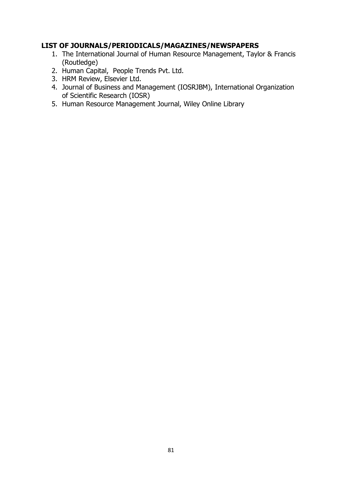- 1. The International Journal of Human Resource Management, Taylor & Francis (Routledge)
- 2. Human Capital, People Trends Pvt. Ltd.
- 3. HRM Review, Elsevier Ltd.
- 4. Journal of Business and Management (IOSRJBM), International Organization of Scientific Research (IOSR)
- 5. Human Resource Management Journal, Wiley Online Library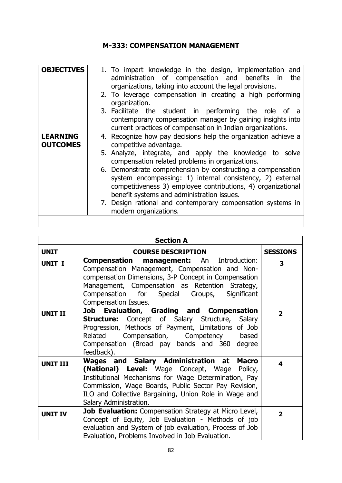## **M-333: COMPENSATION MANAGEMENT**

| <b>OBJECTIVES</b> | 1. To impart knowledge in the design, implementation and<br>administration of compensation and benefits in<br>the<br>organizations, taking into account the legal provisions.                                                          |
|-------------------|----------------------------------------------------------------------------------------------------------------------------------------------------------------------------------------------------------------------------------------|
|                   | 2. To leverage compensation in creating a high performing<br>organization.                                                                                                                                                             |
|                   | 3. Facilitate the student in performing the role of a                                                                                                                                                                                  |
|                   | contemporary compensation manager by gaining insights into<br>current practices of compensation in Indian organizations.                                                                                                               |
| <b>LEARNING</b>   | 4. Recognize how pay decisions help the organization achieve a                                                                                                                                                                         |
| <b>OUTCOMES</b>   | competitive advantage.                                                                                                                                                                                                                 |
|                   | 5. Analyze, integrate, and apply the knowledge to solve<br>compensation related problems in organizations.                                                                                                                             |
|                   | 6. Demonstrate comprehension by constructing a compensation<br>system encompassing: 1) internal consistency, 2) external<br>competitiveness 3) employee contributions, 4) organizational<br>benefit systems and administration issues. |
|                   | 7. Design rational and contemporary compensation systems in<br>modern organizations.                                                                                                                                                   |
|                   |                                                                                                                                                                                                                                        |

| <b>Section A</b> |                                                                                                                                                                                                                                                                                             |                         |
|------------------|---------------------------------------------------------------------------------------------------------------------------------------------------------------------------------------------------------------------------------------------------------------------------------------------|-------------------------|
| <b>UNIT</b>      | <b>COURSE DESCRIPTION</b>                                                                                                                                                                                                                                                                   | <b>SESSIONS</b>         |
| <b>UNIT I</b>    | <b>Compensation management:</b> An Introduction:<br>Compensation Management, Compensation and Non-<br>compensation Dimensions, 3-P Concept in Compensation<br>Management, Compensation as Retention Strategy,<br>Compensation for Special Groups,<br>Significant<br>Compensation Issues.    | 3                       |
| <b>UNIT II</b>   | Job Evaluation, Grading and Compensation<br><b>Structure:</b> Concept of Salary Structure, Salary<br>Progression, Methods of Payment, Limitations of Job<br>Related<br>Compensation, Competency based<br>Compensation (Broad pay bands and 360 degree<br>feedback).                         | $\overline{\mathbf{2}}$ |
| <b>UNIT III</b>  | Wages and Salary Administration at Macro<br>(National) Level: Wage Concept, Wage Policy,<br>Institutional Mechanisms for Wage Determination, Pay<br>Commission, Wage Boards, Public Sector Pay Revision,<br>ILO and Collective Bargaining, Union Role in Wage and<br>Salary Administration. | 4                       |
| <b>UNIT IV</b>   | Job Evaluation: Compensation Strategy at Micro Level,<br>Concept of Equity, Job Evaluation - Methods of job<br>evaluation and System of job evaluation, Process of Job<br>Evaluation, Problems Involved in Job Evaluation.                                                                  | $\overline{2}$          |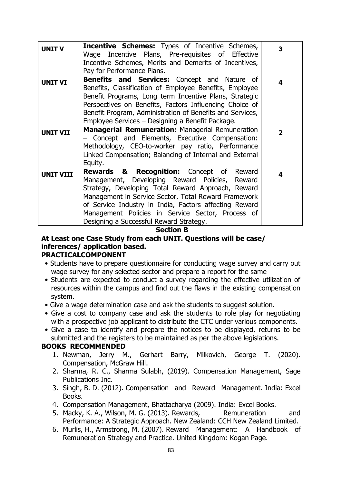| <b>UNIT V</b>    | <b>Incentive Schemes:</b> Types of Incentive Schemes,<br>Wage Incentive Plans, Pre-requisites of Effective<br>Incentive Schemes, Merits and Demerits of Incentives,<br>Pay for Performance Plans.                                                                                                                                                                                       | 3              |
|------------------|-----------------------------------------------------------------------------------------------------------------------------------------------------------------------------------------------------------------------------------------------------------------------------------------------------------------------------------------------------------------------------------------|----------------|
| <b>UNIT VI</b>   | Benefits and Services: Concept and Nature of<br>Benefits, Classification of Employee Benefits, Employee<br>Benefit Programs, Long term Incentive Plans, Strategic<br>Perspectives on Benefits, Factors Influencing Choice of<br>Benefit Program, Administration of Benefits and Services,<br>Employee Services - Designing a Benefit Package.                                           | 4              |
| <b>UNIT VII</b>  | <b>Managerial Remuneration: Managerial Remuneration</b><br>- Concept and Elements, Executive Compensation:<br>Methodology, CEO-to-worker pay ratio, Performance<br>Linked Compensation; Balancing of Internal and External<br>Equity.                                                                                                                                                   | $\overline{2}$ |
| <b>UNIT VIII</b> | <b>Recognition:</b> Concept of Reward<br><b>Rewards &amp;</b><br>Management, Developing Reward Policies, Reward<br>Strategy, Developing Total Reward Approach, Reward<br>Management in Service Sector, Total Reward Framework<br>of Service Industry in India, Factors affecting Reward<br>Management Policies in Service Sector, Process of<br>Designing a Successful Reward Strategy. | 4              |

**Section B**

## **At Least one Case Study from each UNIT. Questions will be case/ inferences/ application based. PRACTICALCOMPONENT**

- Students have to prepare questionnaire for conducting wage survey and carry out wage survey for any selected sector and prepare a report for the same
- Students are expected to conduct a survey regarding the effective utilization of resources within the campus and find out the flaws in the existing compensation system.
- Give a wage determination case and ask the students to suggest solution.
- Give a cost to company case and ask the students to role play for negotiating with a prospective job applicant to distribute the CTC under various components.
- Give a case to identify and prepare the notices to be displayed, returns to be submitted and the registers to be maintained as per the above legislations.

## **BOOKS RECOMMENDED**

- 1. Newman, Jerry M., Gerhart Barry, Milkovich, George T. (2020). Compensation, McGraw Hill.
- 2. Sharma, R. C., Sharma Sulabh, (2019). Compensation Management, Sage Publications Inc.
- 3. Singh, B. D. (2012). Compensation and Reward Management. India: Excel Books.
- 4. Compensation Management, Bhattacharya (2009). India: Excel Books.
- 5. Macky, K. A., Wilson, M. G. (2013). Rewards, Remuneration and Performance: A Strategic Approach. New Zealand: CCH New Zealand Limited.
- 6. Murlis, H., Armstrong, M. (2007). Reward Management: A Handbook of Remuneration Strategy and Practice. United Kingdom: Kogan Page.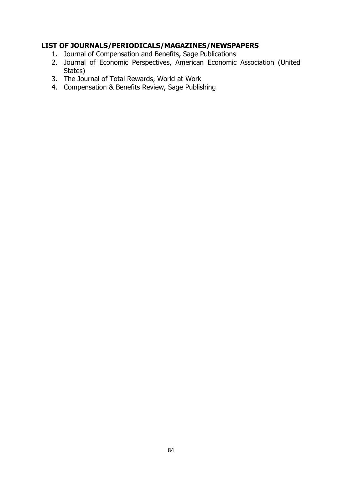- 1. Journal of Compensation and Benefits, Sage Publications
- 2. Journal of Economic Perspectives, American Economic Association (United States)
- 3. The Journal of Total Rewards, World at Work
- 4. Compensation & Benefits Review, Sage Publishing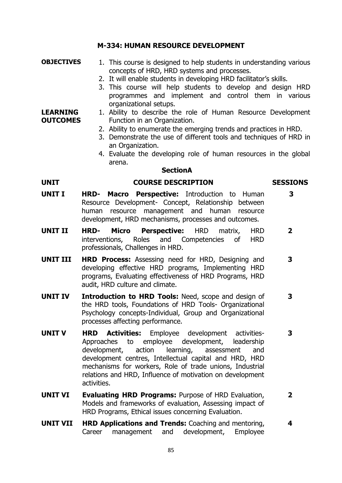## **M-334: HUMAN RESOURCE DEVELOPMENT**

## **OBJECTIVES** 1. This course is designed to help students in understanding various concepts of HRD, HRD systems and processes.

- 2. It will enable students in developing HRD facilitator's skills.
- 3. This course will help students to develop and design HRD programmes and implement and control them in various organizational setups.

#### **LEARNING OUTCOMES** 1. Ability to describe the role of Human Resource Development Function in an Organization.

- 2. Ability to enumerate the emerging trends and practices in HRD.
- 3. Demonstrate the use of different tools and techniques of HRD in an Organization.
- 4. Evaluate the developing role of human resources in the global arena.

## **SectionA**

## **UNIT COURSE DESCRIPTION SESSIONS**

# **3**

- **UNIT I HRD- Macro Perspective:** Introduction to Human Resource Development- Concept, Relationship between human resource management and human resource development, HRD mechanisms, processes and outcomes.
- **UNIT II HRD- Micro Perspective:** HRD matrix, HRD interventions, Roles and Competencies of HRD professionals, Challenges in HRD. **2**
- **UNIT III HRD Process:** Assessing need for HRD, Designing and developing effective HRD programs, Implementing HRD programs, Evaluating effectiveness of HRD Programs, HRD audit, HRD culture and climate. **3**
- **UNIT IV Introduction to HRD Tools:** Need, scope and design of the HRD tools, Foundations of HRD Tools- Organizational Psychology concepts-Individual, Group and Organizational processes affecting performance. **3**
- **UNIT V HRD Activities:** Employee development activities-Approaches to employee development, leadership development, action learning, assessment and development centres, Intellectual capital and HRD, HRD mechanisms for workers, Role of trade unions, Industrial relations and HRD, Influence of motivation on development activities.
- **UNIT VI Evaluating HRD Programs:** Purpose of HRD Evaluation, Models and frameworks of evaluation, Assessing impact of HRD Programs, Ethical issues concerning Evaluation. **2**
- **UNIT VII HRD Applications and Trends:** Coaching and mentoring, Career management and development, Employee **4**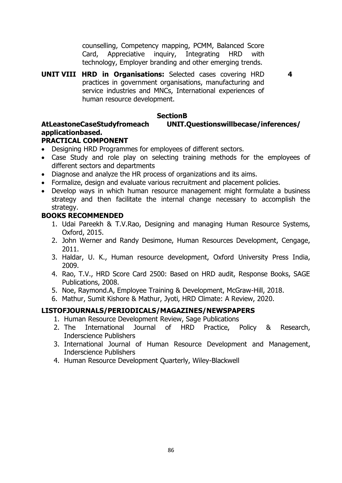counselling, Competency mapping, PCMM, Balanced Score Card, Appreciative inquiry, Integrating HRD with technology, Employer branding and other emerging trends.

**4**

**UNIT VIII HRD in Organisations:** Selected cases covering HRD practices in government organisations, manufacturing and service industries and MNCs, International experiences of human resource development.

## **SectionB**

## **AtLeastoneCaseStudyfromeach UNIT.Questionswillbecase/inferences/ applicationbased.**

## **PRACTICAL COMPONENT**

- Designing HRD Programmes for employees of different sectors.
- Case Study and role play on selecting training methods for the employees of different sectors and departments
- Diagnose and analyze the HR process of organizations and its aims.
- Formalize, design and evaluate various recruitment and placement policies.
- Develop ways in which human resource management might formulate a business strategy and then facilitate the internal change necessary to accomplish the strategy.

## **BOOKS RECOMMENDED**

- 1. Udai Pareekh & T.V.Rao, Designing and managing Human Resource Systems, Oxford, 2015.
- 2. John Werner and Randy Desimone, Human Resources Development, Cengage, 2011.
- 3. Haldar, U. K., Human resource development, Oxford University Press India, 2009.
- 4. Rao, T.V., HRD Score Card 2500: Based on HRD audit, Response Books, SAGE Publications, 2008.
- 5. Noe, Raymond.A, Employee Training & Development, McGraw-Hill, 2018.
- 6. Mathur, Sumit Kishore & Mathur, Jyoti, HRD Climate: A Review, 2020.

- 1. Human Resource Development Review, Sage Publications
- 2. The International Journal of HRD Practice, Policy & Research, Inderscience Publishers
- 3. International Journal of Human Resource Development and Management, Inderscience Publishers
- 4. Human Resource Development Quarterly, Wiley-Blackwell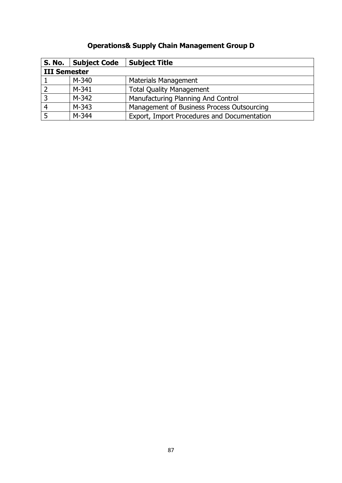## **Operations& Supply Chain Management Group D**

| S. No.              | Subject Code | <b>Subject Title</b>                        |
|---------------------|--------------|---------------------------------------------|
| <b>III Semester</b> |              |                                             |
|                     | $M - 340$    | Materials Management                        |
|                     | $M-341$      | <b>Total Quality Management</b>             |
| 3                   | M-342        | Manufacturing Planning And Control          |
| $\overline{4}$      | M-343        | Management of Business Process Outsourcing  |
|                     | M-344        | Export, Import Procedures and Documentation |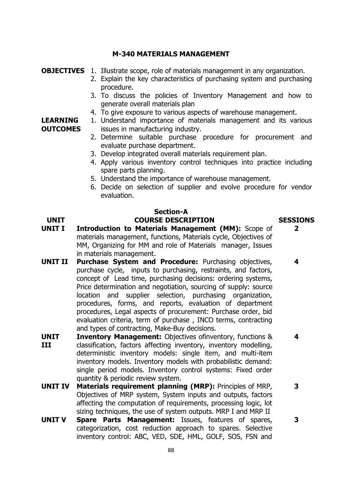## **M-340 MATERIALS MANAGEMENT**

## **OBJECTIVES** 1. Illustrate scope, role of materials management in any organization.

- 2. Explain the key characteristics of purchasing system and purchasing procedure.
- 3. To discuss the policies of Inventory Management and how to generate overall materials plan
- 4. To give exposure to various aspects of warehouse management.

#### **LEARNING OUTCOMES** 1. Understand importance of materials management and its various issues in manufacturing industry.

- 2. Determine suitable purchase procedure for procurement and evaluate purchase department.
- 3. Develop integrated overall materials requirement plan.
- 4. Apply various inventory control techniques into practice including spare parts planning.
- 5. Understand the importance of warehouse management.
- 6. Decide on selection of supplier and evolve procedure for vendor evaluation.

## **Section-A**

## **UNIT COURSE DESCRIPTION SESSIONS**

- **UNIT I Introduction to Materials Management (MM):** Scope of materials management, functions, Materials cycle, Objectives of MM, Organizing for MM and role of Materials manager, Issues in materials management.
- **UNIT II Purchase System and Procedure:** Purchasing objectives, purchase cycle, inputs to purchasing, restraints, and factors, concept of Lead time, purchasing decisions: ordering systems, Price determination and negotiation, sourcing of supply: source location and supplier selection, purchasing organization, procedures, forms, and reports, evaluation of department procedures, Legal aspects of procurement: Purchase order, bid evaluation criteria, term of purchase , INCO terms, contracting and types of contracting, Make-Buy decisions.
- **UNIT III Inventory Management:** Objectives ofinventory, functions & classification, factors affecting inventory, inventory modelling, deterministic inventory models: single item, and multi-item inventory models. Inventory models with probabilistic demand: single period models. Inventory control systems: Fixed order quantity & periodic review system.
- **UNIT IV Materials requirement planning (MRP):** Principles of MRP, Objectives of MRP system, System inputs and outputs, factors affecting the computation of requirements, processing logic, lot sizing techniques, the use of system outputs. MRP I and MRP II
- **UNIT V Spare Parts Management:** Issues, features of spares, categorization, cost reduction approach to spares. Selective inventory control: ABC, VED, SDE, HML, GOLF, SOS, FSN and

**2**

**4**

**3**

**3**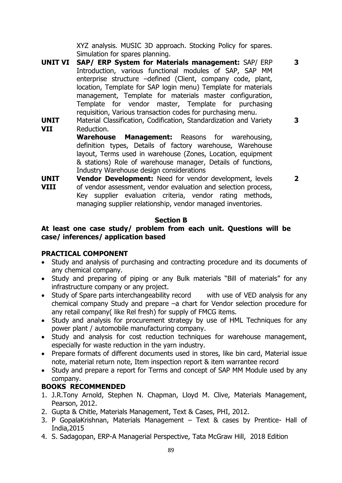XYZ analysis. MUSIC 3D approach. Stocking Policy for spares. Simulation for spares planning.

- **UNIT VI SAP/ ERP System for Materials management:** SAP/ ERP Introduction, various functional modules of SAP, SAP MM enterprise structure –defined (Client, company code, plant, location, Template for SAP login menu) Template for materials management, Template for materials master configuration, Template for vendor master, Template for purchasing requisition, Various transaction codes for purchasing menu.
- **UNIT VII** Material Classification, Codification, Standardization and Variety Reduction. **3**

**Warehouse Management:** Reasons for warehousing, definition types, Details of factory warehouse, Warehouse layout, Terms used in warehouse (Zones, Location, equipment & stations) Role of warehouse manager, Details of functions, Industry Warehouse design considerations

**2**

**3**

**UNIT VIII Vendor Development:** Need for vendor development, levels of vendor assessment, vendor evaluation and selection process, Key supplier evaluation criteria, vendor rating methods, managing supplier relationship, vendor managed inventories.

## **Section B**

## **At least one case study/ problem from each unit. Questions will be case/ inferences/ application based**

## **PRACTICAL COMPONENT**

- Study and analysis of purchasing and contracting procedure and its documents of any chemical company.
- Study and preparing of piping or any Bulk materials "Bill of materials" for any infrastructure company or any project.
- Study of Spare parts interchangeability record with use of VED analysis for any chemical company Study and prepare –a chart for Vendor selection procedure for any retail company( like Rel fresh) for supply of FMCG items.
- Study and analysis for procurement strategy by use of HML Techniques for any power plant / automobile manufacturing company.
- Study and analysis for cost reduction techniques for warehouse management, especially for waste reduction in the yarn industry.
- Prepare formats of different documents used in stores, like bin card, Material issue note, material return note, Item inspection report & item warrantee record
- Study and prepare a report for Terms and concept of SAP MM Module used by any company.

## **BOOKS RECOMMENDED**

- 1. J.R.Tony Arnold, Stephen N. Chapman, Lloyd M. Clive, Materials Management, Pearson, 2012.
- 2. Gupta & Chitle, Materials Management, Text & Cases, PHI, 2012.
- 3. P GopalaKrishnan, Materials Management Text & cases by Prentice- Hall of India,2015
- 4. S. Sadagopan, ERP-A Managerial Perspective, Tata McGraw Hill, 2018 Edition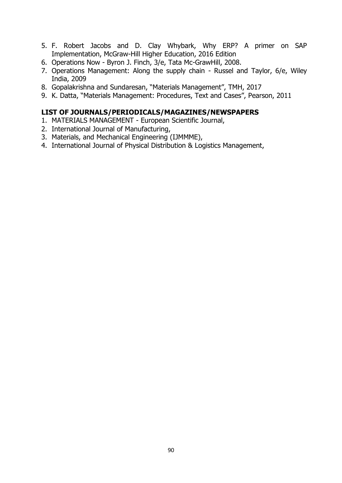- 5. F. Robert Jacobs and D. Clay Whybark, Why ERP? A primer on SAP Implementation, McGraw-Hill Higher Education, 2016 Edition
- 6. Operations Now Byron J. Finch, 3/e, Tata Mc-GrawHill, 2008.
- 7. Operations Management: Along the supply chain Russel and Taylor, 6/e, Wiley India, 2009
- 8. Gopalakrishna and Sundaresan, "Materials Management", TMH, 2017
- 9. K. Datta, "Materials Management: Procedures, Text and Cases", Pearson, 2011

- 1. MATERIALS MANAGEMENT European Scientific Journal,
- 2. International Journal of Manufacturing,
- 3. Materials, and Mechanical Engineering (IJMMME),
- 4. International Journal of Physical Distribution & Logistics Management,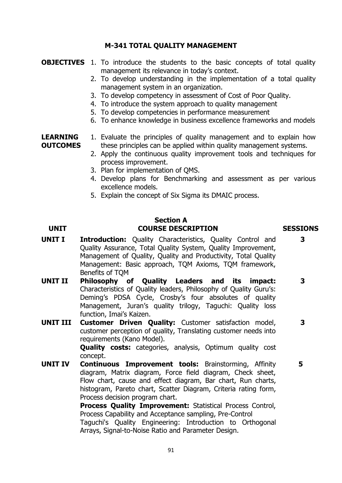## **M-341 TOTAL QUALITY MANAGEMENT**

- **OBJECTIVES** 1. To introduce the students to the basic concepts of total quality management its relevance in today's context.
	- 2. To develop understanding in the implementation of a total quality management system in an organization.
	- 3. To develop competency in assessment of Cost of Poor Quality.
	- 4. To introduce the system approach to quality management
	- 5. To develop competencies in performance measurement
	- 6. To enhance knowledge in business excellence frameworks and models

#### **LEARNING OUTCOMES** 1. Evaluate the principles of quality management and to explain how these principles can be applied within quality management systems.

- 2. Apply the continuous quality improvement tools and techniques for process improvement.
- 3. Plan for implementation of QMS.
- 4. Develop plans for Benchmarking and assessment as per various excellence models.
- 5. Explain the concept of Six Sigma its DMAIC process.

## **Section A UNIT COURSE DESCRIPTION SESSIONS**

**3**

- **UNIT I Introduction:** Quality Characteristics, Quality Control and Quality Assurance, Total Quality System, Quality Improvement, Management of Quality, Quality and Productivity, Total Quality Management: Basic approach, TQM Axioms, TQM framework, Benefits of TQM
- **UNIT II Philosophy of Quality Leaders and its impact:**  Characteristics of Quality leaders, Philosophy of Quality Guru's: Deming's PDSA Cycle, Crosby's four absolutes of quality Management, Juran's quality trilogy, Taguchi: Quality loss function, Imai's Kaizen. **3**
- **UNIT III Customer Driven Quality:** Customer satisfaction model, customer perception of quality, Translating customer needs into requirements (Kano Model). **3**

**Quality costs:** categories, analysis, Optimum quality cost concept.

**UNIT IV Continuous Improvement tools:** Brainstorming, Affinity diagram, Matrix diagram, Force field diagram, Check sheet, Flow chart, cause and effect diagram, Bar chart, Run charts, histogram, Pareto chart, Scatter Diagram, Criteria rating form, Process decision program chart. **5**

> **Process Quality Improvement:** Statistical Process Control, Process Capability and Acceptance sampling, Pre-Control Taguchi's Quality Engineering: Introduction to Orthogonal Arrays, Signal-to-Noise Ratio and Parameter Design.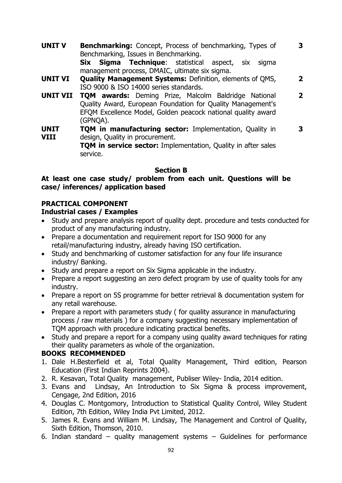- **UNIT V Benchmarking:** Concept, Process of benchmarking, Types of Benchmarking, Issues in Benchmarking. **Six Sigma Technique**: statistical aspect, six sigma management process, DMAIC, ultimate six sigma. **3**
- **UNIT VI Quality Management Systems:** Definition, elements of QMS, ISO 9000 & ISO 14000 series standards. **2**
- **UNIT VII TQM awards:** Deming Prize, Malcolm Baldridge National Quality Award, European Foundation for Quality Management's EFQM Excellence Model, Golden peacock national quality award (GPNQA). **2**
- **UNIT VIII TOM in manufacturing sector: Implementation, Quality in** design, Quality in procurement. **3**

**TOM in service sector:** Implementation, Quality in after sales service.

## **Section B**

## **At least one case study/ problem from each unit. Questions will be case/ inferences/ application based**

## **PRACTICAL COMPONENT**

## **Industrial cases / Examples**

- Study and prepare analysis report of quality dept. procedure and tests conducted for product of any manufacturing industry.
- Prepare a documentation and requirement report for ISO 9000 for any retail/manufacturing industry, already having ISO certification.
- Study and benchmarking of customer satisfaction for any four life insurance industry/ Banking.
- Study and prepare a report on Six Sigma applicable in the industry.
- Prepare a report suggesting an zero defect program by use of quality tools for any industry.
- Prepare a report on 5S programme for better retrieval & documentation system for any retail warehouse.
- Prepare a report with parameters study (for quality assurance in manufacturing process / raw materials ) for a company suggesting necessary implementation of TQM approach with procedure indicating practical benefits.
- Study and prepare a report for a company using quality award techniques for rating their quality parameters as whole of the organization.

## **BOOKS RECOMMENDED**

- 1. Dale H.Besterfield et al, Total Quality Management, Third edition, Pearson Education (First Indian Reprints 2004).
- 2. R. Kesavan, Total Quality management, Publiser Wiley- India, 2014 edition.
- 3. Evans and Lindsay, An Introduction to Six Sigma & process improvement, Cengage, 2nd Edition, 2016
- 4. Douglas C. Montgomory, Introduction to Statistical Quality Control, Wiley Student Edition, 7th Edition, Wiley India Pvt Limited, 2012.
- 5. James R. Evans and William M. Lindsay, The Management and Control of Quality, Sixth Edition, Thomson, 2010.
- 6. Indian standard quality management systems Guidelines for performance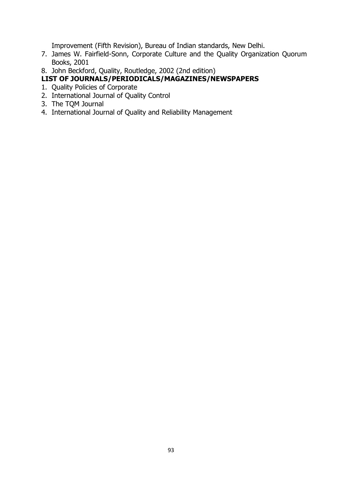Improvement (Fifth Revision), Bureau of Indian standards, New Delhi.

- 7. James W. Fairfield-Sonn, Corporate Culture and the Quality Organization Quorum Books, 2001
- 8. John Beckford, Quality, Routledge, 2002 (2nd edition)

- 1. Quality Policies of Corporate
- 2. International Journal of Quality Control
- 3. The TQM Journal
- 4. International Journal of Quality and Reliability Management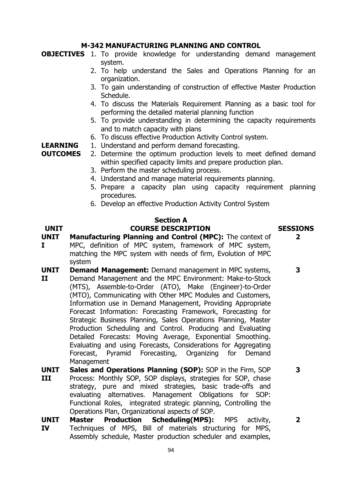## **M-342 MANUFACTURING PLANNING AND CONTROL**

**OBJECTIVES** 1. To provide knowledge for understanding demand management system.

- 2. To help understand the Sales and Operations Planning for an organization.
- 3. To gain understanding of construction of effective Master Production Schedule.
- 4. To discuss the Materials Requirement Planning as a basic tool for performing the detailed material planning function
- 5. To provide understanding in determining the capacity requirements and to match capacity with plans
- 6. To discuss effective Production Activity Control system.
- **LEARNING**  1. Understand and perform demand forecasting.

**OUTCOMES** 2. Determine the optimum production levels to meet defined demand within specified capacity limits and prepare production plan.

- 3. Perform the master scheduling process.
- 4. Understand and manage material requirements planning.
- 5. Prepare a capacity plan using capacity requirement planning procedures.
- 6. Develop an effective Production Activity Control System

## **Section A**

## **UNIT COURSE DESCRIPTION SESSIONS**

**2**

**3**

**3**

- **UNIT I Manufacturing Planning and Control (MPC):** The context of MPC, definition of MPC system, framework of MPC system, matching the MPC system with needs of firm, Evolution of MPC system
- **UNIT II Demand Management:** Demand management in MPC systems, Demand Management and the MPC Environment: Make-to-Stock (MTS), Assemble-to-Order (ATO), Make (Engineer)-to-Order (MTO), Communicating with Other MPC Modules and Customers, Information use in Demand Management, Providing Appropriate Forecast Information: Forecasting Framework, Forecasting for Strategic Business Planning, Sales Operations Planning, Master Production Scheduling and Control. Producing and Evaluating Detailed Forecasts: Moving Average, Exponential Smoothing. Evaluating and using Forecasts, Considerations for Aggregating Forecast, Pyramid Forecasting, Organizing for Demand Management
- **UNIT III Sales and Operations Planning (SOP):** SOP in the Firm, SOP Process: Monthly SOP, SOP displays, strategies for SOP, chase strategy, pure and mixed strategies, basic trade-offs and evaluating alternatives. Management Obligations for SOP: Functional Roles, integrated strategic planning, Controlling the Operations Plan, Organizational aspects of SOP.
- **UNIT IV Master Production Scheduling(MPS):** MPS activity, Techniques of MPS, Bill of materials structuring for MPS, Assembly schedule, Master production scheduler and examples,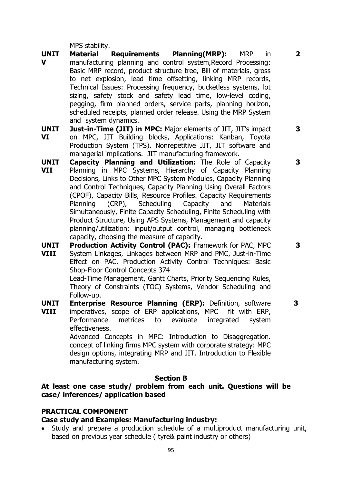MPS stability.

- **UNIT V Material Requirements Planning(MRP):** MRP in manufacturing planning and control system,Record Processing: Basic MRP record, product structure tree, Bill of materials, gross to net explosion, lead time offsetting, linking MRP records, Technical Issues: Processing frequency, bucketless systems, lot sizing, safety stock and safety lead time, low-level coding, pegging, firm planned orders, service parts, planning horizon, scheduled receipts, planned order release. Using the MRP System and system dynamics.
- **UNIT VI Just-in-Time (JIT) in MPC:** Major elements of JIT, JIT's impact on MPC, JIT Building blocks, Applications: Kanban, Toyota Production System (TPS). Nonrepetitive JIT, JIT software and managerial implications. JIT manufacturing framework.
- **UNIT VII Capacity Planning and Utilization:** The Role of Capacity Planning in MPC Systems, Hierarchy of Capacity Planning Decisions, Links to Other MPC System Modules, Capacity Planning and Control Techniques, Capacity Planning Using Overall Factors (CPOF), Capacity Bills, Resource Profiles. Capacity Requirements Planning (CRP), Scheduling Capacity and Materials Simultaneously, Finite Capacity Scheduling, Finite Scheduling with Product Structure, Using APS Systems, Management and capacity planning/utilization: input/output control, managing bottleneck capacity, choosing the measure of capacity.
- **UNIT VIII Production Activity Control (PAC):** Framework for PAC, MPC System Linkages, Linkages between MRP and PMC, Just-in-Time Effect on PAC. Production Activity Control Techniques: Basic Shop-Floor Control Concepts 374

Lead-Time Management, Gantt Charts, Priority Sequencing Rules, Theory of Constraints (TOC) Systems, Vendor Scheduling and Follow-up.

- **UNIT Enterprise Resource Planning (ERP):** Definition, software
- **VIII** imperatives, scope of ERP applications, MPC fit with ERP, Performance metrices to evaluate integrated system effectiveness.

Advanced Concepts in MPC: Introduction to Disaggregation. concept of linking firms MPC system with corporate strategy: MPC design options, integrating MRP and JIT. Introduction to Flexible manufacturing system.

## **Section B**

**At least one case study/ problem from each unit. Questions will be case/ inferences/ application based**

## **PRACTICAL COMPONENT**

## **Case study and Examples: Manufacturing industry:**

 Study and prepare a production schedule of a multiproduct manufacturing unit, based on previous year schedule ( tyre& paint industry or others)

**3**

**3**

**2**

**3**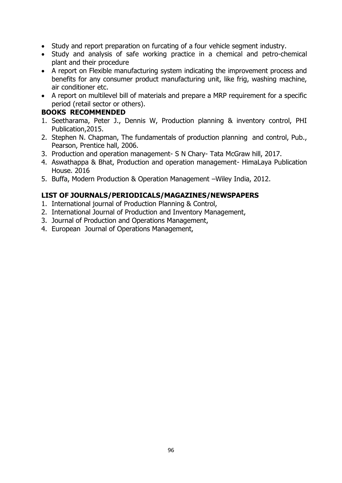- Study and report preparation on furcating of a four vehicle segment industry.
- Study and analysis of safe working practice in a chemical and petro-chemical plant and their procedure
- A report on Flexible manufacturing system indicating the improvement process and benefits for any consumer product manufacturing unit, like frig, washing machine, air conditioner etc.
- A report on multilevel bill of materials and prepare a MRP requirement for a specific period (retail sector or others).

## **BOOKS RECOMMENDED**

- 1. Seetharama, Peter J., Dennis W, Production planning & inventory control, PHI Publication,2015.
- 2. Stephen N. Chapman, The fundamentals of production planning and control, Pub., Pearson, Prentice hall, 2006.
- 3. Production and operation management- S N Chary- Tata McGraw hill, 2017.
- 4. Aswathappa & Bhat, Production and operation management- HimaLaya Publication House. 2016
- 5. Buffa, Modern Production & Operation Management –Wiley India, 2012.

- 1. International journal of Production Planning & Control,
- 2. International Journal of Production and Inventory Management,
- 3. Journal of Production and Operations Management,
- 4. European Journal of Operations Management,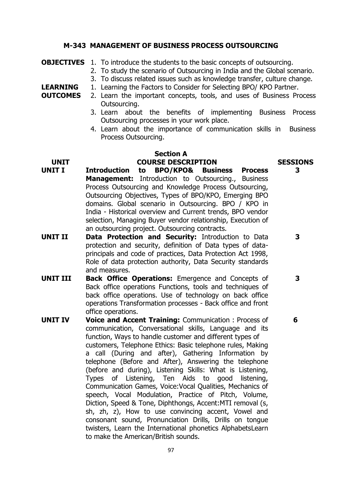## **M-343 MANAGEMENT OF BUSINESS PROCESS OUTSOURCING**

|  | <b>OBJECTIVES</b> 1. To introduce the students to the basic concepts of outsourcing. |  |
|--|--------------------------------------------------------------------------------------|--|
|--|--------------------------------------------------------------------------------------|--|

**LEARNING** 

- 2. To study the scenario of Outsourcing in India and the Global scenario.
- 3. To discuss related issues such as knowledge transfer, culture change.
	- 1. Learning the Factors to Consider for Selecting BPO/ KPO Partner.
- **OUTCOMES** 2. Learn the important concepts, tools, and uses of Business Process Outsourcing.
	- 3. Learn about the benefits of implementing Business Process Outsourcing processes in your work place.
	- 4. Learn about the importance of communication skills in Business Process Outsourcing.

### **Section A UNIT COURSE DESCRIPTION SESSIONS**

- **UNIT I Introduction to BPO/KPO& Business Process Management:** Introduction to Outsourcing., Business Process Outsourcing and Knowledge Process Outsourcing, Outsourcing Objectives, Types of BPO/KPO, Emerging BPO domains. Global scenario in Outsourcing. BPO / KPO in India - Historical overview and Current trends, BPO vendor selection, Managing Buyer vendor relationship, Execution of an outsourcing project. Outsourcing contracts.
- **UNIT II Data Protection and Security:** Introduction to Data protection and security, definition of Data types of dataprincipals and code of practices, Data Protection Act 1998, Role of data protection authority, Data Security standards and measures.
- **UNIT III Back Office Operations:** Emergence and Concepts of Back office operations Functions, tools and techniques of back office operations. Use of technology on back office operations Transformation processes - Back office and front office operations. **3**
- **UNIT IV Voice and Accent Training:** Communication : Process of communication, Conversational skills, Language and its function, Ways to handle customer and different types of customers, Telephone Ethics: Basic telephone rules, Making a call (During and after), Gathering Information by telephone (Before and After), Answering the telephone (before and during), Listening Skills: What is Listening, Types of Listening, Ten Aids to good listening, Communication Games, Voice:Vocal Qualities, Mechanics of speech, Vocal Modulation, Practice of Pitch, Volume, Diction, Speed & Tone, Diphthongs, Accent:MTI removal (s, sh, zh, z), How to use convincing accent, Vowel and consonant sound, Pronunciation Drills, Drills on tongue twisters, Learn the International phonetics AlphabetsLearn to make the American/British sounds.

**3**

**3**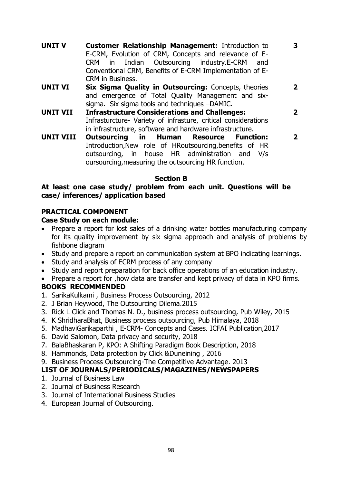**UNIT V Customer Relationship Management:** Introduction to E-CRM, Evolution of CRM, Concepts and relevance of E-CRM in Indian Outsourcing industry.E-CRM and Conventional CRM, Benefits of E-CRM Implementation of E-CRM in Business.

**3**

**2**

- **UNIT VI Six Sigma Quality in Outsourcing:** Concepts, theories and emergence of Total Quality Management and sixsigma. Six sigma tools and techniques –DAMIC.
- **UNIT VII Infrastructure Considerations and Challenges:** Infrasturcture- Variety of infrasture, critical considerations in infrastructure, software and hardware infrastructure. **2**
- **UNIT VIII Outsourcing in Human Resource Function:**  Introduction,New role of HRoutsourcing,benefits of HR outsourcing, in house HR administration and V/s oursourcing,measuring the outsourcing HR function. **2**

## **Section B**

## **At least one case study/ problem from each unit. Questions will be case/ inferences/ application based**

## **PRACTICAL COMPONENT**

## **Case Study on each module:**

- Prepare a report for lost sales of a drinking water bottles manufacturing company for its quality improvement by six sigma approach and analysis of problems by fishbone diagram
- Study and prepare a report on communication system at BPO indicating learnings.
- Study and analysis of ECRM process of any company
- Study and report preparation for back office operations of an education industry.
- Prepare a report for , how data are transfer and kept privacy of data in KPO firms. **BOOKS RECOMMENDED**
- 1. SarikaKulkami , Business Process Outsourcing, 2012
- 2. J Brian Heywood, The Outsourcing Dilema.2015
- 3. Rick L Click and Thomas N. D., business process outsourcing, Pub Wiley, 2015
- 4. K ShridharaBhat, Business process outsourcing, Pub Himalaya, 2018
- 5. MadhaviGarikaparthi , E-CRM- Concepts and Cases. ICFAI Publication,2017
- 6. David Salomon, Data privacy and security, 2018
- 7. BalaBhaskaran P, KPO: A Shifting Paradigm Book Description, 2018
- 8. Hammonds, Data protection by Click &Duneining , 2016
- 9. Business Process Outsourcing-The Competitive Advantage. 2013

- 1. Journal of Business Law
- 2. Journal of Business Research
- 3. Journal of International Business Studies
- 4. European Journal of Outsourcing.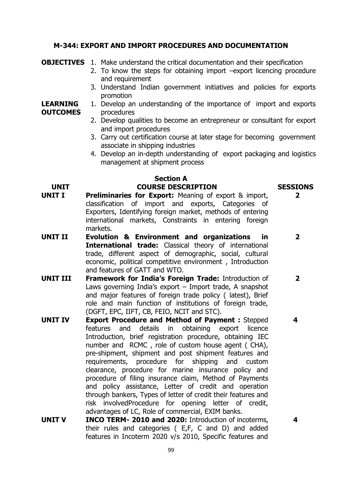## **M-344: EXPORT AND IMPORT PROCEDURES AND DOCUMENTATION**

**OBJECTIVES** 1. Make understand the critical documentation and their specification

- 2. To know the steps for obtaining import –export licencing procedure and requirement
- 3. Understand Indian government initiatives and policies for exports promotion

#### **LEARNING OUTCOMES** 1. Develop an understanding of the importance of import and exports procedures

- 2. Develop qualities to become an entrepreneur or consultant for export and import procedures
- 3. Carry out certification course at later stage for becoming government associate in shipping industries
- 4. Develop an in-depth understanding of export packaging and logistics management at shipment process

## **Section A UNIT COURSE DESCRIPTION SESSIONS**

- **UNIT I Preliminaries for Export:** Meaning of export & import, classification of import and exports, Categories of Exporters, Identifying foreign market, methods of entering international markets, Constraints in entering foreign markets.
- **UNIT II Evolution & Environment and organizations in International trade:** Classical theory of international trade, different aspect of demographic, social, cultural economic, political competitive environment , Introduction and features of GATT and WTO.
- **UNIT III Framework for India's Foreign Trade:** Introduction of Laws governing India's export – Import trade, A snapshot and major features of foreign trade policy ( latest), Brief role and main function of institutions of foreign trade, (DGFT, EPC, IIFT, CB, FEIO, NCIT and STC). **2**
- **UNIT IV Export Procedure and Method of Payment :** Stepped features and details in obtaining export licence Introduction, brief registration procedure, obtaining IEC number and RCMC , role of custom house agent ( CHA), pre-shipment, shipment and post shipment features and requirements, procedure for shipping and custom clearance, procedure for marine insurance policy and procedure of filing insurance claim, Method of Payments and policy assistance, Letter of credit and operation through bankers, Types of letter of credit their features and risk involvedProcedure for opening letter of credit, advantages of LC, Role of commercial, EXIM banks.
- **UNIT V INCO TERM- 2010 and 2020:** Introduction of incoterms, their rules and categories ( E,F, C and D) and added features in Incoterm 2020 v/s 2010, Specific features and

99

**2**

**2**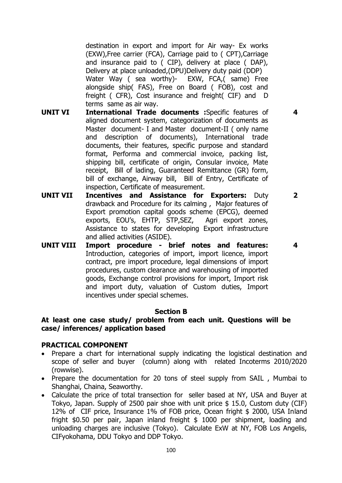destination in export and import for Air way- Ex works (EXW),Free carrier (FCA), Carriage paid to ( CPT),Carriage and insurance paid to ( CIP), delivery at place ( DAP), Delivery at place unloaded,(DPU)Delivery duty paid (DDP) Water Way ( sea worthy)- EXW, FCA,( same) Free alongside ship( FAS), Free on Board ( FOB), cost and freight ( CFR), Cost insurance and freight( CIF) and D terms same as air way.

- **UNIT VI International Trade documents :**Specific features of aligned document system, categorization of documents as Master document- I and Master document-II ( only name and description of documents), International trade documents, their features, specific purpose and standard format, Performa and commercial invoice, packing list, shipping bill, certificate of origin, Consular invoice, Mate receipt, Bill of lading, Guaranteed Remittance (GR) form, bill of exchange, Airway bill, Bill of Entry, Certificate of inspection, Certificate of measurement.
- **UNIT VII Incentives and Assistance for Exporters:** Duty drawback and Procedure for its calming , Major features of Export promotion capital goods scheme (EPCG), deemed exports, EOU's, EHTP, STP,SEZ, Agri export zones, Assistance to states for developing Export infrastructure and allied activities (ASIDE). **2**
- **UNIT VIII Import procedure - brief notes and features:**  Introduction, categories of import, import licence, import contract, pre import procedure, legal dimensions of import procedures, custom clearance and warehousing of imported goods, Exchange control provisions for import, Import risk and import duty, valuation of Custom duties, Import incentives under special schemes.

## **Section B**

## **At least one case study/ problem from each unit. Questions will be case/ inferences/ application based**

## **PRACTICAL COMPONENT**

- Prepare a chart for international supply indicating the logistical destination and scope of seller and buyer (column) along with related Incoterms 2010/2020 (rowwise).
- Prepare the documentation for 20 tons of steel supply from SAIL, Mumbai to Shanghai, Chaina, Seaworthy.
- Calculate the price of total transection for seller based at NY, USA and Buyer at Tokyo, Japan. Supply of 2500 pair shoe with unit price \$ 15.0, Custom duty (CIF) 12% of CIF price, Insurance 1% of FOB price, Ocean fright \$ 2000, USA Inland fright \$0.50 per pair, Japan inland freight \$ 1000 per shipment, loading and unloading charges are inclusive (Tokyo). Calculate ExW at NY, FOB Los Angelis, CIFyokohama, DDU Tokyo and DDP Tokyo.

**4**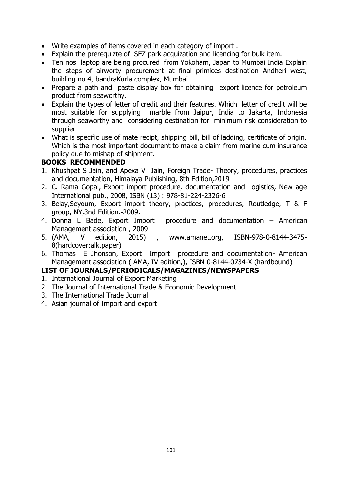- Write examples of items covered in each category of import .
- Explain the prerequizte of SEZ park acquization and licencing for bulk item.
- Ten nos laptop are being procured from Yokoham, Japan to Mumbai India Explain the steps of airworty procurement at final primices destination Andheri west, building no 4, bandraKurla complex, Mumbai.
- Prepare a path and paste display box for obtaining export licence for petroleum product from seaworthy.
- Explain the types of letter of credit and their features. Which letter of credit will be most suitable for supplying marble from Jaipur, India to Jakarta, Indonesia through seaworthy and considering destination for minimum risk consideration to supplier
- What is specific use of mate recipt, shipping bill, bill of ladding, certificate of origin. Which is the most important document to make a claim from marine cum insurance policy due to mishap of shipment.

## **BOOKS RECOMMENDED**

- 1. Khushpat S Jain, and Apexa V Jain, Foreign Trade- Theory, procedures, practices and documentation, Himalaya Publishing, 8th Edition,2019
- 2. C. Rama Gopal, Export import procedure, documentation and Logistics, New age International pub., 2008, ISBN (13) : 978-81-224-2326-6
- 3. Belay,Seyoum, Export import theory, practices, procedures, Routledge, T & F group, NY,3nd Edition.-2009.
- 4. Donna L Bade, Export Import procedure and documentation American Management association , 2009
- 5. (AMA, V edition, 2015) , www.amanet.org, ISBN-978-0-8144-3475- 8(hardcover:alk.paper)
- 6. Thomas E Jhonson, Export Import procedure and documentation- American Management association ( AMA, IV edition,), ISBN 0-8144-0734-X (hardbound)

- 1. International Journal of Export Marketing
- 2. The Journal of International Trade & Economic Development
- 3. The International Trade Journal
- 4. Asian journal of Import and export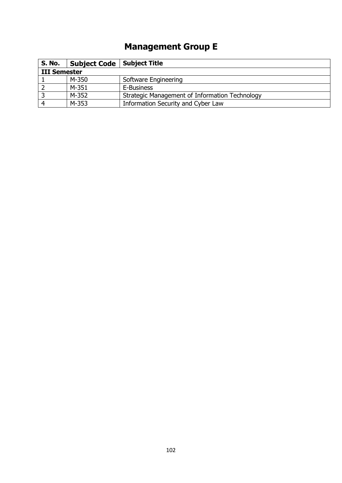# **Management Group E**

| <b>S. No.</b>       | Subject Code   Subject Title |                                                |
|---------------------|------------------------------|------------------------------------------------|
| <b>III Semester</b> |                              |                                                |
|                     | M-350                        | Software Engineering                           |
|                     | M-351                        | E-Business                                     |
|                     | M-352                        | Strategic Management of Information Technology |
|                     | M-353                        | Information Security and Cyber Law             |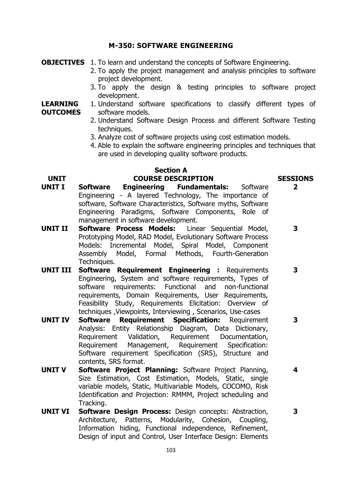## **M-350: SOFTWARE ENGINEERING**

**OBJECTIVES** 1. To learn and understand the concepts of Software Engineering.

- 2. To apply the project management and analysis principles to software project development.
	- 3. To apply the design & testing principles to software project development.

#### **LEARNING OUTCOMES** 1. Understand software specifications to classify different types of software models.

- 2. Understand Software Design Process and different Software Testing techniques.
- 3. Analyze cost of software projects using cost estimation models.
- 4. Able to explain the software engineering principles and techniques that are used in developing quality software products.

### **Section A UNIT COURSE DESCRIPTION SESSIONS**

# **2**

**3**

**3**

**4**

- **UNIT I Software Engineering Fundamentals:** Software Engineering - A layered Technology, The importance of software, Software Characteristics, Software myths, Software Engineering Paradigms, Software Components, Role of management in software development.
- **UNIT II Software Process Models:** Linear Sequential Model, Prototyping Model, RAD Model, Evolutionary Software Process Models: Incremental Model, Spiral Model, Component Assembly Model, Formal Methods, Fourth-Generation Techniques.
- **UNIT III Software Requirement Engineering :** Requirements Engineering, System and software requirements, Types of software requirements: Functional and non-functional requirements, Domain Requirements, User Requirements, Feasibility Study, Requirements Elicitation: Overview of techniques ,Viewpoints, Interviewing , Scenarios, Use-cases **3**
- **UNIT IV Software Requirement Specification:** Requirement Analysis: Entity Relationship Diagram, Data Dictionary, Requirement Validation, Requirement Documentation, Requirement Management, Requirement Specification: Software requirement Specification (SRS), Structure and contents, SRS format.
- **UNIT V Software Project Planning:** Software Project Planning, Size Estimation, Cost Estimation, Models, Static, single variable models, Static, Multivariable Models, COCOMO, Risk Identification and Projection: RMMM, Project scheduling and Tracking.
- **UNIT VI Software Design Process:** Design concepts: Abstraction, Architecture, Patterns, Modularity, Cohesion, Coupling, Information hiding, Functional independence, Refinement, Design of input and Control, User Interface Design: Elements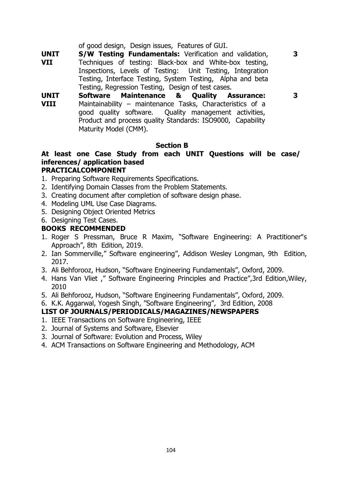of good design, Design issues, Features of GUI.

- **UNIT VII S/W Testing Fundamentals:** Verification and validation, Techniques of testing: Black-box and White-box testing, Inspections, Levels of Testing: Unit Testing, Integration Testing, Interface Testing, System Testing, Alpha and beta Testing, Regression Testing, Design of test cases.
- **UNIT VIII Software Maintenance & Quality Assurance:**  Maintainability – maintenance Tasks, Characteristics of a good quality software. Quality management activities, Product and process quality Standards: ISO9000, Capability Maturity Model (CMM).

## **Section B**

**3**

**3**

## **At least one Case Study from each UNIT Questions will be case/ inferences/ application based PRACTICALCOMPONENT**

- 1. Preparing Software Requirements Specifications.
- 2. Identifying Domain Classes from the Problem Statements.
- 3. Creating document after completion of software design phase.
- 4. Modeling UML Use Case Diagrams.
- 5. Designing Object Oriented Metrics
- 6. Designing Test Cases.

## **BOOKS RECOMMENDED**

- 1. Roger S Pressman, Bruce R Maxim, "Software Engineering: A Practitioner"s Approach", 8th Edition, 2019.
- 2. Ian Sommerville," Software engineering", Addison Wesley Longman, 9th Edition, 2017.
- 3. Ali Behforooz, Hudson, "Software Engineering Fundamentals", Oxford, 2009.
- 4. Hans Van Vliet ," Software Engineering Principles and Practice",3rd Edition,Wiley, 2010
- 5. Ali Behforooz, Hudson, "Software Engineering Fundamentals", Oxford, 2009.
- 6. K.K. Aggarwal, Yogesh Singh, "Software Engineering", 3rd Edition, 2008

- 1. IEEE Transactions on Software Engineering, IEEE
- 2. Journal of Systems and Software, Elsevier
- 3. Journal of Software: Evolution and Process, Wiley
- 4. ACM Transactions on Software Engineering and Methodology, ACM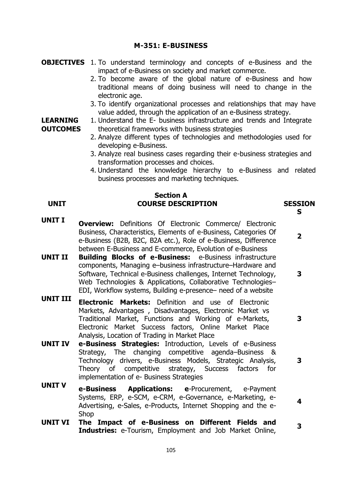## **M-351: E-BUSINESS**

- **OBJECTIVES** 1. To understand terminology and concepts of e-Business and the impact of e-Business on society and market commerce.
	- 2. To become aware of the global nature of e-Business and how traditional means of doing business will need to change in the electronic age.
	- 3. To identify organizational processes and relationships that may have value added, through the application of an e-Business strategy.
	- 1. Understand the E- business infrastructure and trends and Integrate theoretical frameworks with business strategies
		- 2. Analyze different types of technologies and methodologies used for developing e-Business.
		- 3. Analyze real business cases regarding their e-business strategies and transformation processes and choices.
		- 4. Understand the knowledge hierarchy to e-Business and related business processes and marketing techniques.

**S** 

**2**

**3**

**3**

**4**

## **Section A UNIT COURSE DESCRIPTION SESSION**

- **UNIT I Overview:** Definitions Of Electronic Commerce/ Electronic Business, Characteristics, Elements of e-Business, Categories Of e-Business (B2B, B2C, B2A etc.), Role of e-Business, Difference between E-Business and E-commerce, Evolution of e-Business
- **UNIT II Building Blocks of e-Business:** e-Business infrastructure components, Managing e–business infrastructure–Hardware and Software, Technical e-Business challenges, Internet Technology, Web Technologies & Applications, Collaborative Technologies– EDI, Workflow systems, Building e-presence– need of a website **3**
- **UNIT III Electronic Markets:** Definition and use of Electronic Markets, Advantages , Disadvantages, Electronic Market vs Traditional Market, Functions and Working of e-Markets, Electronic Market Success factors, Online Market Place Analysis, Location of Trading in Market Place
- **UNIT IV e-Business Strategies:** Introduction, Levels of e-Business Strategy, The changing competitive agenda–Business & Technology drivers, e-Business Models, Strategic Analysis, Theory of competitive strategy, Success factors for implementation of e- Business Strategies
- **UNIT V e-Business Applications: e**-Procurement, e-Payment Systems, ERP, e-SCM, e-CRM, e-Governance, e-Marketing, e-Advertising, e-Sales, e-Products, Internet Shopping and the e-Shop
- **UNIT VI The Impact of e-Business on Different Fields and Industries:** e-Tourism, Employment and Job Market Online, **<sup>3</sup>**

## **LEARNING OUTCOMES**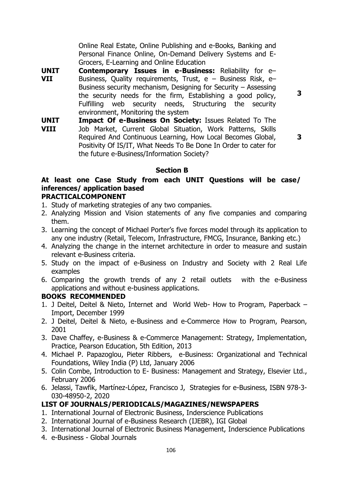Online Real Estate, Online Publishing and e-Books, Banking and Personal Finance Online, On-Demand Delivery Systems and E-Grocers, E-Learning and Online Education

**UNIT VII Contemporary Issues in e-Business:** Reliability for e– Business, Quality requirements, Trust,  $e - B$ usiness Risk,  $e - B$ Business security mechanism, Designing for Security – Assessing the security needs for the firm, Establishing a good policy, Fulfilling web security needs, Structuring the security environment, Monitoring the system

**3**

**UNIT VIII Impact Of e-Business On Society:** Issues Related To The Job Market, Current Global Situation, Work Patterns, Skills Required And Continuous Learning, How Local Becomes Global, Positivity Of IS/IT, What Needs To Be Done In Order to cater for the future e-Business/Information Society?

**3**

## **Section B**

## **At least one Case Study from each UNIT Questions will be case/ inferences/ application based**

## **PRACTICALCOMPONENT**

- 1. Study of marketing strategies of any two companies.
- 2. Analyzing Mission and Vision statements of any five companies and comparing them.
- 3. Learning the concept of Michael Porter's five forces model through its application to any one industry (Retail, Telecom, Infrastructure, FMCG, Insurance, Banking etc.)
- 4. Analyzing the change in the internet architecture in order to measure and sustain relevant e-Business criteria.
- 5. Study on the impact of e-Business on Industry and Society with 2 Real Life examples
- 6. Comparing the growth trends of any 2 retail outlets with the e-Business applications and without e-business applications.

## **BOOKS RECOMMENDED**

- 1. J Deitel, Deitel & Nieto, Internet and World Web- How to Program, Paperback Import, December 1999
- 2. J Deitel, Deitel & Nieto, e-Business and e-Commerce How to Program, Pearson, 2001
- 3. Dave Chaffey, e-Business & e-Commerce Management: Strategy, Implementation, Practice, Pearson Education, 5th Edition, 2013
- 4. Michael P. Papazoglou, Pieter Ribbers, e-Business: Organizational and Technical Foundations, Wiley India (P) Ltd, January 2006
- 5. Colin Combe, Introduction to E- Business: Management and Strategy, Elsevier Ltd., February 2006
- 6. Jelassi, Tawfik, Martínez-López, Francisco J, Strategies for e-Business, ISBN 978-3- 030-48950-2, 2020

- 1. International Journal of Electronic Business, Inderscience Publications
- 2. International Journal of e-Business Research (IJEBR), IGI Global
- 3. International Journal of Electronic Business Management, Inderscience Publications
- 4. e-Business Global Journals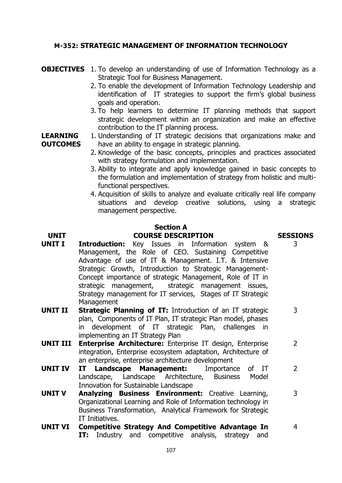## **M-352: STRATEGIC MANAGEMENT OF INFORMATION TECHNOLOGY**

## **OBJECTIVES** 1. To develop an understanding of use of Information Technology as a Strategic Tool for Business Management.

- 2. To enable the development of Information Technology Leadership and identification of IT strategies to support the firm's global business goals and operation.
- 3. To help learners to determine IT planning methods that support strategic development within an organization and make an effective contribution to the IT planning process.

#### **LEARNING OUTCOMES** 1. Understanding of IT strategic decisions that organizations make and have an ability to engage in strategic planning.

- 2. Knowledge of the basic concepts, principles and practices associated with strategy formulation and implementation.
- 3. Ability to integrate and apply knowledge gained in basic concepts to the formulation and implementation of strategy from holistic and multifunctional perspectives.
- 4. Acquisition of skills to analyze and evaluate critically real life company situations and develop creative solutions, using a strategic management perspective.

## **Section A UNIT COURSE DESCRIPTION SESSIONS**

## **UNIT I Introduction:** Key Issues in Information system & Management, the Role of CEO. Sustaining Competitive Advantage of use of IT & Management. I.T. & Intensive Strategic Growth, Introduction to Strategic Management-Concept importance of strategic Management, Role of IT in strategic management, strategic management issues, Strategy management for IT services, Stages of IT Strategic **Management**

- **UNIT II Strategic Planning of IT:** Introduction of an IT strategic plan, Components of IT Plan, IT strategic Plan model, phases in development of IT strategic Plan, challenges in implementing an IT Strategy Plan
- **UNIT III [Enterprise Architecture:](https://link.springer.com/chapter/10.1007/978-3-642-05034-3_3)** Enterprise IT design, Enterprise integration, Enterprise ecosystem adaptation, Architecture of an enterprise, enterprise architecture development 2
- **UNIT IV IT Landscape Management:** Importance of IT Landscape, Landscape Architecture, [Business Model](https://www.coursera.org/learn/bmi-sustainable-landscape-restoration)  [Innovation for Sustainable Landscape](https://www.coursera.org/learn/bmi-sustainable-landscape-restoration) 2
- **UNIT V Analyzing Business Environment:** Creative Learning, Organizational Learning and Role of Information technology in Business Transformation, Analytical Framework for Strategic IT Initiatives. 3
- **UNIT VI Competitive Strategy And Competitive Advantage In IT:** Industry and competitive analysis, strategy and 4

# 3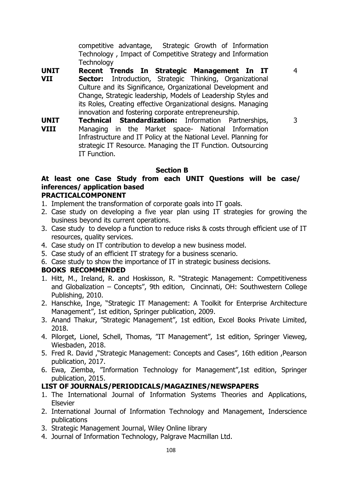competitive advantage, [Strategic Growth of Information](https://www.leaxr.com/course/view.php?id=62#section-5)  [Technology](https://www.leaxr.com/course/view.php?id=62#section-5) , Impact of [Competitive Strategy and Information](https://www.jstor.org/stable/40398178)  **[Technology](https://www.jstor.org/stable/40398178)** 

4

- **UNIT VII Recent Trends In Strategic Management In IT Sector:** Introduction, Strategic Thinking, Organizational Culture and its Significance, Organizational Development and Change, Strategic leadership, Models of Leadership Styles and its Roles, Creating effective Organizational designs. Managing innovation and fostering corporate entrepreneurship.
- **UNIT VIII [Technical Standardization:](https://link.springer.com/chapter/10.1007/978-3-642-05034-3_5)** Information Partnerships, Managing in the Market space- National Information Infrastructure and IT Policy at the National Level. Planning for strategic IT Resource. Managing the IT Function. Outsourcing IT Function. 3

## **Section B**

## **At least one Case Study from each UNIT Questions will be case/ inferences/ application based**

## **PRACTICALCOMPONENT**

- 1. Implement the transformation of corporate goals into IT goals.
- 2. Case study on developing a five year plan using IT strategies for growing the business beyond its current operations.
- 3. Case study to develop a function to reduce risks & costs through efficient use of IT resources, quality services.
- 4. Case study on IT contribution to develop a new business model.
- 5. Case study of an efficient IT strategy for a business scenario.
- 6. Case study to show the importance of IT in strategic business decisions.

## **BOOKS RECOMMENDED**

- 1. Hitt, M., Ireland, R. and Hoskisson, R. "Strategic Management: Competitiveness and Globalization – Concepts", 9th edition, Cincinnati, OH: Southwestern College Publishing, 2010.
- 2. Hanschke, Inge, "Strategic IT Management: A Toolkit for Enterprise Architecture Management", 1st edition, Springer publication, 2009.
- 3. Anand Thakur, "Strategic Management", 1st edition, Excel Books Private Limited, 2018.
- 4. Pilorget, Lionel, Schell, Thomas, "IT Management", 1st edition, Springer Vieweg, Wiesbaden, 2018.
- 5. Fred R. David ,"Strategic Management: Concepts and Cases", 16th edition ,Pearson publication, 2017.
- 6. Ewa, Ziemba, "Information Technology for Management",1st edition, Springer publication, 2015.

- 1. The International Journal of Information Systems Theories and Applications, Elsevier
- 2. International Journal of Information Technology and Management, Inderscience publications
- 3. Strategic Management Journal, Wiley Online library
- 4. Journal of Information Technology, Palgrave Macmillan Ltd.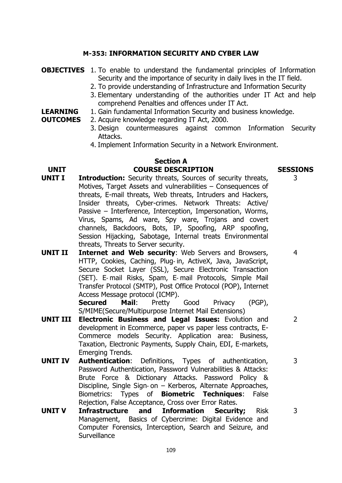#### **M-353: INFORMATION SECURITY AND CYBER LAW**

**OBJECTIVES** 1. To enable to understand the fundamental principles of Information Security and the importance of security in daily lives in the IT field. 2. To provide understanding of Infrastructure and Information Security 3. Elementary understanding of the authorities under IT Act and help comprehend Penalties and offences under IT Act. **LEARNING OUTCOMES** 1. Gain fundamental Information Security and business knowledge. 2. Acquire knowledge regarding IT Act, 2000. 3. Design countermeasures against common Information Security Attacks. 4. Implement Information Security in a Network Environment. **Section A UNIT COURSE DESCRIPTION SESSIONS UNIT I Introduction:** Security threats, Sources of security threats, Motives, Target Assets and vulnerabilities – Consequences of threats, E-mail threats, Web threats, Intruders and Hackers, Insider threats, Cyber-crimes. Network Threats: Active/ Passive – Interference, Interception, Impersonation, Worms, Virus, Spams, Ad ware, Spy ware, Trojans and covert channels, Backdoors, Bots, IP, Spoofing, ARP spoofing, Session Hijacking, Sabotage, Internal treats Environmental threats, Threats to Server security. 3 **UNIT II Internet and Web security**: Web Servers and Browsers, 4

HTTP, Cookies, Caching, Plug‐ in, ActiveX, Java, JavaScript, Secure Socket Layer (SSL), Secure Electronic Transaction (SET). E‐ mail Risks, Spam, E‐ mail Protocols, Simple Mail Transfer Protocol (SMTP), Post Office Protocol (POP), Internet Access Message protocol (ICMP).

**Secured Mail**: Pretty Good Privacy (PGP), S/MIME(Secure/Multipurpose Internet Mail Extensions)

- **UNIT III Electronic Business and Legal Issues:** Evolution and development in Ecommerce, paper vs paper less contracts, E-Commerce models Security. Application area: Business, Taxation, Electronic Payments, Supply Chain, EDI, E-markets, Emerging Trends.
- **UNIT IV Authentication**: Definitions, Types of authentication, Password Authentication, Password Vulnerabilities & Attacks: Brute Force & Dictionary Attacks. Password Policy & Discipline, Single Sign‐ on – Kerberos, Alternate Approaches, Biometrics: Types of **Biometric Techniques**: False Rejection, False Acceptance, Cross over Error Rates.
- **UNIT V Infrastructure and Information Security;** Risk Management, Basics of Cybercrime: Digital Evidence and Computer Forensics, Interception, Search and Seizure, and **Surveillance**

 $\overline{2}$ 

3

3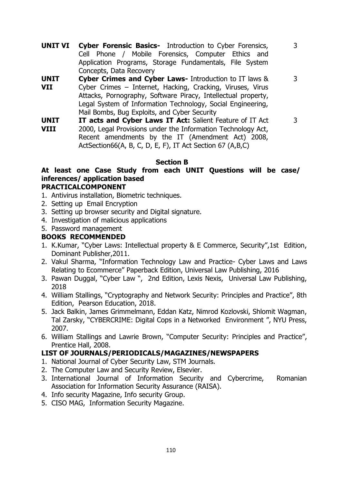**UNIT VI Cyber Forensic Basics-** Introduction to Cyber Forensics, Cell Phone / Mobile Forensics, Computer Ethics and Application Programs, Storage Fundamentals, File System Concepts, Data Recovery

3

3

3

- **UNIT VII Cyber Crimes and Cyber Laws-** Introduction to IT laws & Cyber Crimes – Internet, Hacking, Cracking, Viruses, Virus Attacks, Pornography, Software Piracy, Intellectual property, Legal System of Information Technology, Social Engineering, Mail Bombs, Bug Exploits, and Cyber Security
	- **UNIT VIII IT acts and Cyber Laws IT Act:** Salient Feature of IT Act 2000, Legal Provisions under the Information Technology Act, Recent amendments by the IT (Amendment Act) 2008, ActSection66(A, B, C, D, E, F), IT Act Section 67 (A,B,C)

#### **Section B**

## **At least one Case Study from each UNIT Questions will be case/ inferences/ application based**

#### **PRACTICALCOMPONENT**

- 1. Antivirus installation, Biometric techniques.
- 2. Setting up Email Encryption
- 3. Setting up browser security and Digital signature.
- 4. Investigation of malicious applications
- 5. Password management

#### **BOOKS RECOMMENDED**

- 1. K.Kumar, "Cyber Laws: Intellectual property & E Commerce, Security",1st Edition, Dominant Publisher,2011.
- 2. Vakul Sharma, "Information Technology Law and Practice- Cyber Laws and Laws Relating to Ecommerce" Paperback Edition, Universal Law Publishing, 2016
- 3. Pawan Duggal, "Cyber Law ", 2nd Edition, Lexis Nexis, Universal Law Publishing, 2018
- 4. William Stallings, "Cryptography and Network Security: Principles and Practice", 8th Edition, Pearson Education, 2018.
- 5. Jack Balkin, James Grimmelmann, Eddan Katz, Nimrod Kozlovski, Shlomit Wagman, Tal Zarsky, "CYBERCRIME: Digital Cops in a Networked Environment ", NYU Press, 2007.
- 6. William Stallings and Lawrie Brown, "Computer Security: Principles and Practice", Prentice Hall, 2008.

- 1. National Journal of Cyber Security Law, STM Journals.
- 2. The Computer Law and Security Review, Elsevier.
- 3. International Journal of Information Security and Cybercrime, Romanian Association for Information Security Assurance (RAISA).
- 4. Info security Magazine, Info security Group.
- 5. CISO MAG, Information Security Magazine.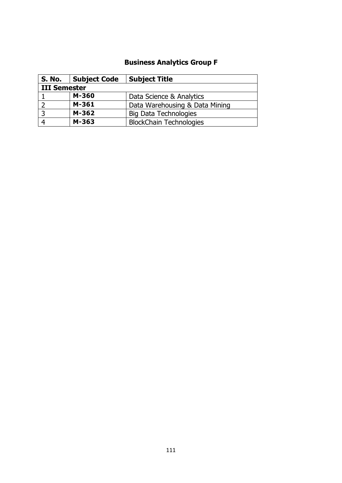# **Business Analytics Group F**

| S. No.       | <b>Subject Code</b> | <b>Subject Title</b>           |  |
|--------------|---------------------|--------------------------------|--|
| III Semester |                     |                                |  |
|              | M-360               | Data Science & Analytics       |  |
|              | M-361               | Data Warehousing & Data Mining |  |
|              | M-362               | <b>Big Data Technologies</b>   |  |
|              | M-363               | <b>BlockChain Technologies</b> |  |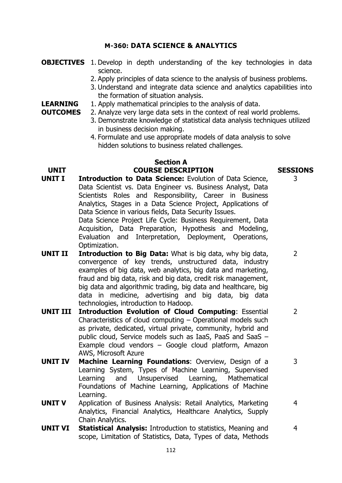#### **M-360: DATA SCIENCE & ANALYTICS**

- **OBJECTIVES** 1. Develop in depth understanding of the key technologies in data science.
	- 2. Apply principles of data science to the analysis of business problems.
	- 3. Understand and integrate data science and analytics capabilities into the formation of situation analysis.
- **LEARNING**  1. Apply mathematical principles to the analysis of data.
- **OUTCOMES** 2. Analyze very large data sets in the context of real world problems.
	- 3. Demonstrate knowledge of statistical data analysis techniques utilized in business decision making.
	- 4. Formulate and use appropriate models of data analysis to solve hidden solutions to business related challenges.

# **Section A**

#### **UNIT COURSE DESCRIPTION SESSIONS**

- **UNIT I Introduction to Data Science:** Evolution of Data Science, Data Scientist vs. Data Engineer vs. Business Analyst, Data Scientists Roles and Responsibility, Career in Business Analytics, Stages in a Data Science Project, Applications of Data Science in various fields, Data Security Issues. Data Science Project Life Cycle: Business Requirement, Data Acquisition, Data Preparation, Hypothesis and Modeling, Evaluation and Interpretation, Deployment, Operations, Optimization. **UNIT II Introduction to Big Data:** What is big data, why big data,
- convergence of key trends, unstructured data, industry examples of big data, web analytics, big data and marketing, fraud and big data, risk and big data, credit risk management, big data and algorithmic trading, big data and healthcare, big data in medicine, advertising and big data, big data technologies, introduction to Hadoop.
- **UNIT III Introduction Evolution of Cloud Computing**: Essential Characteristics of cloud computing – Operational models such as private, dedicated, virtual private, community, hybrid and public cloud, Service models such as IaaS, PaaS and SaaS – Example cloud vendors – Google cloud platform, Amazon AWS, Microsoft Azure
- **UNIT IV Machine Learning Foundations**: Overview, Design of a Learning System, Types of Machine Learning, Supervised Learning and Unsupervised Learning, Mathematical Foundations of Machine Learning, Applications of Machine Learning.
- **UNIT V** Application of Business Analysis: Retail Analytics, Marketing Analytics, Financial Analytics, Healthcare Analytics, Supply Chain Analytics.
- **UNIT VI Statistical Analysis:** Introduction to statistics, Meaning and scope, Limitation of Statistics, Data, Types of data, Methods 4

3

 $\overline{2}$ 

3

4

 $\overline{2}$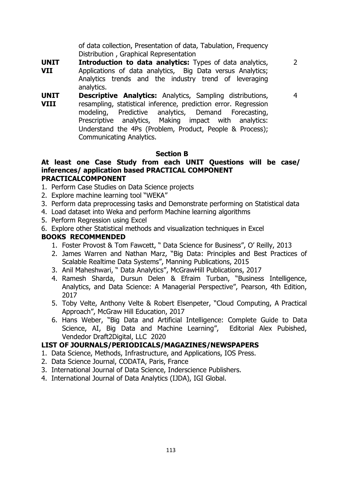of data collection, Presentation of data, Tabulation, Frequency Distribution , Graphical Representation

**UNIT VII Introduction to data analytics:** Types of data analytics, Applications of data analytics, Big Data versus Analytics; Analytics trends and the industry trend of leveraging analytics.

4

2

**UNIT VIII Descriptive Analytics:** Analytics, Sampling distributions, resampling, statistical inference, prediction error. Regression modeling, Predictive analytics, Demand Forecasting, Prescriptive analytics, Making impact with analytics: Understand the 4Ps (Problem, Product, People & Process); Communicating Analytics.

#### **Section B**

#### **At least one Case Study from each UNIT Questions will be case/ inferences/ application based PRACTICAL COMPONENT PRACTICALCOMPONENT**

- 1. Perform Case Studies on Data Science projects
- 2. Explore machine learning tool "WEKA"
- 3. Perform data preprocessing tasks and Demonstrate performing on Statistical data
- 4. Load dataset into Weka and perform Machine learning algorithms
- 5. Perform Regression using Excel
- 6. Explore other Statistical methods and visualization techniques in Excel

#### **BOOKS RECOMMENDED**

- 1. Foster Provost & Tom Fawcett, " Data Science for Business", O' Reilly, 2013
- 2. James Warren and Nathan Marz, "Big Data: Principles and Best Practices of Scalable Realtime Data Systems", Manning Publications, 2015
- 3. Anil Maheshwari, " Data Analytics", McGrawHill Publications, 2017
- 4. Ramesh Sharda, Dursun Delen & Efraim Turban, "Business Intelligence, Analytics, and Data Science: A Managerial Perspective", Pearson, 4th Edition, 2017
- 5. Toby Velte, Anthony Velte & Robert Elsenpeter, "Cloud Computing, A Practical Approach", McGraw Hill Education, 2017
- 6. Hans Weber, "Big Data and Artificial Intelligence: Complete Guide to Data Science, AI, Big Data and Machine Learning", Editorial Alex Pubished, Vendedor Draft2Digital, LLC 2020

- 1. Data Science, Methods, Infrastructure, and Applications, IOS Press.
- 2. Data Science Journal, CODATA, Paris, France
- 3. International Journal of Data Science, Inderscience Publishers.
- 4. International Journal of Data Analytics (IJDA), IGI Global.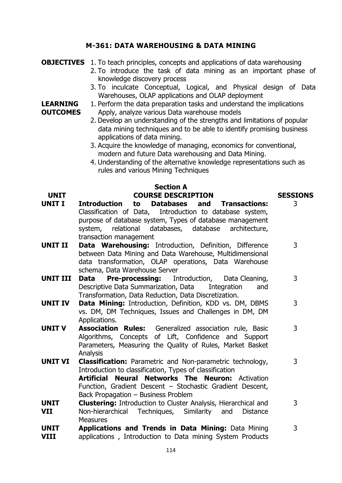### **M-361: DATA WAREHOUSING & DATA MINING**

|                                    | <b>OBJECTIVES</b> 1. To teach principles, concepts and applications of data warehousing<br>2. To introduce the task of data mining as an important phase of<br>knowledge discovery process                                                                                                                                                                                                                                                                                                                                                                                                                                                                                    |                      |
|------------------------------------|-------------------------------------------------------------------------------------------------------------------------------------------------------------------------------------------------------------------------------------------------------------------------------------------------------------------------------------------------------------------------------------------------------------------------------------------------------------------------------------------------------------------------------------------------------------------------------------------------------------------------------------------------------------------------------|----------------------|
| <b>LEARNING</b><br><b>OUTCOMES</b> | 3. To inculcate Conceptual, Logical, and Physical design of Data<br>Warehouses, OLAP applications and OLAP deployment<br>1. Perform the data preparation tasks and understand the implications<br>Apply, analyze various Data warehouse models<br>2. Develop an understanding of the strengths and limitations of popular<br>data mining techniques and to be able to identify promising business<br>applications of data mining.<br>3. Acquire the knowledge of managing, economics for conventional,<br>modern and future Data warehousing and Data Mining.<br>4. Understanding of the alternative knowledge representations such as<br>rules and various Mining Techniques |                      |
|                                    | <b>Section A</b>                                                                                                                                                                                                                                                                                                                                                                                                                                                                                                                                                                                                                                                              |                      |
| <b>UNIT</b><br><b>UNIT I</b>       | <b>COURSE DESCRIPTION</b><br><b>Introduction</b><br>Databases and<br><b>Transactions:</b><br>to                                                                                                                                                                                                                                                                                                                                                                                                                                                                                                                                                                               | <b>SESSIONS</b><br>3 |
|                                    | Classification of Data, Introduction to database system,<br>purpose of database system, Types of database management<br>system, relational databases, database architecture,                                                                                                                                                                                                                                                                                                                                                                                                                                                                                                  |                      |
| <b>UNIT II</b>                     | transaction management                                                                                                                                                                                                                                                                                                                                                                                                                                                                                                                                                                                                                                                        | 3                    |
|                                    | Data Warehousing: Introduction, Definition, Difference<br>between Data Mining and Data Warehouse, Multidimensional<br>data transformation, OLAP operations, Data Warehouse<br>schema, Data Warehouse Server                                                                                                                                                                                                                                                                                                                                                                                                                                                                   |                      |
| <b>UNIT III</b>                    | <b>Pre-processing:</b> Introduction, Data Cleaning,<br>Data<br>Descriptive Data Summarization, Data Integration<br>and<br>Transformation, Data Reduction, Data Discretization.                                                                                                                                                                                                                                                                                                                                                                                                                                                                                                | 3                    |
| <b>UNIT IV</b>                     | Data Mining: Introduction, Definition, KDD vs. DM, DBMS<br>vs. DM, DM Techniques, Issues and Challenges in DM, DM<br>Applications.                                                                                                                                                                                                                                                                                                                                                                                                                                                                                                                                            | 3                    |
| <b>UNIT V</b>                      | <b>Association Rules:</b> Generalized association rule, Basic<br>Algorithms, Concepts of Lift, Confidence and Support<br>Parameters, Measuring the Quality of Rules, Market Basket<br>Analysis                                                                                                                                                                                                                                                                                                                                                                                                                                                                                | 3                    |
| <b>UNIT VI</b>                     | <b>Classification:</b> Parametric and Non-parametric technology,<br>Introduction to classification, Types of classification<br><b>Neural Networks The Neuron: Activation</b><br>Artificial<br>Function, Gradient Descent - Stochastic Gradient Descent,                                                                                                                                                                                                                                                                                                                                                                                                                       | 3                    |
| <b>UNIT</b><br><b>VII</b>          | Back Propagation - Business Problem<br><b>Clustering:</b> Introduction to Cluster Analysis, Hierarchical and<br>Non-hierarchical Techniques, Similarity and<br><b>Distance</b><br><b>Measures</b>                                                                                                                                                                                                                                                                                                                                                                                                                                                                             | 3                    |
| <b>UNIT</b><br><b>VIII</b>         | <b>Applications and Trends in Data Mining: Data Mining</b><br>applications, Introduction to Data mining System Products                                                                                                                                                                                                                                                                                                                                                                                                                                                                                                                                                       | 3                    |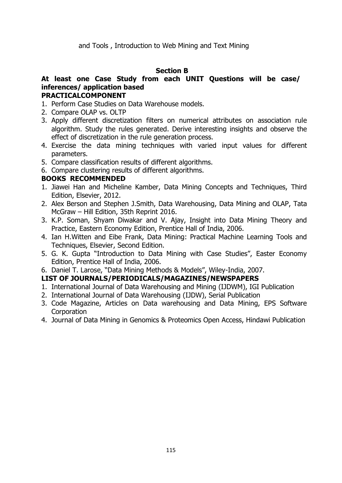#### **Section B**

#### **At least one Case Study from each UNIT Questions will be case/ inferences/ application based PRACTICALCOMPONENT**

- 1. Perform Case Studies on Data Warehouse models.
- 2. Compare OLAP vs. OLTP
- 3. Apply different discretization filters on numerical attributes on association rule algorithm. Study the rules generated. Derive interesting insights and observe the effect of discretization in the rule generation process.
- 4. Exercise the data mining techniques with varied input values for different parameters.
- 5. Compare classification results of different algorithms.
- 6. Compare clustering results of different algorithms.

#### **BOOKS RECOMMENDED**

- 1. Jiawei Han and Micheline Kamber, Data Mining Concepts and Techniques, Third Edition, Elsevier, 2012.
- 2. Alex Berson and Stephen J.Smith, Data Warehousing, Data Mining and OLAP, Tata McGraw – Hill Edition, 35th Reprint 2016.
- 3. K.P. Soman, Shyam Diwakar and V. Ajay, Insight into Data Mining Theory and Practice, Eastern Economy Edition, Prentice Hall of India, 2006.
- 4. Ian H.Witten and Eibe Frank, Data Mining: Practical Machine Learning Tools and Techniques, Elsevier, Second Edition.
- 5. G. K. Gupta "Introduction to Data Mining with Case Studies", Easter Economy Edition, Prentice Hall of India, 2006.
- 6. Daniel T. Larose, "Data Mining Methods & Models", Wiley-India, 2007.

- 1. International Journal of Data Warehousing and Mining (IJDWM), IGI Publication
- 2. International Journal of Data Warehousing (IJDW), Serial Publication
- 3. Code Magazine, Articles on Data warehousing and Data Mining, EPS Software **Corporation**
- 4. Journal of Data Mining in Genomics & Proteomics Open Access, Hindawi Publication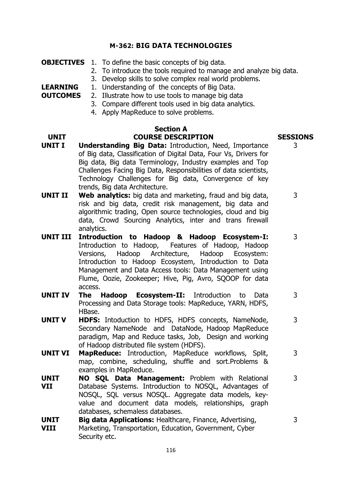#### **M-362: BIG DATA TECHNOLOGIES**

**OBJECTIVES** 1. To define the basic concepts of big data.

**LEARNING** 

- 2. To introduce the tools required to manage and analyze big data.
- 3. Develop skills to solve complex real world problems.
	- 1. Understanding of the concepts of Big Data.
- **OUTCOMES** 2. Illustrate how to use tools to manage big data
	- 3. Compare different tools used in big data analytics.
	- 4. Apply MapReduce to solve problems.

#### **Section A UNIT COURSE DESCRIPTION SESSIONS**

- **UNIT I Understanding Big Data:** Introduction, Need, Importance of Big data, Classification of Digital Data, Four Vs, Drivers for Big data, Big data Terminology, Industry examples and Top Challenges Facing Big Data, Responsibilities of data scientists, Technology Challenges for Big data, Convergence of key trends, Big data Architecture.
- **UNIT II Web analytics:** big data and marketing, fraud and big data, risk and big data, credit risk management, big data and algorithmic trading, Open source technologies, cloud and big data, Crowd Sourcing Analytics, inter and trans firewall analytics. 3
- **UNIT III Introduction to Hadoop & Hadoop Ecosystem-I:** Introduction to Hadoop, Features of Hadoop, Hadoop Versions, Hadoop Architecture, Hadoop Ecosystem: Introduction to Hadoop Ecosystem, Introduction to Data Management and Data Access tools: Data Management using Flume, Oozie, Zookeeper; Hive, Pig, Avro, SQOOP for data access.
- **UNIT IV The Hadoop Ecosystem-II:** Introduction to Data Processing and Data Storage tools: MapReduce, YARN, HDFS, HBase. 3
- **UNIT V HDFS:** Intoduction to HDFS, HDFS concepts, NameNode, Secondary NameNode and DataNode, Hadoop MapReduce paradigm, Map and Reduce tasks, Job, Design and working of Hadoop distributed file system (HDFS).
- **UNIT VI MapReduce:** Introduction, MapReduce workflows, Split, map, combine, scheduling, shuffle and sort.Problems & examples in MapReduce.
- **UNIT VII NO SQL Data Management:** Problem with Relational Database Systems. Introduction to NOSQL, Advantages of NOSQL, SQL versus NOSQL. Aggregate data models, keyvalue and document data models, relationships, graph databases, schemaless databases.
- **UNIT VIII Big data Applications:** Healthcare, Finance, Advertising, Marketing, Transportation, Education, Government, Cyber Security etc.

3

3

3

3

3

3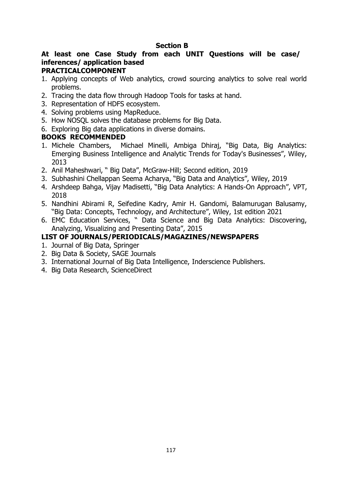#### **Section B**

# **At least one Case Study from each UNIT Questions will be case/ inferences/ application based**

#### **PRACTICALCOMPONENT**

- 1. Applying concepts of Web analytics, crowd sourcing analytics to solve real world problems.
- 2. Tracing the data flow through Hadoop Tools for tasks at hand.
- 3. Representation of HDFS ecosystem.
- 4. Solving problems using MapReduce.
- 5. How NOSQL solves the database problems for Big Data.
- 6. Exploring Big data applications in diverse domains.

#### **BOOKS RECOMMENDED**

- 1. Michele Chambers, Michael Minelli, Ambiga Dhiraj, "Big Data, Big Analytics: Emerging Business Intelligence and Analytic Trends for Today's Businesses", Wiley, 2013
- 2. Anil Maheshwari, " Big Data", McGraw-Hill; Second edition, 2019
- 3. Subhashini Chellappan Seema Acharya, "Big Data and Analytics", Wiley, 2019
- 4. Arshdeep Bahga, Vijay Madisetti, "Big Data Analytics: A Hands-On Approach", VPT, 2018
- 5. Nandhini Abirami R, Seifedine Kadry, Amir H. Gandomi, Balamurugan Balusamy, "Big Data: Concepts, Technology, and Architecture", Wiley, 1st edition 2021
- 6. EMC Education Services, " Data Science and Big Data Analytics: Discovering, Analyzing, Visualizing and Presenting Data", 2015

- 1. Journal of Big Data, Springer
- 2. Big Data & Society, SAGE Journals
- 3. International Journal of Big Data Intelligence, Inderscience Publishers.
- 4. Big Data Research, ScienceDirect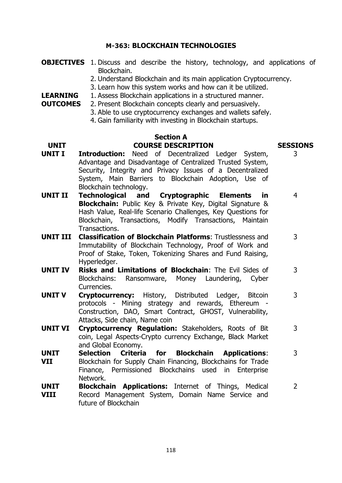#### **M-363: BLOCKCHAIN TECHNOLOGIES**

- **OBJECTIVES** 1. Discuss and describe the history, technology, and applications of Blockchain.
	- 2. Understand Blockchain and its main application Cryptocurrency.
	- 3. Learn how this system works and how can it be utilized.
- **LEARNING**  1. Assess Blockchain applications in a structured manner.
- **OUTCOMES** 2. Present Blockchain concepts clearly and persuasively.
	- 3. Able to use cryptocurrency exchanges and wallets safely.
	- 4. Gain familiarity with investing in Blockchain startups.

#### **Section A UNIT COURSE DESCRIPTION SESSIONS**

# 3

3

3

- **UNIT I Introduction:** Need of Decentralized Ledger System, Advantage and Disadvantage of Centralized Trusted System, Security, Integrity and Privacy Issues of a Decentralized System, Main Barriers to Blockchain Adoption, Use of Blockchain technology.
- **UNIT II Technological and Cryptographic Elements in Blockchain:** Public Key & Private Key, Digital Signature & Hash Value, Real-life Scenario Challenges, Key Questions for Blockchain, Transactions, Modify Transactions, Maintain Transactions. 4
- **UNIT III Classification of Blockchain Platforms**: Trustlessness and Immutability of Blockchain Technology, Proof of Work and Proof of Stake, Token, Tokenizing Shares and Fund Raising, Hyperledger.
- **UNIT IV Risks and Limitations of Blockchain**: The Evil Sides of Blockchains: Ransomware, Money Laundering, Cyber Currencies. 3
- **UNIT V Cryptocurrency:** History, Distributed Ledger, Bitcoin protocols - Mining strategy and rewards, Ethereum - Construction, DAO, Smart Contract, GHOST, Vulnerability, Attacks, Side chain, Name coin 3
- **UNIT VI Cryptocurrency Regulation:** Stakeholders, Roots of Bit coin, Legal Aspects-Crypto currency Exchange, Black Market and Global Economy.
- **UNIT VII Selection Criteria for Blockchain Applications**: Blockchain for Supply Chain Financing, Blockchains for Trade Finance, Permissioned Blockchains used in Enterprise Network. 3
- **UNIT VIII Blockchain Applications:** Internet of Things, Medical Record Management System, Domain Name Service and future of Blockchain 2